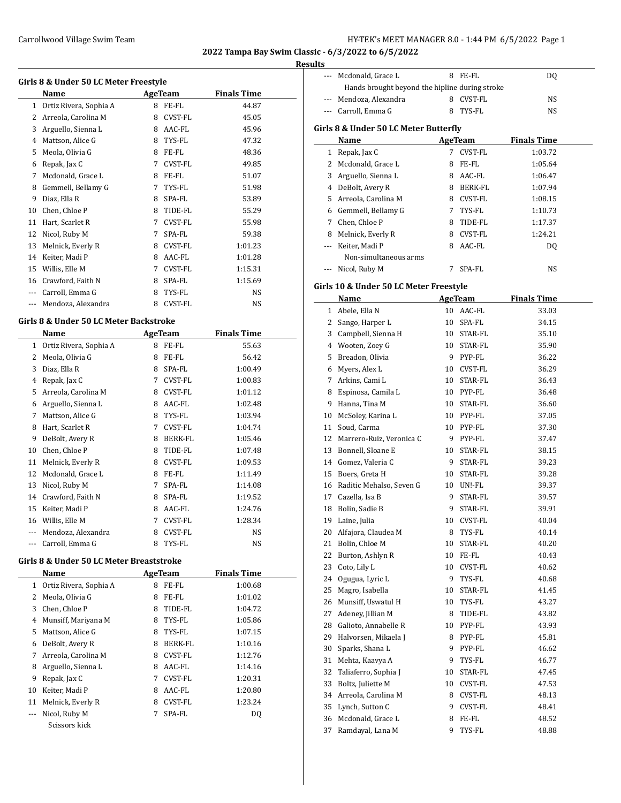#### **Results**

| Girls 8 & Under 50 LC Meter Freestyle |                        |   |                |                    |  |
|---------------------------------------|------------------------|---|----------------|--------------------|--|
|                                       | Name                   |   | AgeTeam        | <b>Finals Time</b> |  |
| $\mathbf{1}$                          | Ortiz Rivera, Sophia A | 8 | FE-FL          | 44.87              |  |
| 2                                     | Arreola, Carolina M    | 8 | CVST-FL        | 45.05              |  |
| 3                                     | Arguello, Sienna L     | 8 | AAC-FL         | 45.96              |  |
| 4                                     | Mattson, Alice G       | 8 | TYS-FL         | 47.32              |  |
| 5                                     | Meola, Olivia G        | 8 | FE-FL          | 48.36              |  |
| 6                                     | Repak, Jax C           | 7 | CVST-FL        | 49.85              |  |
| 7                                     | Mcdonald, Grace L      | 8 | FE-FL          | 51.07              |  |
| 8                                     | Gemmell, Bellamy G     | 7 | TYS-FL         | 51.98              |  |
| 9                                     | Diaz, Ella R           | 8 | SPA-FL         | 53.89              |  |
| 10                                    | Chen, Chloe P          | 8 | TIDE-FL        | 55.29              |  |
| 11                                    | Hart, Scarlet R        | 7 | <b>CVST-FL</b> | 55.98              |  |
| 12                                    | Nicol, Ruby M          | 7 | SPA-FL         | 59.38              |  |
| 13                                    | Melnick, Everly R      | 8 | CVST-FL        | 1:01.23            |  |
| 14                                    | Keiter, Madi P         | 8 | AAC-FL         | 1:01.28            |  |
| 15                                    | Willis, Elle M         | 7 | CVST-FL        | 1:15.31            |  |
| 16                                    | Crawford, Faith N      | 8 | SPA-FL         | 1:15.69            |  |
| $---$                                 | Carroll, Emma G        | 8 | TYS-FL         | NS                 |  |
| $---$                                 | Mendoza, Alexandra     | 8 | <b>CVST-FL</b> | NS                 |  |

### **Girls 8 & Under 50 LC Meter Backstroke**

 $\overline{a}$ 

|    | Name                   |   | AgeTeam        | <b>Finals Time</b> |  |
|----|------------------------|---|----------------|--------------------|--|
| 1  | Ortiz Rivera, Sophia A | 8 | FE-FL          | 55.63              |  |
| 2  | Meola, Olivia G        | 8 | FE-FL          | 56.42              |  |
| 3  | Diaz, Ella R           | 8 | SPA-FL         | 1:00.49            |  |
| 4  | Repak, Jax C           | 7 | <b>CVST-FL</b> | 1:00.83            |  |
| 5  | Arreola, Carolina M    | 8 | <b>CVST-FL</b> | 1:01.12            |  |
| 6  | Arguello, Sienna L     | 8 | AAC-FL         | 1:02.48            |  |
| 7  | Mattson, Alice G       | 8 | TYS-FL         | 1:03.94            |  |
| 8  | Hart, Scarlet R        | 7 | CVST-FL        | 1:04.74            |  |
| 9  | DeBolt, Avery R        | 8 | <b>BERK-FL</b> | 1:05.46            |  |
| 10 | Chen, Chloe P          | 8 | TIDE-FL        | 1:07.48            |  |
| 11 | Melnick, Everly R      | 8 | <b>CVST-FL</b> | 1:09.53            |  |
| 12 | Mcdonald, Grace L      | 8 | FE-FL          | 1:11.49            |  |
| 13 | Nicol, Ruby M          | 7 | SPA-FL         | 1:14.08            |  |
| 14 | Crawford, Faith N      | 8 | SPA-FL         | 1:19.52            |  |
| 15 | Keiter, Madi P         | 8 | AAC-FL         | 1:24.76            |  |
| 16 | Willis, Elle M         | 7 | <b>CVST-FL</b> | 1:28.34            |  |
|    | Mendoza, Alexandra     | 8 | <b>CVST-FL</b> | NS                 |  |
|    | Carroll, Emma G        | 8 | TYS-FL         | NS                 |  |

#### **Girls 8 & Under 50 LC Meter Breaststroke**

|    | Name                   |   | AgeTeam        | <b>Finals Time</b> |  |
|----|------------------------|---|----------------|--------------------|--|
| 1  | Ortiz Rivera, Sophia A | 8 | FE-FL          | 1:00.68            |  |
| 2  | Meola, Olivia G        | 8 | FE-FL          | 1:01.02            |  |
| 3  | Chen, Chloe P          | 8 | TIDE-FL        | 1:04.72            |  |
| 4  | Munsiff, Mariyana M    | 8 | TYS-FL         | 1:05.86            |  |
| 5  | Mattson, Alice G       | 8 | TYS-FL         | 1:07.15            |  |
| 6  | DeBolt, Avery R        | 8 | <b>BERK-FL</b> | 1:10.16            |  |
| 7  | Arreola, Carolina M    | 8 | <b>CVST-FL</b> | 1:12.76            |  |
| 8  | Arguello, Sienna L     | 8 | AAC-FL         | 1:14.16            |  |
| 9  | Repak, Jax C           | 7 | <b>CVST-FL</b> | 1:20.31            |  |
| 10 | Keiter, Madi P         | 8 | AAC-FL         | 1:20.80            |  |
| 11 | Melnick, Everly R      | 8 | <b>CVST-FL</b> | 1:23.24            |  |
|    | Nicol, Ruby M          |   | SPA-FL         | DQ                 |  |
|    | Scissors kick          |   |                |                    |  |

| --- Mcdonald, Grace L                          | FE-FL     | DO. |  |  |  |
|------------------------------------------------|-----------|-----|--|--|--|
| Hands brought beyond the hipline during stroke |           |     |  |  |  |
| --- Mendoza, Alexandra                         | 8 CVST-FL | NS. |  |  |  |
| --- Carroll, Emma G                            | 8 TYS-FL  | NS  |  |  |  |
|                                                |           |     |  |  |  |

### **Girls 8 & Under 50 LC Meter Butterfly**

|    | Name                  |   | AgeTeam        | <b>Finals Time</b> |  |
|----|-----------------------|---|----------------|--------------------|--|
| 1  | Repak, Jax C          | 7 | <b>CVST-FL</b> | 1:03.72            |  |
|    | Mcdonald, Grace L     | 8 | FE-FL          | 1:05.64            |  |
| 3  | Arguello, Sienna L    | 8 | AAC-FL         | 1:06.47            |  |
| 4  | DeBolt, Avery R       | 8 | BERK-FL        | 1:07.94            |  |
| 5. | Arreola, Carolina M   | 8 | CVST-FL        | 1:08.15            |  |
|    | 6 Gemmell, Bellamy G  | 7 | TYS-FL         | 1:10.73            |  |
| 7  | Chen, Chloe P         | 8 | TIDE-FL        | 1:17.37            |  |
| 8  | Melnick, Everly R     | 8 | CVST-FL        | 1:24.21            |  |
|    | Keiter, Madi P        | 8 | AAC-FL         | D <sub>0</sub>     |  |
|    | Non-simultaneous arms |   |                |                    |  |
|    | Nicol, Ruby M         |   | SPA-FL         | NS                 |  |

### **Girls 10 & Under 50 LC Meter Freestyle**

|                | Name                     |    | <b>AgeTeam</b> | <b>Finals Time</b> |
|----------------|--------------------------|----|----------------|--------------------|
| $\mathbf{1}$   | Abele, Ella N            | 10 | AAC-FL         | 33.03              |
| $\overline{2}$ | Sango, Harper L          | 10 | SPA-FL         | 34.15              |
| 3              | Campbell, Sienna H       | 10 | STAR-FL        | 35.10              |
| 4              | Wooten, Zoey G           | 10 | STAR-FL        | 35.90              |
| 5              | Breadon, Olivia          | 9  | PYP-FL         | 36.22              |
| 6              | Myers, Alex L            | 10 | CVST-FL        | 36.29              |
| 7              | Arkins, Cami L           | 10 | STAR-FL        | 36.43              |
| 8              | Espinosa, Camila L       | 10 | PYP-FL         | 36.48              |
| 9              | Hanna, Tina M            | 10 | STAR-FL        | 36.60              |
| 10             | McSoley, Karina L        | 10 | PYP-FL         | 37.05              |
| 11             | Soud, Carma              | 10 | PYP-FL         | 37.30              |
| 12             | Marrero-Ruiz, Veronica C | 9  | PYP-FL         | 37.47              |
| 13             | Bonnell, Sloane E        | 10 | STAR-FL        | 38.15              |
|                | 14 Gomez, Valeria C      | 9  | STAR-FL        | 39.23              |
| 15             | Boers, Greta H           | 10 | STAR-FL        | 39.28              |
| 16             | Raditic Mehalso, Seven G | 10 | UN!-FL         | 39.37              |
| 17             | Cazella, Isa B           | 9  | STAR-FL        | 39.57              |
| 18             | Bolin, Sadie B           | 9  | STAR-FL        | 39.91              |
| 19             | Laine, Julia             | 10 | CVST-FL        | 40.04              |
| 20             | Alfajora, Claudea M      | 8  | TYS-FL         | 40.14              |
| 21             | Bolin, Chloe M           | 10 | STAR-FL        | 40.20              |
| 22             | Burton, Ashlyn R         | 10 | FE-FL          | 40.43              |
| 23             | Coto, Lily L             | 10 | CVST-FL        | 40.62              |
| 24             | Ogugua, Lyric L          | 9  | TYS-FL         | 40.68              |
| 25             | Magro, Isabella          | 10 | STAR-FL        | 41.45              |
| 26             | Munsiff, Uswatul H       | 10 | TYS-FL         | 43.27              |
| 27             | Adeney, Jillian M        | 8  | TIDE-FL        | 43.82              |
| 28             | Galioto, Annabelle R     | 10 | PYP-FL         | 43.93              |
| 29             | Halvorsen, Mikaela J     | 8  | PYP-FL         | 45.81              |
| 30             | Sparks, Shana L          | 9  | PYP-FL         | 46.62              |
| 31             | Mehta, Kaavya A          | 9  | TYS-FL         | 46.77              |
| 32             | Taliaferro, Sophia J     | 10 | STAR-FL        | 47.45              |
| 33             | Boltz, Juliette M        | 10 | CVST-FL        | 47.53              |
| 34             | Arreola, Carolina M      | 8  | CVST-FL        | 48.13              |
| 35             | Lynch, Sutton C          | 9  | CVST-FL        | 48.41              |
| 36             | Mcdonald, Grace L        | 8  | FE-FL          | 48.52              |
| 37             | Ramdayal, Lana M         | 9  | TYS-FL         | 48.88              |
|                |                          |    |                |                    |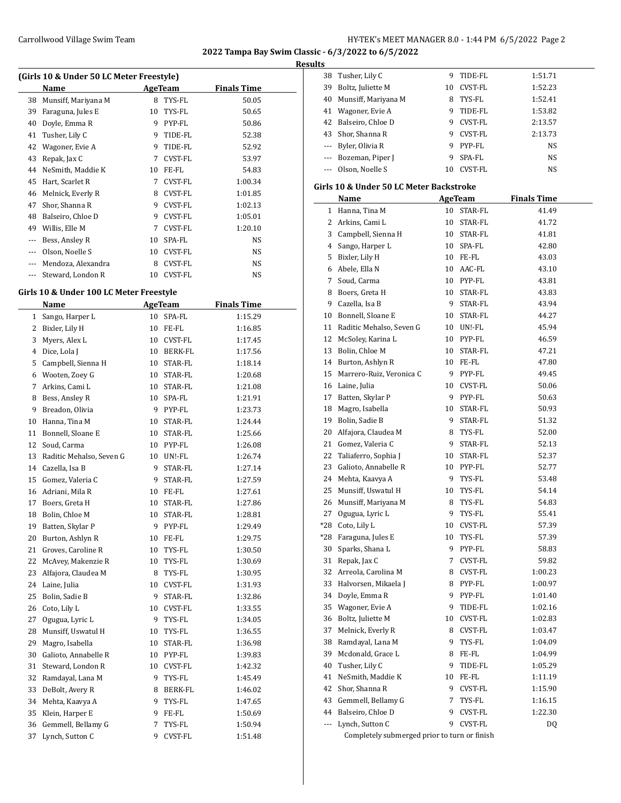**Results**

| (Girls 10 & Under 50 LC Meter Freestyle) |                     |    |                |                    |  |
|------------------------------------------|---------------------|----|----------------|--------------------|--|
|                                          | Name                |    | AgeTeam        | <b>Finals Time</b> |  |
| 38                                       | Munsiff, Mariyana M | 8  | TYS-FL         | 50.05              |  |
| 39                                       | Faraguna, Jules E   | 10 | TYS-FL         | 50.65              |  |
| 40                                       | Doyle, Emma R       | 9  | PYP-FL         | 50.86              |  |
| 41                                       | Tusher, Lily C      | 9  | TIDE-FL        | 52.38              |  |
| 42                                       | Wagoner, Evie A     | 9  | TIDE-FL        | 52.92              |  |
| 43                                       | Repak, Jax C        | 7  | CVST-FL        | 53.97              |  |
| 44                                       | NeSmith, Maddie K   | 10 | FE-FL          | 54.83              |  |
| 45                                       | Hart, Scarlet R     | 7  | CVST-FL        | 1:00.34            |  |
| 46                                       | Melnick, Everly R   | 8  | <b>CVST-FL</b> | 1:01.85            |  |
| 47                                       | Shor, Shanna R      | 9  | CVST-FL        | 1:02.13            |  |
| 48                                       | Balseiro, Chloe D   | 9  | CVST-FL        | 1:05.01            |  |
| 49                                       | Willis, Elle M      | 7  | CVST-FL        | 1:20.10            |  |
| ---                                      | Bess, Ansley R      | 10 | SPA-FL         | NS                 |  |
| $---$                                    | Olson, Noelle S     | 10 | CVST-FL        | NS                 |  |
| $---$                                    | Mendoza, Alexandra  | 8  | <b>CVST-FL</b> | NS                 |  |
| ---                                      | Steward, London R   | 10 | <b>CVST-FL</b> | <b>NS</b>          |  |

### **Girls 10 & Under 100 LC Meter Freestyle**

 $\frac{1}{2}$ 

| <b>Name</b>              |    |         | <b>Finals Time</b>                 |  |
|--------------------------|----|---------|------------------------------------|--|
| Sango, Harper L          | 10 | SPA-FL  | 1:15.29                            |  |
| Bixler, Lily H           | 10 | FE-FL   | 1:16.85                            |  |
| Myers, Alex L            | 10 | CVST-FL | 1:17.45                            |  |
| Dice, Lola J             | 10 | BERK-FL | 1:17.56                            |  |
| Campbell, Sienna H       | 10 | STAR-FL | 1:18.14                            |  |
| Wooten, Zoey G           | 10 | STAR-FL | 1:20.68                            |  |
| Arkins, Cami L           | 10 | STAR-FL | 1:21.08                            |  |
| Bess, Ansley R           | 10 | SPA-FL  | 1:21.91                            |  |
| Breadon, Olivia          | 9  | PYP-FL  | 1:23.73                            |  |
| Hanna, Tina M            | 10 | STAR-FL | 1:24.44                            |  |
| Bonnell, Sloane E        | 10 | STAR-FL | 1:25.66                            |  |
| Soud, Carma              | 10 |         | 1:26.08                            |  |
| Raditic Mehalso, Seven G | 10 | UN!-FL  | 1:26.74                            |  |
| Cazella, Isa B           | 9  | STAR-FL | 1:27.14                            |  |
| Gomez, Valeria C         | 9  | STAR-FL | 1:27.59                            |  |
| Adriani, Mila R          | 10 | FE-FL   | 1:27.61                            |  |
| Boers, Greta H           | 10 | STAR-FL | 1:27.86                            |  |
| Bolin, Chloe M           | 10 | STAR-FL | 1:28.81                            |  |
| Batten, Skylar P         | 9  | PYP-FL  | 1:29.49                            |  |
| Burton, Ashlyn R         | 10 | FE-FL   | 1:29.75                            |  |
| Groves, Caroline R       | 10 | TYS-FL  | 1:30.50                            |  |
| McAvey, Makenzie R       | 10 | TYS-FL  | 1:30.69                            |  |
| Alfajora, Claudea M      | 8  | TYS-FL  | 1:30.95                            |  |
| Laine, Julia             | 10 | CVST-FL | 1:31.93                            |  |
| Bolin, Sadie B           | 9  | STAR-FL | 1:32.86                            |  |
| Coto, Lily L             | 10 | CVST-FL | 1:33.55                            |  |
| Ogugua, Lyric L          | 9  | TYS-FL  | 1:34.05                            |  |
| Munsiff, Uswatul H       | 10 | TYS-FL  | 1:36.55                            |  |
| Magro, Isabella          | 10 | STAR-FL | 1:36.98                            |  |
| Galioto, Annabelle R     | 10 |         | 1:39.83                            |  |
| Steward, London R        | 10 | CVST-FL | 1:42.32                            |  |
| Ramdayal, Lana M         | 9  | TYS-FL  | 1:45.49                            |  |
| DeBolt, Avery R          | 8  | BERK-FL | 1:46.02                            |  |
| Mehta, Kaavya A          | 9  | TYS-FL  | 1:47.65                            |  |
| Klein, Harper E          | 9  | FE-FL   | 1:50.69                            |  |
| Gemmell, Bellamy G       | 7  | TYS-FL  | 1:50.94                            |  |
| Lynch, Sutton C          | 9  | CVST-FL | 1:51.48                            |  |
|                          |    |         | <b>AgeTeam</b><br>PYP-FL<br>PYP-FL |  |

| 38  | Tusher, Lily C                               | 9  | TIDE-FL        | 1:51.71            |  |
|-----|----------------------------------------------|----|----------------|--------------------|--|
| 39  | Boltz, Juliette M                            | 10 | CVST-FL        | 1:52.23            |  |
|     | 40 Munsiff, Mariyana M                       | 8  | TYS-FL         | 1:52.41            |  |
|     | 41 Wagoner, Evie A                           | 9  | TIDE-FL        | 1:53.82            |  |
|     | 42 Balseiro, Chloe D                         |    | 9 CVST-FL      | 2:13.57            |  |
|     | 43 Shor, Shanna R                            |    | 9 CVST-FL      | 2:13.73            |  |
|     | --- Byler, Olivia R                          |    | 9 PYP-FL       | NS                 |  |
|     | --- Bozeman, Piper J                         | 9  | SPA-FL         | NS                 |  |
|     | --- Olson, Noelle S                          |    | 10 CVST-FL     | NS                 |  |
|     |                                              |    |                |                    |  |
|     | Girls 10 & Under 50 LC Meter Backstroke      |    |                |                    |  |
|     | Name                                         |    | <b>AgeTeam</b> | <b>Finals Time</b> |  |
|     | 1 Hanna, Tina M                              |    | 10 STAR-FL     | 41.49              |  |
|     | 2 Arkins, Cami L                             |    | 10 STAR-FL     | 41.72              |  |
|     | 3 Campbell, Sienna H                         |    | 10 STAR-FL     | 41.81              |  |
|     | 4 Sango, Harper L                            |    | 10 SPA-FL      | 42.80              |  |
|     | 5 Bixler, Lily H                             |    | 10 FE-FL       | 43.03              |  |
|     | 6 Abele, Ella N                              |    | 10 AAC-FL      | 43.10              |  |
|     | 7 Soud, Carma                                |    | 10 PYP-FL      | 43.81              |  |
|     | 8 Boers, Greta H                             |    | 10 STAR-FL     | 43.83              |  |
|     | 9 Cazella, Isa B                             |    | 9 STAR-FL      | 43.94              |  |
|     | 10 Bonnell, Sloane E                         |    | 10 STAR-FL     | 44.27              |  |
|     | 11 Raditic Mehalso, Seven G                  |    | 10 UN!-FL      | 45.94              |  |
|     | 12 McSoley, Karina L                         |    | 10 PYP-FL      | 46.59              |  |
|     | 13 Bolin, Chloe M                            |    | 10 STAR-FL     | 47.21              |  |
|     | 14 Burton, Ashlyn R                          |    | 10 FE-FL       | 47.80              |  |
|     |                                              |    | 9 PYP-FL       |                    |  |
|     | 15 Marrero-Ruiz, Veronica C                  |    |                | 49.45              |  |
|     | 16 Laine, Julia                              |    | 10 CVST-FL     | 50.06              |  |
|     | 17 Batten, Skylar P                          |    | 9 PYP-FL       | 50.63              |  |
|     | 18 Magro, Isabella                           |    | 10 STAR-FL     | 50.93              |  |
| 19  | Bolin, Sadie B                               |    | 9 STAR-FL      | 51.32              |  |
| 20  | Alfajora, Claudea M                          |    | 8 TYS-FL       | 52.00              |  |
| 21  | Gomez, Valeria C                             |    | 9 STAR-FL      | 52.13              |  |
| 22  | Taliaferro, Sophia J                         |    | 10 STAR-FL     | 52.37              |  |
| 23  | Galioto, Annabelle R                         |    | 10 PYP-FL      | 52.77              |  |
|     | 24 Mehta, Kaavya A                           | 9  | TYS-FL         | 53.48              |  |
|     | 25 Munsiff, Uswatul H                        |    | 10 TYS-FL      | 54.14              |  |
|     | 26 Munsiff, Mariyana M                       | 8  | TYS-FL         | 54.83              |  |
| 27  | Ogugua, Lyric L                              | 9  | TYS-FL         | 55.41              |  |
|     | *28 Coto, Lily L                             | 10 | CVST-FL        | 57.39              |  |
| *28 | Faraguna, Jules E                            | 10 | TYS-FL         | 57.39              |  |
| 30  | Sparks, Shana L                              | 9  | PYP-FL         | 58.83              |  |
| 31  | Repak, Jax C                                 | 7  | CVST-FL        | 59.82              |  |
| 32  | Arreola, Carolina M                          | 8  | CVST-FL        | 1:00.23            |  |
| 33  | Halvorsen, Mikaela J                         | 8  | PYP-FL         | 1:00.97            |  |
| 34  | Doyle, Emma R                                | 9  | PYP-FL         | 1:01.40            |  |
| 35  | Wagoner, Evie A                              | 9  | TIDE-FL        | 1:02.16            |  |
| 36  | Boltz, Juliette M                            | 10 | CVST-FL        | 1:02.83            |  |
| 37  | Melnick, Everly R                            | 8  | CVST-FL        | 1:03.47            |  |
| 38  | Ramdayal, Lana M                             | 9  | TYS-FL         | 1:04.09            |  |
| 39  | Mcdonald, Grace L                            | 8  | FE-FL          | 1:04.99            |  |
| 40  | Tusher, Lily C                               | 9  | TIDE-FL        | 1:05.29            |  |
| 41  | NeSmith, Maddie K                            | 10 | FE-FL          | 1:11.19            |  |
| 42  | Shor, Shanna R                               | 9  | CVST-FL        | 1:15.90            |  |
| 43  | Gemmell, Bellamy G                           | 7  | TYS-FL         | 1:16.15            |  |
| 44  | Balseiro, Chloe D                            | 9  | CVST-FL        | 1:22.30            |  |
| --- | Lynch, Sutton C                              | 9  | CVST-FL        | DQ                 |  |
|     | Completely submerged prior to turn or finish |    |                |                    |  |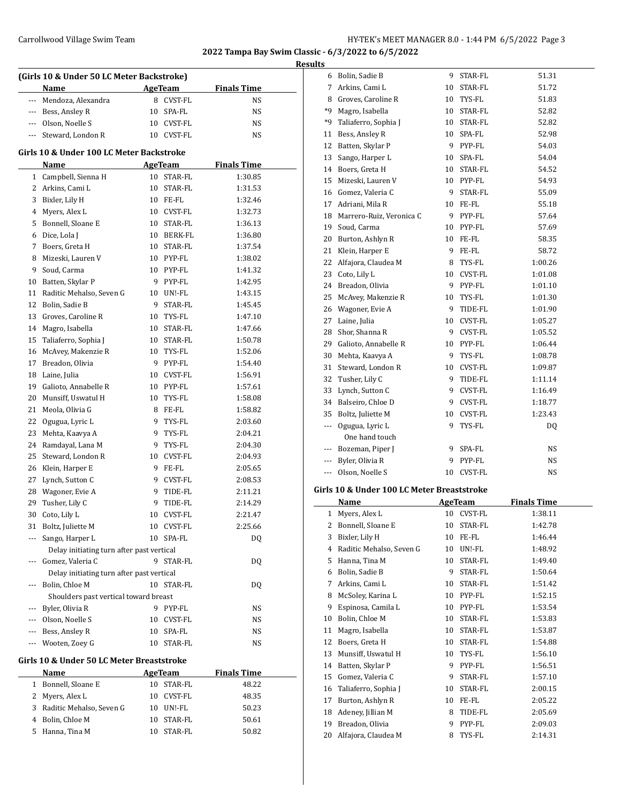**2022 Tampa Bay Swim Classic - 6/3/2022 to 6/5/2022**

 $\overline{a}$ 

|   |                                           |    |                        |                    | <b>Results</b> |
|---|-------------------------------------------|----|------------------------|--------------------|----------------|
|   | (Girls 10 & Under 50 LC Meter Backstroke) |    |                        |                    |                |
|   | Name                                      |    | AgeTeam                | <b>Finals Time</b> |                |
|   | --- Mendoza, Alexandra                    | 8  | <b>CVST-FL</b>         | NS                 |                |
|   | Bess, Ansley R                            | 10 | SPA-FL                 | NS.                | $\ast$         |
|   | Olson, Noelle S                           | 10 | <b>CVST-FL</b>         | NS.                | $\ast$         |
|   | Steward, London R                         | 10 | CVST-FL                | <b>NS</b>          | 1              |
|   | Girls 10 & Under 100 LC Meter Backstroke  |    |                        |                    | 1<br>1         |
|   | Name                                      |    | AgeTeam                | <b>Finals Time</b> | 1              |
| 1 | Campbell, Sienna H                        | 10 | STAR-FL                | 1:30.85            | 1              |
| 2 | Arkins, Cami L                            | 10 | STAR-FL                | 1:31.53            | 1              |
| 3 | Bixler, Lily H                            | 10 | FE-FL                  | 1:32.46            | 1              |
| 4 | Myers, Alex L                             | 10 | CVST-FL                | 1:32.73            | 1              |
|   | $P = 1101$                                |    | $Q_{m}$ $\sim$ $R_{m}$ | $\overline{a}$     |                |

| 3                                                                                                                         | Bixler, Lily H                            | 10 | FE-FL          | 1:32.46 |
|---------------------------------------------------------------------------------------------------------------------------|-------------------------------------------|----|----------------|---------|
| 4                                                                                                                         | Myers, Alex L                             | 10 | <b>CVST-FL</b> | 1:32.73 |
| 5                                                                                                                         | Bonnell, Sloane E                         | 10 | STAR-FL        | 1:36.13 |
| 6                                                                                                                         | Dice, Lola J                              | 10 | BERK-FL        | 1:36.80 |
| 7                                                                                                                         | Boers, Greta H                            | 10 | STAR-FL        | 1:37.54 |
| 8                                                                                                                         | Mizeski, Lauren V                         |    | 10 PYP-FL      | 1:38.02 |
| 9                                                                                                                         | Soud, Carma                               |    | 10 PYP-FL      | 1:41.32 |
| 10                                                                                                                        | Batten, Skylar P                          | 9  | PYP-FL         | 1:42.95 |
| 11                                                                                                                        | Raditic Mehalso, Seven G                  |    | 10 UN!-FL      | 1:43.15 |
| 12                                                                                                                        | Bolin, Sadie B                            | 9  | STAR-FL        | 1:45.45 |
| 13                                                                                                                        | Groves, Caroline R                        | 10 | TYS-FL         | 1:47.10 |
| 14                                                                                                                        | Magro, Isabella                           | 10 | STAR-FL        | 1:47.66 |
| 15                                                                                                                        | Taliaferro, Sophia J                      |    | 10 STAR-FL     | 1:50.78 |
| 16                                                                                                                        | McAvey, Makenzie R                        |    | 10 TYS-FL      | 1:52.06 |
| 17                                                                                                                        | Breadon, Olivia                           | 9  | PYP-FL         | 1:54.40 |
| 18                                                                                                                        | Laine, Julia                              | 10 | CVST-FL        | 1:56.91 |
| 19                                                                                                                        | Galioto, Annabelle R                      | 10 | PYP-FL         | 1:57.61 |
| 20                                                                                                                        | Munsiff, Uswatul H                        | 10 | TYS-FL         | 1:58.08 |
| 21                                                                                                                        | Meola, Olivia G                           | 8  | FE-FL          | 1:58.82 |
| 22                                                                                                                        | Ogugua, Lyric L                           | 9  | TYS-FL         | 2:03.60 |
| 23                                                                                                                        | Mehta, Kaavya A                           | 9  | TYS-FL         | 2:04.21 |
| 24                                                                                                                        | Ramdayal, Lana M                          | 9  | TYS-FL         | 2:04.30 |
| 25                                                                                                                        | Steward, London R                         | 10 | <b>CVST-FL</b> | 2:04.93 |
| 26                                                                                                                        | Klein, Harper E                           | 9  | FE-FL          | 2:05.65 |
| 27                                                                                                                        | Lynch, Sutton C                           | 9  | CVST-FL        | 2:08.53 |
| 28                                                                                                                        | Wagoner, Evie A                           | 9  | TIDE-FL        | 2:11.21 |
| 29                                                                                                                        | Tusher, Lily C                            | 9  | TIDE-FL        | 2:14.29 |
| 30                                                                                                                        | Coto, Lily L                              | 10 | <b>CVST-FL</b> | 2:21.47 |
| 31                                                                                                                        | Boltz, Juliette M                         | 10 | <b>CVST-FL</b> | 2:25.66 |
| ---                                                                                                                       | Sango, Harper L                           | 10 | SPA-FL         | DQ      |
|                                                                                                                           | Delay initiating turn after past vertical |    |                |         |
| $---$                                                                                                                     | Gomez, Valeria C                          | 9  | <b>STAR-FL</b> | DQ      |
|                                                                                                                           | Delay initiating turn after past vertical |    |                |         |
| ---                                                                                                                       | Bolin, Chloe M                            | 10 | STAR-FL        | DQ      |
|                                                                                                                           | Shoulders past vertical toward breast     |    |                |         |
| $\frac{1}{2} \left( \frac{1}{2} \right) \left( \frac{1}{2} \right) \left( \frac{1}{2} \right) \left( \frac{1}{2} \right)$ | Byler, Olivia R                           | 9  | PYP-FL         | NS      |
| $---$                                                                                                                     | Olson, Noelle S                           | 10 | <b>CVST-FL</b> | NS      |
| $\frac{1}{2}$                                                                                                             | Bess, Ansley R                            | 10 | SPA-FL         | NS      |
| ---                                                                                                                       | Wooten, Zoey G                            | 10 | STAR-FL        | NS      |

#### **Girls 10 & Under 50 LC Meter Breaststroke**

 $\overline{a}$ 

| <b>Name</b>                | AgeTeam       | <b>Finals Time</b> |
|----------------------------|---------------|--------------------|
| Bonnell, Sloane E          | 10 STAR-FL    | 48.22              |
| 2 Myers, Alex L            | 10 CVST-FL    | 48.35              |
| 3 Raditic Mehalso, Seven G | UN!-FL<br>10  | 50.23              |
| 4 Bolin, Chloe M           | STAR-FL<br>10 | 50.61              |
| Hanna, Tina M              | STAR-FL<br>10 | 50.82              |

| 6            | Bolin, Sadie B                             | 9  | STAR-FL        | 51.31              |
|--------------|--------------------------------------------|----|----------------|--------------------|
| 7            | Arkins, Cami L                             | 10 | STAR-FL        | 51.72              |
| 8            | Groves, Caroline R                         |    | 10 TYS-FL      | 51.83              |
| *9           | Magro, Isabella                            |    | 10 STAR-FL     | 52.82              |
| *9           | Taliaferro, Sophia J                       |    | 10 STAR-FL     | 52.82              |
| 11           | Bess, Ansley R                             |    | 10 SPA-FL      | 52.98              |
| 12           | Batten, Skylar P                           |    | 9 PYP-FL       | 54.03              |
| 13           | Sango, Harper L                            |    | 10 SPA-FL      | 54.04              |
| 14           | Boers, Greta H                             |    | 10 STAR-FL     | 54.52              |
| 15           | Mizeski, Lauren V                          |    | 10 PYP-FL      | 54.93              |
| 16           | Gomez, Valeria C                           | 9  | STAR-FL        | 55.09              |
| 17           | Adriani, Mila R                            |    | 10 FE-FL       | 55.18              |
| 18           | Marrero-Ruiz, Veronica C                   | 9  | PYP-FL         | 57.64              |
| 19           | Soud, Carma                                |    | 10 PYP-FL      | 57.69              |
| 20           | Burton, Ashlyn R                           | 10 | FE-FL          | 58.35              |
| 21           | Klein, Harper E                            | 9  | FE-FL          | 58.72              |
| 22           | Alfajora, Claudea M                        |    | 8 TYS-FL       | 1:00.26            |
| 23           | Coto, Lily L                               | 10 | CVST-FL        | 1:01.08            |
| 24           | Breadon, Olivia                            | 9  | PYP-FL         | 1:01.10            |
| 25           | McAvey, Makenzie R                         |    | 10 TYS-FL      | 1:01.30            |
| 26           | Wagoner, Evie A                            | 9  | TIDE-FL        | 1:01.90            |
| 27           | Laine, Julia                               |    | 10 CVST-FL     | 1:05.27            |
| 28           | Shor, Shanna R                             | 9  | CVST-FL        | 1:05.52            |
| 29           | Galioto, Annabelle R                       |    | 10 PYP-FL      | 1:06.44            |
| 30           | Mehta, Kaavya A                            |    | 9 TYS-FL       | 1:08.78            |
| 31           | Steward, London R                          | 10 | CVST-FL        | 1:09.87            |
| 32           | Tusher, Lily C                             | 9  | TIDE-FL        | 1:11.14            |
| 33           | Lynch, Sutton C                            | 9  | CVST-FL        | 1:16.49            |
| 34           | Balseiro, Chloe D                          | 9  | CVST-FL        | 1:18.77            |
| 35           | Boltz, Juliette M                          |    | 10 CVST-FL     | 1:23.43            |
| ---          | Ogugua, Lyric L                            | 9  | TYS-FL         | DQ                 |
|              | One hand touch                             |    |                |                    |
| ---          | Bozeman, Piper J                           | 9  | SPA-FL         | NS                 |
| ---          | Byler, Olivia R                            | 9  | PYP-FL         | NS                 |
| ---          | Olson, Noelle S                            | 10 | CVST-FL        | NS                 |
|              |                                            |    |                |                    |
|              | Girls 10 & Under 100 LC Meter Breaststroke |    |                |                    |
|              | <b>Name</b>                                |    | <b>AgeTeam</b> | <b>Finals Time</b> |
| $\mathbf{1}$ | Myers, Alex L                              |    | 10 CVST-FL     | 1:38.11            |
|              | 2 Bonnell, Sloane E                        |    | 10 STAR-FL     | 1:42.78            |
| 3            | Bixler, Lily H                             | 10 | FE-FL          | 1:46.44            |
| 4            | Raditic Mehalso, Seven G                   | 10 | UN!-FL         | 1:48.92            |
| 5            | Hanna, Tina M                              | 10 | STAR-FL        | 1:49.40            |
| 6            | Bolin, Sadie B                             | 9  | STAR-FL        | 1:50.64            |
| 7            | Arkins, Cami L                             | 10 | STAR-FL        | 1:51.42            |
| 8            | McSoley, Karina L                          | 10 | PYP-FL         | 1:52.15            |
| 9            | Espinosa, Camila L                         | 10 | PYP-FL         | 1:53.54            |
| 10           | Bolin, Chloe M                             | 10 | STAR-FL        | 1:53.83            |
| 11           | Magro, Isabella                            | 10 | STAR-FL        | 1:53.87            |
| 12           | Boers, Greta H                             | 10 | STAR-FL        | 1:54.88            |
| 13           | Munsiff, Uswatul H                         | 10 | TYS-FL         | 1:56.10            |

14 Batten, Skylar P 9 PYP-FL 1:56.51 15 Gomez, Valeria C 9 STAR-FL 1:57.10 16 Taliaferro, Sophia J 10 STAR-FL 2:00.15 Burton, Ashlyn R 10 FE-FL 2:05.22 18 Adeney, Jillian M 8 TIDE-FL 2:05.69 19 Breadon, Olivia 9 PYP-FL 2:09.03 20 Alfajora, Claudea M 8 TYS-FL 2:14.31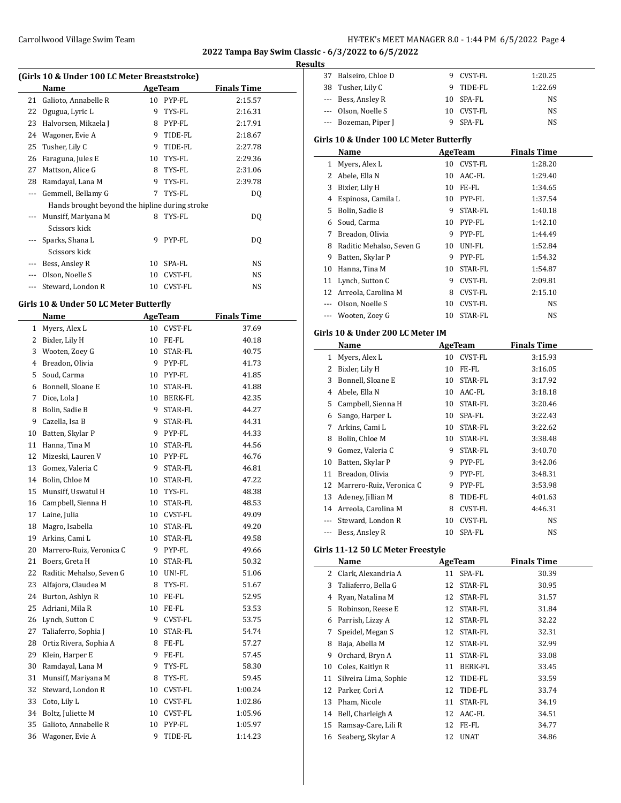**Results**

| (Girls 10 & Under 100 LC Meter Breaststroke) |                                                |    |                |                    |  |  |
|----------------------------------------------|------------------------------------------------|----|----------------|--------------------|--|--|
|                                              | Name                                           |    | AgeTeam        | <b>Finals Time</b> |  |  |
| 21                                           | Galioto, Annabelle R                           | 10 | PYP-FL         | 2:15.57            |  |  |
| 22                                           | Ogugua, Lyric L                                | 9  | TYS-FL         | 2:16.31            |  |  |
| 23                                           | Halvorsen, Mikaela J                           | 8  | PYP-FL         | 2:17.91            |  |  |
| 24                                           | Wagoner, Evie A                                | 9  | TIDE-FL        | 2:18.67            |  |  |
| 25                                           | Tusher, Lily C                                 | 9  | TIDE-FL        | 2:27.78            |  |  |
| 26                                           | Faraguna, Jules E                              | 10 | TYS-FL         | 2:29.36            |  |  |
| 27                                           | Mattson, Alice G                               | 8  | TYS-FL         | 2:31.06            |  |  |
| 28                                           | Ramdayal, Lana M                               | 9  | TYS-FL         | 2:39.78            |  |  |
| $---$                                        | Gemmell, Bellamy G                             | 7  | TYS-FL         | DQ                 |  |  |
|                                              | Hands brought beyond the hipline during stroke |    |                |                    |  |  |
|                                              | Munsiff, Mariyana M                            | 8  | TYS-FL         | DQ                 |  |  |
|                                              | Scissors kick                                  |    |                |                    |  |  |
|                                              | Sparks, Shana L                                | 9  | PYP-FL         | DQ                 |  |  |
|                                              | Scissors kick                                  |    |                |                    |  |  |
|                                              | Bess, Ansley R                                 | 10 | SPA-FL         | NS.                |  |  |
|                                              | Olson, Noelle S                                | 10 | CVST-FL        | NS.                |  |  |
|                                              | Steward, London R                              | 10 | <b>CVST-FL</b> | NS                 |  |  |

### **Girls 10 & Under 50 LC Meter Butterfly**

|              | <b>Name</b>              |    | <b>AgeTeam</b> | <b>Finals Time</b> |
|--------------|--------------------------|----|----------------|--------------------|
| $\mathbf{1}$ | Myers, Alex L            |    | 10 CVST-FL     | 37.69              |
| 2            | Bixler, Lily H           | 10 | FE-FL          | 40.18              |
| 3            | Wooten, Zoey G           | 10 | STAR-FL        | 40.75              |
| 4            | Breadon, Olivia          | 9  | PYP-FL         | 41.73              |
| 5            | Soud, Carma              | 10 | PYP-FL         | 41.85              |
| 6            | Bonnell, Sloane E        | 10 | STAR-FL        | 41.88              |
| 7            | Dice, Lola J             | 10 | BERK-FL        | 42.35              |
| 8            | Bolin, Sadie B           | 9  | STAR-FL        | 44.27              |
| 9            | Cazella, Isa B           | 9  | <b>STAR-FL</b> | 44.31              |
| 10           | Batten, Skylar P         | 9  | PYP-FL         | 44.33              |
| 11           | Hanna, Tina M            | 10 | STAR-FL        | 44.56              |
| 12           | Mizeski, Lauren V        | 10 | PYP-FL         | 46.76              |
| 13           | Gomez, Valeria C         | 9  | STAR-FL        | 46.81              |
| 14           | Bolin, Chloe M           | 10 | STAR-FL        | 47.22              |
| 15           | Munsiff, Uswatul H       | 10 | TYS-FL         | 48.38              |
| 16           | Campbell, Sienna H       | 10 | STAR-FL        | 48.53              |
| 17           | Laine, Julia             | 10 | CVST-FL        | 49.09              |
| 18           | Magro, Isabella          | 10 | STAR-FL        | 49.20              |
| 19           | Arkins, Cami L           | 10 | STAR-FL        | 49.58              |
| 20           | Marrero-Ruiz, Veronica C | 9  | PYP-FL         | 49.66              |
| 21           | Boers, Greta H           | 10 | STAR-FL        | 50.32              |
| 22           | Raditic Mehalso, Seven G | 10 | UN!-FL         | 51.06              |
| 23           | Alfajora, Claudea M      | 8  | TYS-FL         | 51.67              |
| 24           | Burton, Ashlyn R         | 10 | FE-FL          | 52.95              |
| 25           | Adriani, Mila R          | 10 | FE-FL          | 53.53              |
| 26           | Lynch, Sutton C          | 9  | CVST-FL        | 53.75              |
| 27           | Taliaferro, Sophia J     | 10 | STAR-FL        | 54.74              |
| 28           | Ortiz Rivera, Sophia A   | 8  | FE-FL          | 57.27              |
| 29           | Klein, Harper E          | 9  | FE-FL          | 57.45              |
| 30           | Ramdayal, Lana M         | 9  | TYS-FL         | 58.30              |
| 31           | Munsiff, Mariyana M      | 8  | TYS-FL         | 59.45              |
| 32           | Steward, London R        | 10 | CVST-FL        | 1:00.24            |
| 33           | Coto, Lily L             |    | 10 CVST-FL     | 1:02.86            |
| 34           | Boltz, Juliette M        |    | 10 CVST-FL     | 1:05.96            |
| 35           | Galioto, Annabelle R     | 10 | PYP-FL         | 1:05.97            |
| 36           | Wagoner, Evie A          | 9  | TIDE-FL        | 1:14.23            |

| uits    |                                         |    |                |                    |  |
|---------|-----------------------------------------|----|----------------|--------------------|--|
|         | 37 Balseiro, Chloe D                    |    | 9 CVST-FL      | 1:20.25            |  |
|         | 38 Tusher, Lily C                       |    | 9 TIDE-FL      | 1:22.69            |  |
|         | --- Bess, Ansley R                      |    | 10 SPA-FL      | NS                 |  |
|         | --- Olson, Noelle S                     |    | 10 CVST-FL     | NS                 |  |
|         | --- Bozeman, Piper J                    | 9. | SPA-FL         | NS                 |  |
|         |                                         |    |                |                    |  |
|         | Girls 10 & Under 100 LC Meter Butterfly |    |                |                    |  |
|         | Name                                    |    | <b>AgeTeam</b> | <b>Finals Time</b> |  |
|         | 1 Myers, Alex L                         |    | 10 CVST-FL     | 1:28.20            |  |
|         | 2 Abele, Ella N                         |    | 10 AAC-FL      | 1:29.40            |  |
|         | 3 Bixler, Lily H                        |    | 10 FE-FL       | 1:34.65            |  |
|         | 4 Espinosa, Camila L                    |    | 10 PYP-FL      | 1:37.54            |  |
|         | 5 Bolin, Sadie B                        |    | 9 STAR-FL      | 1:40.18            |  |
|         | 6 Soud, Carma                           |    | 10 PYP-FL      | 1:42.10            |  |
| 7       | Breadon, Olivia                         |    | 9 PYP-FL       | 1:44.49            |  |
| 8       | Raditic Mehalso, Seven G                |    | 10 UN!-FL      | 1:52.84            |  |
| 9       | Batten, Skylar P                        |    | 9 PYP-FL       | 1:54.32            |  |
|         | 10 Hanna, Tina M                        |    | 10 STAR-FL     | 1:54.87            |  |
| 11      | Lynch, Sutton C                         |    | 9 CVST-FL      | 2:09.81            |  |
|         | 12 Arreola, Carolina M                  |    | 8 CVST-FL      | 2:15.10            |  |
|         | --- Olson, Noelle S                     | 10 | CVST-FL        | NS                 |  |
|         | --- Wooten, Zoey G                      | 10 | STAR-FL        | NS                 |  |
|         |                                         |    |                |                    |  |
|         | Girls 10 & Under 200 LC Meter IM        |    |                |                    |  |
|         | Name                                    |    | <b>AgeTeam</b> | <b>Finals Time</b> |  |
|         | 1 Myers, Alex L                         |    | 10 CVST-FL     | 3:15.93            |  |
|         | 2 Bixler, Lily H                        |    | 10 FE-FL       | 3:16.05            |  |
| 3       | Bonnell, Sloane E                       |    | 10 STAR-FL     | 3:17.92            |  |
|         | 4 Abele, Ella N                         |    | 10 AAC-FL      | 3:18.18            |  |
|         | 5 Campbell, Sienna H                    |    | 10 STAR-FL     | 3:20.46            |  |
|         | 6 Sango, Harper L                       |    | 10 SPA-FL      | 3:22.43            |  |
| 7       | Arkins, Cami L                          |    | 10 STAR-FL     | 3:22.62            |  |
| 8       | Bolin, Chloe M                          |    | 10 STAR-FL     | 3:38.48            |  |
| 9       | Gomez, Valeria C                        |    | 9 STAR-FL      | 3:40.70            |  |
| 10      | Batten, Skylar P                        |    | 9 PYP-FL       | 3:42.06            |  |
|         | 11 Breadon, Olivia                      |    | 9 PYP-FL       | 3:48.31            |  |
|         | 12 Marrero-Ruiz, Veronica C             |    | 9 PYP-FL       | 3:53.98            |  |
| 13      | Adeney, Jillian M                       | 8  | TIDE-FL        | 4:01.63            |  |
|         | 14 Arreola, Carolina M                  | 8  | <b>CVST-FL</b> | 4:46.31            |  |
|         | Steward, London R                       | 10 | CVST-FL        | NS                 |  |
| $- - -$ | Bess, Ansley R                          | 10 | SPA-FL         | NS                 |  |
|         |                                         |    |                |                    |  |
|         | Girls 11-12 50 LC Meter Freestyle       |    |                |                    |  |
|         | Name                                    |    | <b>AgeTeam</b> | <b>Finals Time</b> |  |
|         | 2 Clark, Alexandria A                   | 11 | SPA-FL         | 30.39              |  |
| 3       | Taliaferro, Bella G                     | 12 | STAR-FL        | 30.95              |  |
| 4       | Ryan, Natalina M                        | 12 | STAR-FL        | 31.57              |  |
| 5       | Robinson, Reese E                       | 12 | STAR-FL        | 31.84              |  |
| 6       | Parrish, Lizzy A                        | 12 | STAR-FL        | 32.22              |  |
| 7       | Speidel, Megan S                        | 12 | STAR-FL        | 32.31              |  |
| 8       | Baja, Abella M                          | 12 | STAR-FL        | 32.99              |  |
| 9       | Orchard, Bryn A                         | 11 | STAR-FL        | 33.08              |  |
| 10      | Coles, Kaitlyn R                        |    | 11 BERK-FL     | 33.45              |  |
| 11      | Silveira Lima, Sophie                   | 12 | TIDE-FL        | 33.59              |  |
| 12      | Parker, Cori A                          | 12 | TIDE-FL        | 33.74              |  |
| 13      | Pham, Nicole                            | 11 | STAR-FL        | 34.19              |  |
| 14      | Bell, Charleigh A                       |    | 12 AAC-FL      | 34.51              |  |
| 15      | Ramsay-Care, Lili R                     | 12 | FE-FL          | 34.77              |  |
| 16      | Seaberg, Skylar A                       | 12 | UNAT           | 34.86              |  |
|         |                                         |    |                |                    |  |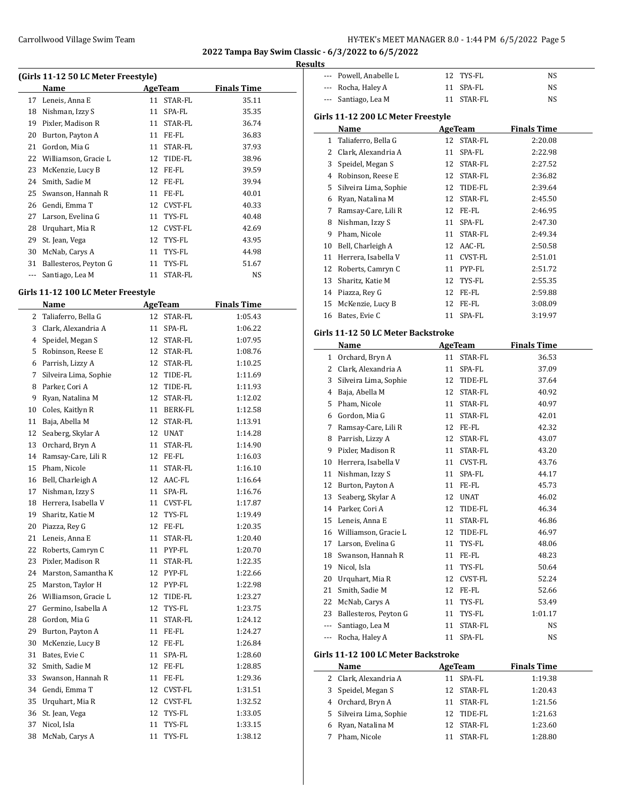#### **Results**

| (Girls 11-12 50 LC Meter Freestyle) |                       |         |            |                    |  |  |
|-------------------------------------|-----------------------|---------|------------|--------------------|--|--|
|                                     | Name                  | AgeTeam |            | <b>Finals Time</b> |  |  |
| 17                                  | Leneis, Anna E        | 11      | STAR-FL    | 35.11              |  |  |
| 18                                  | Nishman, Izzy S       | 11      | SPA-FL     | 35.35              |  |  |
| 19                                  | Pixler, Madison R     | 11      | STAR-FL    | 36.74              |  |  |
| 20                                  | Burton, Payton A      | 11      | FE-FL      | 36.83              |  |  |
| 21                                  | Gordon, Mia G         | 11      | STAR-FL    | 37.93              |  |  |
| 22                                  | Williamson, Gracie L  | 12      | TIDE-FL    | 38.96              |  |  |
| 23                                  | McKenzie, Lucy B      | 12      | FE-FL      | 39.59              |  |  |
| 24                                  | Smith, Sadie M        | 12      | FE-FL      | 39.94              |  |  |
| 25                                  | Swanson, Hannah R     | 11      | FE-FL      | 40.01              |  |  |
| 26                                  | Gendi, Emma T         |         | 12 CVST-FL | 40.33              |  |  |
| 27                                  | Larson, Evelina G     | 11      | TYS-FL     | 40.48              |  |  |
| 28                                  | Urquhart, Mia R       | 12      | CVST-FL    | 42.69              |  |  |
| 29                                  | St. Jean, Vega        | 12      | TYS-FL     | 43.95              |  |  |
| 30                                  | McNab, Carys A        | 11      | TYS-FL     | 44.98              |  |  |
| 31                                  | Ballesteros, Peyton G | 11      | TYS-FL     | 51.67              |  |  |
|                                     | Santiago, Lea M       | 11      | STAR-FL    | NS                 |  |  |
|                                     |                       |         |            |                    |  |  |

### **Girls 11-12 100 LC Meter Freestyle**

|    | Name                  | <b>AgeTeam</b> |                | <b>Finals Time</b> |
|----|-----------------------|----------------|----------------|--------------------|
| 2  | Taliaferro, Bella G   | 12             | STAR-FL        | 1:05.43            |
| 3  | Clark, Alexandria A   | 11             | SPA-FL         | 1:06.22            |
| 4  | Speidel, Megan S      | 12             | STAR-FL        | 1:07.95            |
| 5  | Robinson, Reese E     | 12             | STAR-FL        | 1:08.76            |
| 6  | Parrish, Lizzy A      | 12             | STAR-FL        | 1:10.25            |
| 7  | Silveira Lima, Sophie | 12             | TIDE-FL        | 1:11.69            |
| 8  | Parker, Cori A        | 12             | TIDE-FL        | 1:11.93            |
| 9  | Ryan, Natalina M      | 12             | STAR-FL        | 1:12.02            |
| 10 | Coles, Kaitlyn R      | 11             | <b>BERK-FL</b> | 1:12.58            |
| 11 | Baja, Abella M        | 12             | STAR-FL        | 1:13.91            |
| 12 | Seaberg, Skylar A     | 12             | <b>UNAT</b>    | 1:14.28            |
| 13 | Orchard, Bryn A       | 11             | STAR-FL        | 1:14.90            |
| 14 | Ramsay-Care, Lili R   | 12             | FE-FL          | 1:16.03            |
| 15 | Pham, Nicole          | 11             | STAR-FL        | 1:16.10            |
| 16 | Bell, Charleigh A     | 12             | AAC-FL         | 1:16.64            |
| 17 | Nishman, Izzy S       | 11             | SPA-FL         | 1:16.76            |
| 18 | Herrera, Isabella V   | 11             | CVST-FL        | 1:17.87            |
| 19 | Sharitz, Katie M      | 12             | TYS-FL         | 1:19.49            |
| 20 | Piazza, Rey G         | 12             | FE-FL          | 1:20.35            |
| 21 | Leneis, Anna E        | 11             | STAR-FL        | 1:20.40            |
| 22 | Roberts, Camryn C     | 11             | PYP-FL         | 1:20.70            |
| 23 | Pixler, Madison R     | 11             | STAR-FL        | 1:22.35            |
| 24 | Marston, Samantha K   | 12             | PYP-FL         | 1:22.66            |
| 25 | Marston, Taylor H     | 12             | PYP-FL         | 1:22.98            |
| 26 | Williamson, Gracie L  | 12             | TIDE-FL        | 1:23.27            |
| 27 | Germino, Isabella A   | 12             | TYS-FL         | 1:23.75            |
| 28 | Gordon, Mia G         | 11             | STAR-FL        | 1:24.12            |
| 29 | Burton, Payton A      | 11             | FE-FL          | 1:24.27            |
| 30 | McKenzie, Lucy B      | 12             | FE-FL          | 1:26.84            |
| 31 | Bates, Evie C         | 11             | SPA-FL         | 1:28.60            |
| 32 | Smith, Sadie M        | 12             | FE-FL          | 1:28.85            |
| 33 | Swanson, Hannah R     | 11             | FE-FL          | 1:29.36            |
| 34 | Gendi, Emma T         | 12             | CVST-FL        | 1:31.51            |
| 35 | Urquhart, Mia R       | 12             | CVST-FL        | 1:32.52            |
| 36 | St. Jean, Vega        | 12             | TYS-FL         | 1:33.05            |
| 37 | Nicol, Isla           | 11             | TYS-FL         | 1:33.15            |
| 38 | McNab, Carys A        | 11             | TYS-FL         | 1:38.12            |
|    |                       |                |                |                    |

| --- | Powell, Anabelle L                  | 12 | TYS-FL         | NS                 |  |
|-----|-------------------------------------|----|----------------|--------------------|--|
|     | --- Rocha, Haley A                  | 11 | SPA-FL         | NS                 |  |
| --- | Santiago, Lea M                     | 11 | STAR-FL        | NS                 |  |
|     |                                     |    |                |                    |  |
|     | Girls 11-12 200 LC Meter Freestyle  |    |                |                    |  |
|     | Name                                |    | <u>AgeTeam</u> | <b>Finals Time</b> |  |
|     | 1 Taliaferro, Bella G               |    | 12 STAR-FL     | 2:20.08            |  |
|     | 2 Clark, Alexandria A               | 11 | SPA-FL         | 2:22.98            |  |
|     | 3 Speidel, Megan S                  |    | 12 STAR-FL     | 2:27.52            |  |
|     | 4 Robinson, Reese E                 |    | 12 STAR-FL     | 2:36.82            |  |
|     | 5 Silveira Lima, Sophie             |    | 12 TIDE-FL     | 2:39.64            |  |
|     | 6 Ryan, Natalina M                  | 12 | STAR-FL        | 2:45.50            |  |
| 7   | Ramsay-Care, Lili R                 |    | 12 FE-FL       | 2:46.95            |  |
| 8   | Nishman, Izzy S                     | 11 | SPA-FL         | 2:47.30            |  |
|     | 9 Pham, Nicole                      | 11 | STAR-FL        | 2:49.34            |  |
|     | 10 Bell, Charleigh A                |    | 12 AAC-FL      | 2:50.58            |  |
| 11  | Herrera, Isabella V                 |    | 11 CVST-FL     | 2:51.01            |  |
| 12  | Roberts, Camryn C                   |    | 11 PYP-FL      | 2:51.72            |  |
|     | 13 Sharitz, Katie M                 |    | 12 TYS-FL      | 2:55.35            |  |
|     |                                     |    |                |                    |  |
|     | 14 Piazza, Rey G                    |    | 12 FE-FL       | 2:59.88            |  |
| 15  | McKenzie, Lucy B                    |    | 12 FE-FL       | 3:08.09            |  |
| 16  | Bates, Evie C                       | 11 | SPA-FL         | 3:19.97            |  |
|     | Girls 11-12 50 LC Meter Backstroke  |    |                |                    |  |
|     | Name                                |    | AgeTeam        | <b>Finals Time</b> |  |
|     | 1 Orchard, Bryn A                   | 11 | STAR-FL        | 36.53              |  |
|     | 2 Clark, Alexandria A               | 11 | SPA-FL         | 37.09              |  |
| 3   | Silveira Lima, Sophie               |    | 12 TIDE-FL     | 37.64              |  |
|     | 4 Baja, Abella M                    | 12 | STAR-FL        | 40.92              |  |
|     | 5 Pham, Nicole                      | 11 | STAR-FL        | 40.97              |  |
|     | 6 Gordon, Mia G                     | 11 | STAR-FL        | 42.01              |  |
|     | 7 Ramsay-Care, Lili R               |    | 12 FE-FL       |                    |  |
|     |                                     |    |                | 42.32              |  |
|     | 8 Parrish, Lizzy A                  |    | 12 STAR-FL     | 43.07              |  |
|     | 9 Pixler, Madison R                 | 11 | STAR-FL        | 43.20              |  |
|     | 10 Herrera, Isabella V              |    | 11 CVST-FL     | 43.76              |  |
|     | 11 Nishman, Izzy S                  | 11 | SPA-FL         | 44.17              |  |
|     | 12 Burton, Payton A                 |    | 11 FE-FL       | 45.73              |  |
| 13  | Seaberg, Skylar A                   | 12 | <b>UNAT</b>    | 46.02              |  |
|     | 14 Parker, Cori A                   |    | 12 TIDE-FL     | 46.34              |  |
|     | 15 Leneis, Anna E                   | 11 | STAR-FL        | 46.86              |  |
| 16  | Williamson, Gracie L                | 12 | TIDE-FL        | 46.97              |  |
| 17  | Larson, Evelina G                   | 11 | TYS-FL         | 48.06              |  |
| 18  | Swanson, Hannah R                   | 11 | FE-FL          | 48.23              |  |
| 19  | Nicol, Isla                         | 11 | TYS-FL         | 50.64              |  |
| 20  | Urquhart, Mia R                     | 12 | <b>CVST-FL</b> | 52.24              |  |
| 21  | Smith, Sadie M                      |    | 12 FE-FL       | 52.66              |  |
| 22  | McNab, Carys A                      | 11 | TYS-FL         | 53.49              |  |
| 23  | Ballesteros, Peyton G               | 11 | TYS-FL         | 1:01.17            |  |
| --- | Santiago, Lea M                     | 11 | STAR-FL        | NS                 |  |
| --- | Rocha, Haley A                      | 11 | SPA-FL         | NS                 |  |
|     |                                     |    |                |                    |  |
|     | Girls 11-12 100 LC Meter Backstroke |    |                |                    |  |
|     | Name                                |    | AgeTeam        | <b>Finals Time</b> |  |
| 2   | Clark, Alexandria A                 | 11 | SPA-FL         | 1:19.38            |  |
| 3   | Speidel, Megan S                    | 12 | STAR-FL        | 1:20.43            |  |
|     | 4 Orchard, Bryn A                   | 11 | STAR-FL        | 1:21.56            |  |
| 5   | Silveira Lima, Sophie               | 12 | TIDE-FL        | 1:21.63            |  |
| 6   | Ryan, Natalina M                    | 12 | STAR-FL        | 1:23.60            |  |
| 7   | Pham, Nicole                        | 11 | STAR-FL        | 1:28.80            |  |
|     |                                     |    |                |                    |  |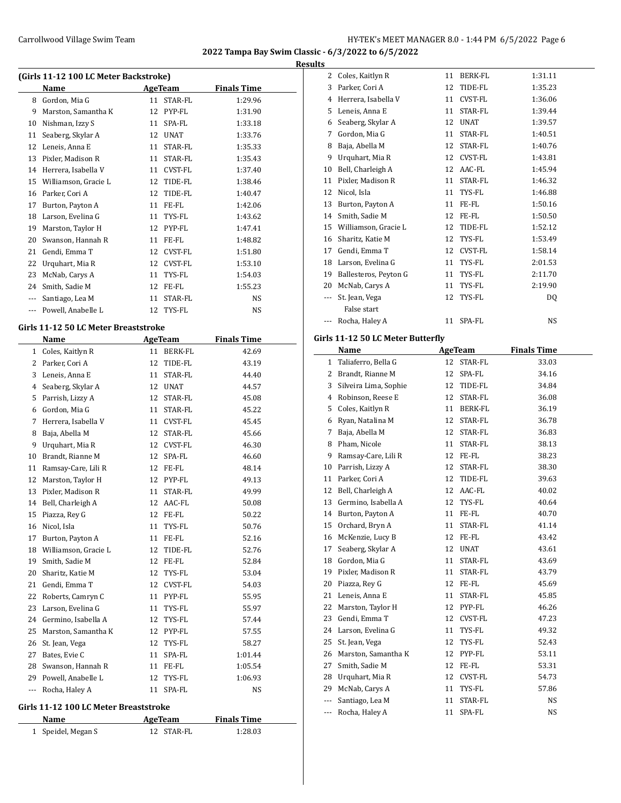**Results**

| (Girls 11-12 100 LC Meter Backstroke) |                      |    |                |                    |  |  |
|---------------------------------------|----------------------|----|----------------|--------------------|--|--|
|                                       | Name                 |    | AgeTeam        | <b>Finals Time</b> |  |  |
| 8                                     | Gordon, Mia G        | 11 | STAR-FL        | 1:29.96            |  |  |
| 9                                     | Marston, Samantha K  | 12 | PYP-FL         | 1:31.90            |  |  |
| 10                                    | Nishman, Izzy S      | 11 | SPA-FL         | 1:33.18            |  |  |
| 11                                    | Seaberg, Skylar A    | 12 | <b>UNAT</b>    | 1:33.76            |  |  |
| 12                                    | Leneis, Anna E       | 11 | STAR-FL        | 1:35.33            |  |  |
| 13                                    | Pixler, Madison R    | 11 | STAR-FL        | 1:35.43            |  |  |
| 14                                    | Herrera, Isabella V  | 11 | <b>CVST-FL</b> | 1:37.40            |  |  |
| 15                                    | Williamson, Gracie L | 12 | TIDE-FL        | 1:38.46            |  |  |
| 16                                    | Parker, Cori A       | 12 | TIDE-FL        | 1:40.47            |  |  |
| 17                                    | Burton, Payton A     | 11 | FE-FL          | 1:42.06            |  |  |
| 18                                    | Larson, Evelina G    | 11 | TYS-FL         | 1:43.62            |  |  |
| 19                                    | Marston, Taylor H    | 12 | PYP-FL         | 1:47.41            |  |  |
| 20                                    | Swanson, Hannah R    | 11 | FE-FL          | 1:48.82            |  |  |
| 21                                    | Gendi, Emma T        | 12 | CVST-FL        | 1:51.80            |  |  |
| 22                                    | Urquhart, Mia R      | 12 | CVST-FL        | 1:53.10            |  |  |
| 23                                    | McNab, Carys A       | 11 | TYS-FL         | 1:54.03            |  |  |
| 24                                    | Smith, Sadie M       | 12 | FE-FL          | 1:55.23            |  |  |
| ---                                   | Santiago, Lea M      | 11 | STAR-FL        | NS                 |  |  |
| $- - -$                               | Powell, Anabelle L   | 12 | TYS-FL         | NS                 |  |  |

### **Girls 11-12 50 LC Meter Breaststroke**

|         | Name                 |    | <b>AgeTeam</b> | <b>Finals Time</b> |
|---------|----------------------|----|----------------|--------------------|
| 1       | Coles, Kaitlyn R     | 11 | <b>BERK-FL</b> | 42.69              |
| 2       | Parker, Cori A       | 12 | TIDE-FL        | 43.19              |
| 3       | Leneis, Anna E       | 11 | STAR-FL        | 44.40              |
| 4       | Seaberg, Skylar A    | 12 | <b>UNAT</b>    | 44.57              |
| 5       | Parrish, Lizzy A     | 12 | STAR-FL        | 45.08              |
| 6       | Gordon, Mia G        | 11 | STAR-FL        | 45.22              |
| 7       | Herrera, Isabella V  | 11 | <b>CVST-FL</b> | 45.45              |
| 8       | Baja, Abella M       | 12 | STAR-FL        | 45.66              |
| 9       | Urquhart, Mia R      | 12 | <b>CVST-FL</b> | 46.30              |
| 10      | Brandt, Rianne M     | 12 | SPA-FL         | 46.60              |
| 11      | Ramsay-Care, Lili R  | 12 | FE-FL          | 48.14              |
| 12      | Marston, Taylor H    | 12 | PYP-FL         | 49.13              |
| 13      | Pixler, Madison R    | 11 | STAR-FL        | 49.99              |
| 14      | Bell, Charleigh A    | 12 | AAC-FL         | 50.08              |
| 15      | Piazza, Rey G        | 12 | FE-FL          | 50.22              |
| 16      | Nicol, Isla          | 11 | TYS-FL         | 50.76              |
| 17      | Burton, Payton A     | 11 | FE-FL          | 52.16              |
| 18      | Williamson, Gracie L | 12 | TIDE-FL        | 52.76              |
| 19      | Smith, Sadie M       | 12 | FE-FL          | 52.84              |
| 20      | Sharitz, Katie M     | 12 | TYS-FL         | 53.04              |
| 21      | Gendi, Emma T        | 12 | CVST-FL        | 54.03              |
| 22      | Roberts, Camryn C    | 11 | PYP-FL         | 55.95              |
| 23      | Larson, Evelina G    | 11 | TYS-FL         | 55.97              |
| 24      | Germino, Isabella A  | 12 | TYS-FL         | 57.44              |
| 25      | Marston, Samantha K  | 12 | PYP-FL         | 57.55              |
| 26      | St. Jean, Vega       | 12 | TYS-FL         | 58.27              |
| 27      | Bates, Evie C        | 11 | SPA-FL         | 1:01.44            |
| 28      | Swanson, Hannah R    | 11 | FE-FL          | 1:05.54            |
| 29      | Powell, Anabelle L   | 12 | TYS-FL         | 1:06.93            |
| $- - -$ | Rocha, Haley A       | 11 | SPA-FL         | NS                 |

### **Girls 11-12 100 LC Meter Breaststroke**

| Name               | AgeTeam    | <b>Finals Time</b> |  |
|--------------------|------------|--------------------|--|
| 1 Speidel, Megan S | 12 STAR-FL | 1:28.03            |  |

| 2   | Coles, Kaitlyn R      | 11 | BERK-FL     | 1:31.11 |  |
|-----|-----------------------|----|-------------|---------|--|
| 3   | Parker, Cori A        | 12 | TIDE-FL     | 1:35.23 |  |
| 4   | Herrera, Isabella V   | 11 | CVST-FL     | 1:36.06 |  |
| 5   | Leneis, Anna E        | 11 | STAR-FL     | 1:39.44 |  |
| 6   | Seaberg, Skylar A     | 12 | <b>UNAT</b> | 1:39.57 |  |
| 7   | Gordon, Mia G         | 11 | STAR-FL     | 1:40.51 |  |
| 8   | Baja, Abella M        | 12 | STAR-FL     | 1:40.76 |  |
| 9   | Urquhart, Mia R       | 12 | CVST-FL     | 1:43.81 |  |
| 10  | Bell, Charleigh A     | 12 | AAC-FL      | 1:45.94 |  |
| 11  | Pixler, Madison R     | 11 | STAR-FL     | 1:46.32 |  |
| 12  | Nicol, Isla           | 11 | TYS-FL      | 1:46.88 |  |
| 13  | Burton, Payton A      | 11 | FE-FL       | 1:50.16 |  |
| 14  | Smith, Sadie M        | 12 | FE-FL       | 1:50.50 |  |
| 15  | Williamson, Gracie L  | 12 | TIDE-FL     | 1:52.12 |  |
| 16  | Sharitz, Katie M      | 12 | TYS-FL      | 1:53.49 |  |
| 17  | Gendi, Emma T         | 12 | CVST-FL     | 1:58.14 |  |
| 18  | Larson, Evelina G     | 11 | TYS-FL      | 2:01.53 |  |
| 19  | Ballesteros, Peyton G | 11 | TYS-FL      | 2:11.70 |  |
| 20  | McNab, Carys A        | 11 | TYS-FL      | 2:19.90 |  |
| --- | St. Jean, Vega        | 12 | TYS-FL      | DQ      |  |
|     | False start           |    |             |         |  |
| --- | Rocha, Haley A        | 11 | SPA-FL      | NS      |  |

### **Girls 11-12 50 LC Meter Butterfly**

|     | Name                  |    | <b>AgeTeam</b> | <b>Finals Time</b> |
|-----|-----------------------|----|----------------|--------------------|
| 1   | Taliaferro, Bella G   | 12 | STAR-FL        | 33.03              |
| 2   | Brandt, Rianne M      | 12 | SPA-FL         | 34.16              |
| 3   | Silveira Lima, Sophie | 12 | TIDE-FL        | 34.84              |
| 4   | Robinson, Reese E     | 12 | STAR-FL        | 36.08              |
| 5   | Coles, Kaitlyn R      | 11 | <b>BERK-FL</b> | 36.19              |
| 6   | Ryan, Natalina M      | 12 | STAR-FL        | 36.78              |
| 7   | Baja, Abella M        | 12 | STAR-FL        | 36.83              |
| 8   | Pham, Nicole          | 11 | STAR-FL        | 38.13              |
| 9   | Ramsay-Care, Lili R   | 12 | FE-FL          | 38.23              |
| 10  | Parrish, Lizzy A      | 12 | STAR-FL        | 38.30              |
| 11  | Parker, Cori A        | 12 | TIDE-FL        | 39.63              |
| 12  | Bell, Charleigh A     | 12 | AAC-FL         | 40.02              |
| 13  | Germino, Isabella A   | 12 | TYS-FL         | 40.64              |
| 14  | Burton, Payton A      | 11 | FE-FL          | 40.70              |
| 15  | Orchard, Bryn A       | 11 | STAR-FL        | 41.14              |
| 16  | McKenzie, Lucy B      | 12 | FE-FL          | 43.42              |
| 17  | Seaberg, Skylar A     | 12 | <b>UNAT</b>    | 43.61              |
| 18  | Gordon, Mia G         | 11 | STAR-FL        | 43.69              |
| 19  | Pixler, Madison R     | 11 | STAR-FL        | 43.79              |
| 20  | Piazza, Rey G         | 12 | FE-FL          | 45.69              |
| 21  | Leneis, Anna E        | 11 | STAR-FL        | 45.85              |
| 22  | Marston, Taylor H     | 12 | PYP-FL         | 46.26              |
| 23  | Gendi, Emma T         | 12 | CVST-FL        | 47.23              |
| 24  | Larson, Evelina G     | 11 | TYS-FL         | 49.32              |
| 25  | St. Jean, Vega        | 12 | TYS-FL         | 52.43              |
| 26  | Marston, Samantha K   | 12 | PYP-FL         | 53.11              |
| 27  | Smith, Sadie M        | 12 | FE-FL          | 53.31              |
| 28  | Urquhart, Mia R       | 12 | <b>CVST-FL</b> | 54.73              |
| 29  | McNab, Carys A        | 11 | TYS-FL         | 57.86              |
| --- | Santiago, Lea M       | 11 | STAR-FL        | <b>NS</b>          |
| --- | Rocha, Haley A        | 11 | SPA-FL         | <b>NS</b>          |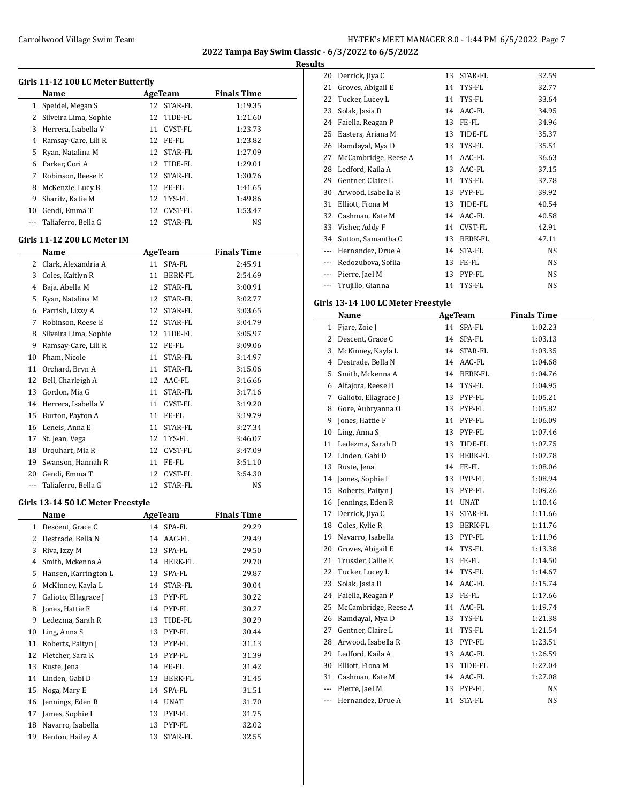**Results**

|          | Girls 11-12 100 LC Meter Butterfly  |                |                   |                    |  |
|----------|-------------------------------------|----------------|-------------------|--------------------|--|
|          | Name                                |                | AgeTeam           | <b>Finals Time</b> |  |
| 1        | Speidel, Megan S                    |                | 12 STAR-FL        | 1:19.35            |  |
|          | 2 Silveira Lima, Sophie             |                | 12 TIDE-FL        | 1:21.60            |  |
|          | 3 Herrera, Isabella V               |                | 11 CVST-FL        | 1:23.73            |  |
|          | 4 Ramsay-Care, Lili R               |                | 12 FE-FL          | 1:23.82            |  |
| 5        | Ryan, Natalina M                    |                | 12 STAR-FL        | 1:27.09            |  |
|          | 6 Parker, Cori A                    |                | 12 TIDE-FL        | 1:29.01            |  |
|          | 7 Robinson, Reese E                 |                | 12 STAR-FL        | 1:30.76            |  |
| 8        | McKenzie, Lucy B                    |                | 12 FE-FL          | 1:41.65            |  |
| 9        | Sharitz, Katie M                    |                | 12 TYS-FL         | 1:49.86            |  |
|          | 10 Gendi, Emma T                    |                | 12 CVST-FL        | 1:53.47            |  |
|          | --- Taliaferro, Bella G             |                | 12 STAR-FL        | NS                 |  |
|          | Girls 11-12 200 LC Meter IM         |                |                   |                    |  |
|          | Name                                |                | AgeTeam           | <b>Finals Time</b> |  |
|          | 2 Clark, Alexandria A               |                | 11 SPA-FL         | 2:45.91            |  |
|          | 3 Coles, Kaitlyn R                  |                | 11 BERK-FL        | 2:54.69            |  |
|          | 4 Baja, Abella M                    |                | 12 STAR-FL        | 3:00.91            |  |
|          | 5 Ryan, Natalina M                  |                | 12 STAR-FL        | 3:02.77            |  |
|          | 6 Parrish, Lizzy A                  |                | 12 STAR-FL        | 3:03.65            |  |
|          | 7 Robinson, Reese E                 |                | 12 STAR-FL        | 3:04.79            |  |
| 8        | Silveira Lima, Sophie               |                | 12 TIDE-FL        | 3:05.97            |  |
| 9        | Ramsay-Care, Lili R                 |                | 12 FE-FL          | 3:09.06            |  |
|          | 10 Pham, Nicole                     |                | 11 STAR-FL        | 3:14.97            |  |
|          | 11 Orchard, Bryn A                  |                | 11 STAR-FL        | 3:15.06            |  |
|          | 12 Bell, Charleigh A                |                | 12 AAC-FL         | 3:16.66            |  |
| 13       | Gordon, Mia G                       |                | 11 STAR-FL        | 3:17.16            |  |
|          | 14 Herrera, Isabella V              |                | 11 CVST-FL        | 3:19.20            |  |
| 15       | Burton, Payton A                    |                | 11 FE-FL          | 3:19.79            |  |
|          | 16 Leneis, Anna E                   |                | 11 STAR-FL        | 3:27.34            |  |
| 17       | St. Jean, Vega                      |                | 12 TYS-FL         | 3:46.07            |  |
|          | 18 Urquhart, Mia R                  |                | 12 CVST-FL        | 3:47.09            |  |
|          | 19 Swanson, Hannah R                |                | 11 FE-FL          | 3:51.10            |  |
|          | 20 Gendi, Emma T                    |                | 12 CVST-FL        | 3:54.30            |  |
| $\cdots$ | Taliaferro, Bella G                 |                | 12 STAR-FL        | NS                 |  |
|          | Girls 13-14 50 LC Meter Freestyle   |                |                   |                    |  |
|          | Name                                | <b>AgeTeam</b> |                   | <b>Finals Time</b> |  |
| 1        | Descent, Grace C                    | 14             | SPA-FL            | 29.29              |  |
| 2        | Destrade, Bella N                   | 14             | AAC-FL            | 29.49              |  |
| 3        |                                     |                |                   | 29.50              |  |
| 4        | Riva, Izzy M<br>Smith, Mckenna A    | 13<br>14       | SPA-FL<br>BERK-FL | 29.70              |  |
| 5        | Hansen, Karrington L                |                |                   |                    |  |
|          | McKinney, Kayla L                   | 13             | SPA-FL            | 29.87              |  |
| 6        | Galioto, Ellagrace J                | 14             | STAR-FL           | 30.04              |  |
| 7        |                                     | 13             | PYP-FL            | 30.22              |  |
| 8        | Jones, Hattie F<br>Ledezma, Sarah R | 14             | PYP-FL            | 30.27              |  |
| 9        |                                     | 13             | TIDE-FL           | 30.29              |  |
| 10       | Ling, Anna S                        | 13             | PYP-FL            | 30.44              |  |
| 11       | Roberts, Paityn J                   | 13             | PYP-FL            | 31.13              |  |
| 12       | Fletcher, Sara K                    | 14             | PYP-FL            | 31.39              |  |
| 13       | Ruste, Jena                         | 14             | FE-FL             | 31.42              |  |
| 14       | Linden, Gabi D                      | 13             | BERK-FL           | 31.45              |  |
| 15       | Noga, Mary E                        | 14             | SPA-FL            | 31.51              |  |
| 16       | Jennings, Eden R                    | 14             | <b>UNAT</b>       | 31.70              |  |
| 17       | James, Sophie I                     | 13             | PYP-FL            | 31.75              |  |
| 18       | Navarro, Isabella                   | 13             | PYP-FL            | 32.02              |  |
| 19       | Benton, Hailey A                    | 13             | STAR-FL           | 32.55              |  |

| ∼     |                      |    |                |       |
|-------|----------------------|----|----------------|-------|
| 20    | Derrick, Jiya C      | 13 | STAR-FL        | 32.59 |
| 21    | Groves, Abigail E    | 14 | TYS-FL         | 32.77 |
| 22    | Tucker, Lucey L      | 14 | TYS-FL         | 33.64 |
| 23    | Solak, Jasia D       | 14 | AAC-FL         | 34.95 |
| 24    | Faiella, Reagan P    | 13 | FE-FL          | 34.96 |
| 25    | Easters, Ariana M    | 13 | TIDE-FL        | 35.37 |
| 26    | Ramdayal, Mya D      | 13 | TYS-FL         | 35.51 |
| 27    | McCambridge, Reese A | 14 | AAC-FL         | 36.63 |
| 28    | Ledford, Kaila A     | 13 | AAC-FL         | 37.15 |
| 29    | Gentner, Claire L    | 14 | TYS-FL         | 37.78 |
| 30    | Arwood, Isabella R   | 13 | PYP-FL         | 39.92 |
| 31    | Elliott, Fiona M     | 13 | TIDE-FL        | 40.54 |
| 32    | Cashman, Kate M      | 14 | AAC-FL         | 40.58 |
| 33    | Visher, Addy F       | 14 | CVST-FL        | 42.91 |
| 34    | Sutton, Samantha C   | 13 | <b>BERK-FL</b> | 47.11 |
| $---$ | Hernandez, Drue A    | 14 | STA-FL         | NS    |
| $---$ | Redozubova, Sofiia   | 13 | FE-FL          | NS    |
| $---$ | Pierre, Jael M       | 13 | PYP-FL         | NS    |
|       | Trujillo, Gianna     | 14 | TYS-FL         | NS    |

### **Girls 13-14 100 LC Meter Freestyle**

|                | Name                 |    | <b>AgeTeam</b> | <b>Finals Time</b> |  |
|----------------|----------------------|----|----------------|--------------------|--|
| 1              | Fjare, Zoie J        |    | 14 SPA-FL      | 1:02.23            |  |
| 2              | Descent, Grace C     | 14 | SPA-FL         | 1:03.13            |  |
| 3              | McKinney, Kayla L    | 14 | STAR-FL        | 1:03.35            |  |
| 4              | Destrade, Bella N    | 14 | AAC-FL         | 1:04.68            |  |
| 5              | Smith, Mckenna A     |    | 14 BERK-FL     | 1:04.76            |  |
| 6              | Alfajora, Reese D    | 14 | TYS-FL         | 1:04.95            |  |
| 7              | Galioto, Ellagrace J | 13 | PYP-FL         | 1:05.21            |  |
| 8              | Gore, Aubryanna O    | 13 | PYP-FL         | 1:05.82            |  |
| 9              | Jones, Hattie F      | 14 | PYP-FL         | 1:06.09            |  |
| 10             | Ling, Anna S         | 13 | PYP-FL         | 1:07.46            |  |
| 11             | Ledezma, Sarah R     | 13 | TIDE-FL        | 1:07.75            |  |
| 12             | Linden, Gabi D       | 13 | <b>BERK-FL</b> | 1:07.78            |  |
| 13             | Ruste, Jena          | 14 | FE-FL          | 1:08.06            |  |
| 14             | James, Sophie I      | 13 | PYP-FL         | 1:08.94            |  |
| 15             | Roberts, Paityn J    | 13 | PYP-FL         | 1:09.26            |  |
| 16             | Jennings, Eden R     | 14 | <b>UNAT</b>    | 1:10.46            |  |
| 17             | Derrick, Jiya C      | 13 | STAR-FL        | 1:11.66            |  |
| 18             | Coles, Kylie R       | 13 | BERK-FL        | 1:11.76            |  |
| 19             | Navarro, Isabella    | 13 | PYP-FL         | 1:11.96            |  |
| 20             | Groves, Abigail E    | 14 | TYS-FL         | 1:13.38            |  |
| 21             | Trussler, Callie E   | 13 | FE-FL          | 1:14.50            |  |
| 22             | Tucker, Lucey L      | 14 | TYS-FL         | 1:14.67            |  |
| 23             | Solak, Jasia D       | 14 | AAC-FL         | 1:15.74            |  |
| 24             | Faiella, Reagan P    | 13 | FE-FL          | 1:17.66            |  |
| 25             | McCambridge, Reese A | 14 | AAC-FL         | 1:19.74            |  |
| 26             | Ramdayal, Mya D      | 13 | TYS-FL         | 1:21.38            |  |
| 27             | Gentner, Claire L    | 14 | TYS-FL         | 1:21.54            |  |
| 28             | Arwood, Isabella R   | 13 | PYP-FL         | 1:23.51            |  |
| 29             | Ledford, Kaila A     | 13 | AAC-FL         | 1:26.59            |  |
| 30             | Elliott, Fiona M     | 13 | TIDE-FL        | 1:27.04            |  |
| 31             | Cashman, Kate M      | 14 | AAC-FL         | 1:27.08            |  |
| $\overline{a}$ | Pierre, Jael M       | 13 | PYP-FL         | <b>NS</b>          |  |
| ---            | Hernandez, Drue A    | 14 | STA-FL         | <b>NS</b>          |  |
|                |                      |    |                |                    |  |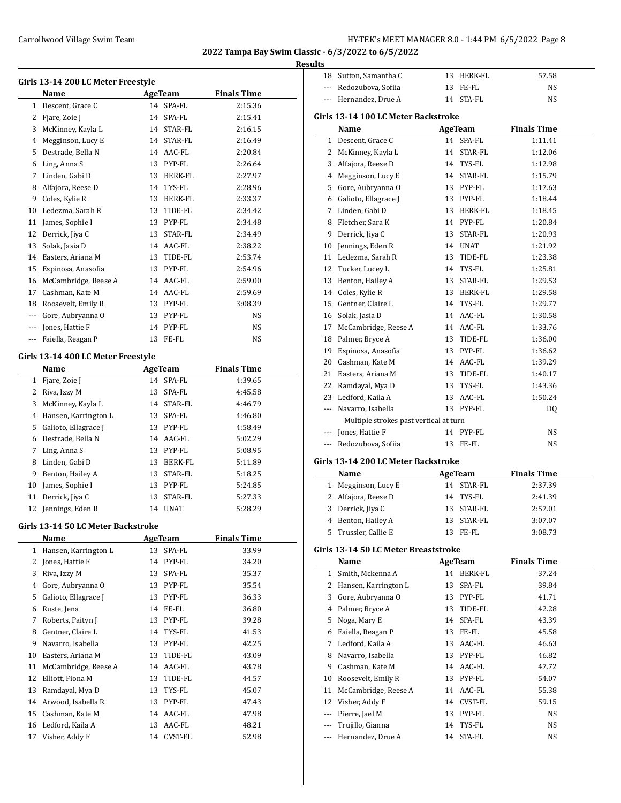#### **Results**

|              | Girls 13-14 200 LC Meter Freestyle |    |           |                    |
|--------------|------------------------------------|----|-----------|--------------------|
|              | Name                               |    | AgeTeam   | <b>Finals Time</b> |
| $\mathbf{1}$ | Descent, Grace C                   |    | 14 SPA-FL | 2:15.36            |
| 2            | Fjare, Zoie J                      | 14 | SPA-FL    | 2:15.41            |
| 3            | McKinney, Kayla L                  | 14 | STAR-FL   | 2:16.15            |
| 4            | Megginson, Lucy E                  | 14 | STAR-FL   | 2:16.49            |
| 5            | Destrade, Bella N                  | 14 | AAC-FL    | 2:20.84            |
| 6            | Ling, Anna S                       | 13 | PYP-FL    | 2:26.64            |
| 7            | Linden, Gabi D                     | 13 | BERK-FL   | 2:27.97            |
| 8            | Alfajora, Reese D                  | 14 | TYS-FL    | 2:28.96            |
| 9            | Coles, Kylie R                     | 13 | BERK-FL   | 2:33.37            |
| 10           | Ledezma, Sarah R                   | 13 | TIDE-FL   | 2:34.42            |
| 11           | James, Sophie I                    | 13 | PYP-FL    | 2:34.48            |
| 12           | Derrick, Jiya C                    | 13 | STAR-FL   | 2:34.49            |
| 13           | Solak, Jasia D                     | 14 | AAC-FL    | 2:38.22            |
| 14           | Easters, Ariana M                  | 13 | TIDE-FL   | 2:53.74            |
| 15           | Espinosa, Anasofia                 | 13 | PYP-FL    | 2:54.96            |
| 16           | McCambridge, Reese A               | 14 | AAC-FL    | 2:59.00            |
| 17           | Cashman, Kate M                    | 14 | AAC-FL    | 2:59.69            |
| 18           | Roosevelt, Emily R                 | 13 | PYP-FL    | 3:08.39            |
| ---          | Gore, Aubryanna O                  | 13 | PYP-FL    | NS                 |
| ---          | Jones, Hattie F                    | 14 | PYP-FL    | <b>NS</b>          |
| ---          | Faiella, Reagan P                  | 13 | FE-FL     | NS                 |
|              | Girls 13-14 400 LC Meter Freestyle |    |           |                    |

### **Name Age Team Finals Time** 1 Fjare, Zoie J 14 SPA-FL 4:39.65 Riva, Izzy M 13 SPA-FL 4:45.58 McKinney, Kayla L 14 STAR-FL 4:46.79 Hansen, Karrington L 13 SPA-FL 4:46.80 5 Galioto, Ellagrace J 13 PYP-FL 4:58.49 Destrade, Bella N 14 AAC-FL 5:02.29 Ling, Anna S 13 PYP-FL 5:08.95 Linden, Gabi D 13 BERK-FL 5:11.89 9 Benton, Hailey A 13 STAR-FL 5:18.25 10 James, Sophie I 13 PYP-FL 5:24.85 Derrick, Jiya C 13 STAR-FL 5:27.33 12 Jennings, Eden R 14 UNAT 5:28.29

#### **Girls 13-14 50 LC Meter Backstroke**

 $\overline{a}$ 

|    | Name                 |    | AgeTeam | <b>Finals Time</b> |
|----|----------------------|----|---------|--------------------|
| 1  | Hansen, Karrington L | 13 | SPA-FL  | 33.99              |
| 2  | Jones, Hattie F      | 14 | PYP-FL  | 34.20              |
| 3  | Riva, Izzy M         | 13 | SPA-FL  | 35.37              |
| 4  | Gore, Aubryanna O    | 13 | PYP-FL  | 35.54              |
| 5  | Galioto, Ellagrace J | 13 | PYP-FL  | 36.33              |
| 6  | Ruste, Jena          | 14 | FE-FL   | 36.80              |
| 7  | Roberts, Paityn J    | 13 | PYP-FL  | 39.28              |
| 8  | Gentner, Claire L    | 14 | TYS-FL  | 41.53              |
| 9  | Navarro, Isabella    | 13 | PYP-FL  | 42.25              |
| 10 | Easters, Ariana M    | 13 | TIDE-FL | 43.09              |
| 11 | McCambridge, Reese A | 14 | AAC-FL  | 43.78              |
| 12 | Elliott, Fiona M     | 13 | TIDE-FL | 44.57              |
| 13 | Ramdayal, Mya D      | 13 | TYS-FL  | 45.07              |
| 14 | Arwood, Isabella R   | 13 | PYP-FL  | 47.43              |
| 15 | Cashman, Kate M      | 14 | AAC-FL  | 47.98              |
| 16 | Ledford, Kaila A     | 13 | AAC-FL  | 48.21              |
| 17 | Visher, Addy F       | 14 | CVST-FL | 52.98              |

| 1 L S                    |                                        |    |                |                    |  |
|--------------------------|----------------------------------------|----|----------------|--------------------|--|
| 18                       | Sutton, Samantha C                     | 13 | BERK-FL        | 57.58              |  |
| $\overline{\phantom{a}}$ | Redozubova, Sofiia                     |    | 13 FE-FL       | NS                 |  |
| $---$                    | Hernandez, Drue A                      |    | 14 STA-FL      | NS                 |  |
|                          |                                        |    |                |                    |  |
|                          | Girls 13-14 100 LC Meter Backstroke    |    |                |                    |  |
|                          | Name                                   |    | AgeTeam        | <b>Finals Time</b> |  |
| 1                        | Descent, Grace C                       |    | 14 SPA-FL      | 1:11.41            |  |
| 2                        | McKinney, Kayla L                      |    | 14 STAR-FL     | 1:12.06            |  |
| 3                        | Alfajora, Reese D                      |    | 14 TYS-FL      | 1:12.98            |  |
| 4                        | Megginson, Lucy E                      |    | 14 STAR-FL     | 1:15.79            |  |
| 5                        | Gore, Aubryanna O                      |    | 13 PYP-FL      | 1:17.63            |  |
| 6                        | Galioto, Ellagrace J                   |    | 13 PYP-FL      | 1:18.44            |  |
| 7                        | Linden, Gabi D                         |    | 13 BERK-FL     | 1:18.45            |  |
| 8                        | Fletcher, Sara K                       |    | 14 PYP-FL      | 1:20.84            |  |
| 9                        | Derrick, Jiya C                        |    | 13 STAR-FL     | 1:20.93            |  |
| 10                       | Jennings, Eden R                       |    | 14 UNAT        | 1:21.92            |  |
| 11                       | Ledezma, Sarah R                       |    | 13 TIDE-FL     | 1:23.38            |  |
| 12                       | Tucker, Lucey L                        |    | 14 TYS-FL      | 1:25.81            |  |
| 13                       | Benton, Hailey A                       |    | 13 STAR-FL     | 1:29.53            |  |
| 14                       | Coles, Kylie R                         |    | 13 BERK-FL     | 1:29.58            |  |
| 15                       | Gentner, Claire L                      |    | 14 TYS-FL      | 1:29.77            |  |
| 16                       | Solak, Jasia D                         |    | 14 AAC-FL      | 1:30.58            |  |
| 17                       | McCambridge, Reese A                   |    | 14 AAC-FL      | 1:33.76            |  |
| 18                       | Palmer, Bryce A                        |    | 13 TIDE-FL     | 1:36.00            |  |
| 19                       | Espinosa, Anasofia                     |    | 13 PYP-FL      | 1:36.62            |  |
| 20                       | Cashman, Kate M                        |    | 14 AAC-FL      | 1:39.29            |  |
| 21                       | Easters, Ariana M                      |    | 13 TIDE-FL     | 1:40.17            |  |
| 22                       | Ramdayal, Mya D                        |    | 13 TYS-FL      | 1:43.36            |  |
| 23                       | Ledford, Kaila A                       |    | 13 AAC-FL      | 1:50.24            |  |
| ---                      | Navarro, Isabella                      |    | 13 PYP-FL      | DQ                 |  |
|                          | Multiple strokes past vertical at turn |    |                |                    |  |
| $\overline{a}$           | Jones, Hattie F                        |    | 14 PYP-FL      | NS                 |  |
|                          | Redozubova, Sofiia                     |    | 13 FE-FL       | NS                 |  |
|                          | Girls 13-14 200 LC Meter Backstroke    |    |                |                    |  |
|                          |                                        |    |                |                    |  |
|                          | Name                                   |    | AgeTeam        | <b>Finals Time</b> |  |
| $\mathbf{1}$             | Megginson, Lucy E                      |    | 14 STAR-FL     | 2:37.39            |  |
| 2<br>3                   | Alfajora, Reese D                      |    | 14 TYS-FL      | 2:41.39            |  |
|                          | Derrick, Jiya C                        |    | 13 STAR-FL     | 2:57.01            |  |
| $\overline{4}$           | Benton, Hailey A                       |    | 13 STAR-FL     | 3:07.07            |  |
| 5                        | Trussler, Callie E                     |    | 13 FE-FL       | 3:08.73            |  |
|                          | Girls 13-14 50 LC Meter Breaststroke   |    |                |                    |  |
|                          | Name                                   |    | <b>AgeTeam</b> | <b>Finals Time</b> |  |
|                          | 1 Smith, Mckenna A                     |    | 14 BERK-FL     | 37.24              |  |
|                          |                                        |    |                |                    |  |

| 1 Megginson, Lucy E  | 14 STAR-FL | 2:37.39 |  |
|----------------------|------------|---------|--|
| 2 Alfajora, Reese D  | 14 TYS-FL  | 2:41.39 |  |
| 3 Derrick, Jiya C    | 13 STAR-FL | 2:57.01 |  |
| 4 Benton, Hailey A   | 13 STAR-FL | 3:07.07 |  |
| 5 Trussler, Callie E | FE-FL      | 3:08.73 |  |

|    | Name                 |    | AgeTeam        | <b>Finals Time</b> |  |
|----|----------------------|----|----------------|--------------------|--|
|    | 1 Smith, Mckenna A   | 14 | <b>BERK-FL</b> | 37.24              |  |
| 2  | Hansen, Karrington L | 13 | SPA-FL         | 39.84              |  |
| 3  | Gore, Aubryanna O    | 13 | PYP-FL         | 41.71              |  |
| 4  | Palmer, Bryce A      | 13 | TIDE-FL        | 42.28              |  |
| 5  | Noga, Mary E         |    | 14 SPA-FL      | 43.39              |  |
| 6  | Faiella, Reagan P    | 13 | FE-FL          | 45.58              |  |
| 7  | Ledford, Kaila A     | 13 | AAC-FL         | 46.63              |  |
| 8  | Navarro, Isabella    | 13 | PYP-FL         | 46.82              |  |
| 9  | Cashman, Kate M      | 14 | AAC-FL         | 47.72              |  |
| 10 | Roosevelt, Emily R   | 13 | PYP-FL         | 54.07              |  |
| 11 | McCambridge, Reese A | 14 | AAC-FL         | 55.38              |  |
| 12 | Visher, Addy F       | 14 | CVST-FL        | 59.15              |  |
|    | Pierre, Jael M       | 13 | PYP-FL         | NS                 |  |
|    | Trujillo, Gianna     | 14 | TYS-FL         | NS                 |  |
|    | Hernandez, Drue A    | 14 | STA-FL         | NS                 |  |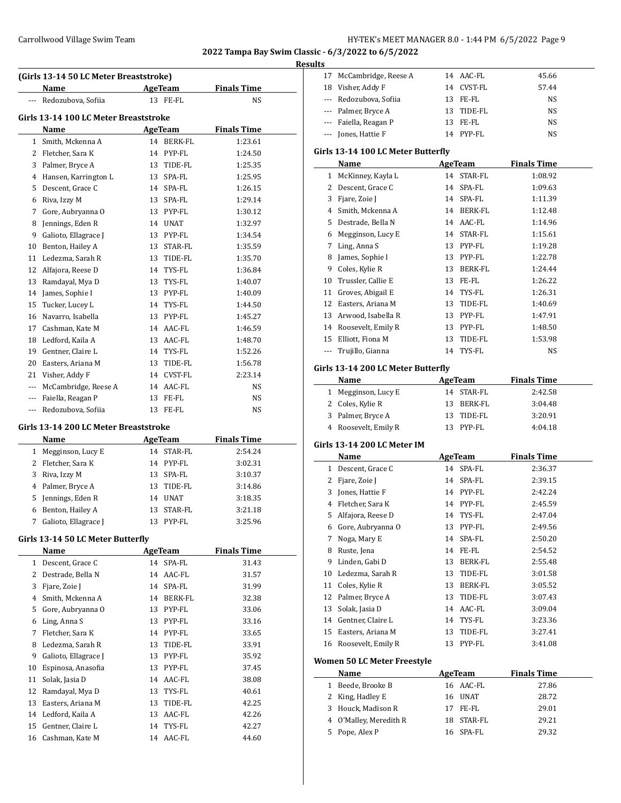### **Results**

|          | (Girls 13-14 50 LC Meter Breaststroke) |    |                |                    |  |
|----------|----------------------------------------|----|----------------|--------------------|--|
|          | Name                                   |    | AgeTeam        | <b>Finals Time</b> |  |
| ---      | Redozubova, Sofiia                     |    | 13 FE-FL       | <b>NS</b>          |  |
|          | Girls 13-14 100 LC Meter Breaststroke  |    |                |                    |  |
|          | Name                                   |    | AgeTeam        | <b>Finals Time</b> |  |
| 1        | Smith, Mckenna A                       |    | 14 BERK-FL     | 1:23.61            |  |
| 2        | Fletcher, Sara K                       | 14 | PYP-FL         | 1:24.50            |  |
| 3        | Palmer, Bryce A                        | 13 | TIDE-FL        | 1:25.35            |  |
| 4        | Hansen, Karrington L                   | 13 | SPA-FL         | 1:25.95            |  |
| 5        | Descent, Grace C                       | 14 | SPA-FL         | 1:26.15            |  |
| 6        | Riva, Izzy M                           | 13 | SPA-FL         | 1:29.14            |  |
| 7        | Gore, Aubryanna O                      | 13 | PYP-FL         | 1:30.12            |  |
| 8        | Jennings, Eden R                       | 14 | <b>UNAT</b>    | 1:32.97            |  |
| 9        | Galioto, Ellagrace J                   | 13 | PYP-FL         | 1:34.54            |  |
| 10       | Benton, Hailey A                       | 13 | <b>STAR-FL</b> | 1:35.59            |  |
| 11       | Ledezma, Sarah R                       | 13 | TIDE-FL        | 1:35.70            |  |
| 12       | Alfajora, Reese D                      | 14 | TYS-FL         | 1:36.84            |  |
| 13       | Ramdayal, Mya D                        | 13 | TYS-FL         | 1:40.07            |  |
| 14       | James, Sophie I                        | 13 | PYP-FL         | 1:40.09            |  |
| 15       | Tucker, Lucey L                        | 14 | TYS-FL         | 1:44.50            |  |
| 16       | Navarro, Isabella                      | 13 | PYP-FL         | 1:45.27            |  |
| 17       | Cashman, Kate M                        | 14 | AAC-FL         | 1:46.59            |  |
| 18       | Ledford, Kaila A                       | 13 | AAC-FL         | 1:48.70            |  |
| 19       | Gentner, Claire L                      | 14 | TYS-FL         | 1:52.26            |  |
| 20       | Easters, Ariana M                      | 13 | TIDE-FL        | 1:56.78            |  |
| 21       | Visher, Addy F                         | 14 | <b>CVST-FL</b> | 2:23.14            |  |
| $\cdots$ | McCambridge, Reese A                   | 14 | AAC-FL         | <b>NS</b>          |  |
|          | Faiella, Reagan P                      | 13 | FE-FL          | <b>NS</b>          |  |
|          | Redozubova, Sofiia                     | 13 | FE-FL          | <b>NS</b>          |  |

#### **Girls 13-14 200 LC Meter Breaststroke**

|   | Name                 |     | AgeTeam   | <b>Finals Time</b> |
|---|----------------------|-----|-----------|--------------------|
|   | 1 Megginson, Lucy E  | 14  | STAR-FL   | 2:54.24            |
|   | 2 Fletcher, Sara K   |     | 14 PYP-FL | 3:02.31            |
|   | 3 Riva, Izzy M       |     | 13 SPA-FL | 3:10.37            |
|   | 4 Palmer, Bryce A    | 13. | TIDE-FL   | 3:14.86            |
|   | 5 Jennings, Eden R   | 14  | UNAT      | 3:18.35            |
| 6 | Benton, Hailey A     | 13  | STAR-FL   | 3:21.18            |
|   | Galioto, Ellagrace J |     | PYP-FL    | 3:25.96            |

### **Girls 13-14 50 LC Meter Butterfly**

|    | Name                 |    | <b>AgeTeam</b> | <b>Finals Time</b> |
|----|----------------------|----|----------------|--------------------|
| 1  | Descent, Grace C     |    | 14 SPA-FL      | 31.43              |
| 2  | Destrade, Bella N    | 14 | AAC-FL         | 31.57              |
| 3  | Fjare, Zoie J        | 14 | SPA-FL         | 31.99              |
| 4  | Smith, Mckenna A     | 14 | BERK-FL        | 32.38              |
| 5  | Gore, Aubryanna O    | 13 | PYP-FL         | 33.06              |
| 6  | Ling, Anna S         | 13 | PYP-FL         | 33.16              |
| 7  | Fletcher, Sara K     | 14 | PYP-FL         | 33.65              |
| 8  | Ledezma, Sarah R     | 13 | TIDE-FL        | 33.91              |
| 9  | Galioto, Ellagrace J | 13 | PYP-FL         | 35.92              |
| 10 | Espinosa, Anasofia   | 13 | PYP-FL         | 37.45              |
| 11 | Solak, Jasia D       | 14 | AAC-FL         | 38.08              |
| 12 | Ramdayal, Mya D      | 13 | TYS-FL         | 40.61              |
| 13 | Easters, Ariana M    | 13 | TIDE-FL        | 42.25              |
|    | 14 Ledford, Kaila A  | 13 | AAC-FL         | 42.26              |
| 15 | Gentner, Claire L    | 14 | TYS-FL         | 42.27              |
| 16 | Cashman, Kate M      | 14 | AAC-FL         | 44.60              |
|    |                      |    |                |                    |

| սււթ |                                            |          |                  |                    |  |
|------|--------------------------------------------|----------|------------------|--------------------|--|
|      | 17 McCambridge, Reese A                    |          | 14 AAC-FL        | 45.66              |  |
|      | 18 Visher, Addy F                          |          | 14 CVST-FL       | 57.44              |  |
|      | --- Redozubova, Sofiia                     |          | 13 FE-FL         | NS                 |  |
|      | --- Palmer, Bryce A                        |          | 13 TIDE-FL       | NS                 |  |
|      | --- Faiella, Reagan P                      |          | 13 FE-FL         | NS                 |  |
|      | --- Jones, Hattie F                        |          | 14 PYP-FL        | NS                 |  |
|      |                                            |          |                  |                    |  |
|      | Girls 13-14 100 LC Meter Butterfly         |          |                  |                    |  |
|      | Name                                       |          | <b>AgeTeam</b>   | <b>Finals Time</b> |  |
|      | 1 McKinney, Kayla L                        |          | 14 STAR-FL       | 1:08.92            |  |
|      | 2 Descent, Grace C                         |          | 14 SPA-FL        | 1:09.63            |  |
|      | 3 Fjare, Zoie J                            |          | 14 SPA-FL        | 1:11.39            |  |
|      | 4 Smith, Mckenna A                         |          | 14 BERK-FL       | 1:12.48            |  |
|      | 5 Destrade, Bella N                        |          | 14 AAC-FL        | 1:14.96            |  |
|      | 6 Megginson, Lucy E                        |          | 14 STAR-FL       | 1:15.61            |  |
|      | 7 Ling, Anna S                             |          | 13 PYP-FL        | 1:19.28            |  |
| 8    | James, Sophie I                            |          | 13 PYP-FL        | 1:22.78            |  |
|      | 9 Coles, Kylie R                           |          | 13 BERK-FL       | 1:24.44            |  |
|      | 10 Trussler, Callie E                      |          | 13 FE-FL         | 1:26.22            |  |
|      | 11 Groves, Abigail E                       |          | 14 TYS-FL        | 1:26.31            |  |
|      | 12 Easters, Ariana M                       |          | 13 TIDE-FL       | 1:40.69            |  |
|      | 13 Arwood, Isabella R                      |          | 13 PYP-FL        | 1:47.91            |  |
|      | 14 Roosevelt, Emily R                      |          | 13 PYP-FL        | 1:48.50            |  |
|      | 15 Elliott, Fiona M                        |          | 13 TIDE-FL       | 1:53.98            |  |
|      | --- Trujillo, Gianna                       |          | 14 TYS-FL        | NS                 |  |
|      |                                            |          |                  |                    |  |
|      | Girls 13-14 200 LC Meter Butterfly         |          |                  |                    |  |
|      | Name                                       |          | <b>AgeTeam</b>   | <b>Finals Time</b> |  |
|      | 1 Megginson, Lucy E                        |          | 14 STAR-FL       | 2:42.58            |  |
|      |                                            |          |                  |                    |  |
|      | 2 Coles, Kylie R                           |          | 13 BERK-FL       | 3:04.48            |  |
|      | 3 Palmer, Bryce A                          |          | 13 TIDE-FL       | 3:20.91            |  |
|      | 4 Roosevelt, Emily R                       |          | 13 PYP-FL        | 4:04.18            |  |
|      |                                            |          |                  |                    |  |
|      | Girls 13-14 200 LC Meter IM                |          |                  |                    |  |
|      | Name                                       |          | <b>AgeTeam</b>   | <b>Finals Time</b> |  |
|      | 1 Descent, Grace C                         |          | 14 SPA-FL        | 2:36.37            |  |
|      | 2 Fjare, Zoie J                            |          | 14 SPA-FL        | 2:39.15            |  |
|      | 3 Jones, Hattie F                          |          | 14 PYP-FL        | 2:42.24            |  |
|      | 4 Fletcher, Sara K                         |          | 14 PYP-FL        | 2:45.59            |  |
| 5    | Alfajora, Reese D                          |          | 14 TYS-FL        | 2:47.04            |  |
| 6    | Gore, Aubryanna O                          |          | 13 PYP-FL        | 2:49.56            |  |
| 7    | Noga, Mary E                               | 14       | SPA-FL           | 2:50.20            |  |
| 8    | Ruste, Jena                                |          | 14 FE-FL         | 2:54.52            |  |
| 9    | Linden, Gabi D                             | 13       | BERK-FL          | 2:55.48            |  |
| 10   | Ledezma, Sarah R                           | 13       | TIDE-FL          | 3:01.58            |  |
|      | 11 Coles, Kylie R                          | 13       | BERK-FL          | 3:05.52            |  |
|      | 12 Palmer, Bryce A                         |          | 13 TIDE-FL       | 3:07.43            |  |
|      | 13 Solak, Jasia D                          |          | 14 AAC-FL        | 3:09.04            |  |
|      | 14 Gentner, Claire L                       |          | 14 TYS-FL        | 3:23.36            |  |
|      | 15 Easters, Ariana M                       | 13       | TIDE-FL          | 3:27.41            |  |
| 16   | Roosevelt, Emily R                         | 13       | PYP-FL           | 3:41.08            |  |
|      |                                            |          |                  |                    |  |
|      | <b>Women 50 LC Meter Freestyle</b>         |          |                  |                    |  |
|      | Name                                       |          | <b>AgeTeam</b>   | <b>Finals Time</b> |  |
|      | 1 Beede, Brooke B                          | 16       | AAC-FL           | 27.86              |  |
|      | 2 King, Hadley E                           | 16       | UNAT             | 28.72              |  |
| 4    | 3 Houck, Madison R<br>O'Malley, Meredith R | 17<br>18 | FE-FL<br>STAR-FL | 29.01<br>29.21     |  |

 O'Malley, Meredith R 18 STAR-FL 29.21 Pope, Alex P 16 SPA-FL 29.32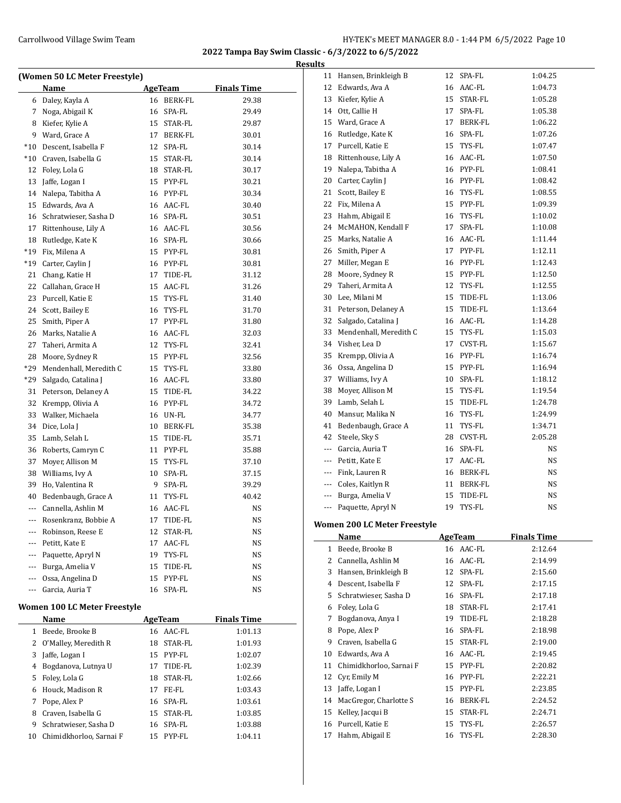|                |                                      |    |                |                    | <b>Results</b> |
|----------------|--------------------------------------|----|----------------|--------------------|----------------|
|                | (Women 50 LC Meter Freestyle)        |    |                |                    |                |
|                | Name                                 |    | AgeTeam        | <b>Finals Time</b> |                |
|                | 6 Daley, Kayla A                     |    | 16 BERK-FL     | 29.38              |                |
| 7              | Noga, Abigail K                      |    | 16 SPA-FL      | 29.49              |                |
|                | 8 Kiefer, Kylie A                    |    | 15 STAR-FL     | 29.87              |                |
|                | 9 Ward, Grace A                      |    | 17 BERK-FL     | 30.01              |                |
|                | *10 Descent, Isabella F              |    | 12 SPA-FL      | 30.14              |                |
|                | *10 Craven, Isabella G               |    | 15 STAR-FL     | 30.14              |                |
| 12             | Foley, Lola G                        |    | 18 STAR-FL     | 30.17              |                |
|                | 13 Jaffe, Logan I                    |    | 15 PYP-FL      | 30.21              |                |
|                | 14 Nalepa, Tabitha A                 |    | 16 PYP-FL      | 30.34              |                |
|                | 15 Edwards, Ava A                    |    | 16 AAC-FL      | 30.40              |                |
|                | 16 Schratwieser, Sasha D             |    | 16 SPA-FL      | 30.51              |                |
| 17             | Rittenhouse, Lily A                  |    | 16 AAC-FL      | 30.56              |                |
| 18             | Rutledge, Kate K                     |    | 16 SPA-FL      | 30.66              |                |
| $*19$          | Fix, Milena A                        |    | 15 PYP-FL      | 30.81              | 2              |
|                | *19 Carter, Caylin J                 |    | 16 PYP-FL      | 30.81              |                |
| 21             | Chang, Katie H                       |    | 17 TIDE-FL     | 31.12              | 2              |
| 22             | Callahan, Grace H                    |    | 15 AAC-FL      | 31.26              | 2              |
|                | 23 Purcell, Katie E                  |    | 15 TYS-FL      | 31.40              |                |
| 24             | Scott, Bailey E                      |    | 16 TYS-FL      | 31.70              |                |
| 25             | Smith, Piper A                       |    | 17 PYP-FL      | 31.80              |                |
|                | 26 Marks, Natalie A                  |    | 16 AAC-FL      | 32.03              | Ξ              |
| 27             | Taheri, Armita A                     |    | 12 TYS-FL      | 32.41              | Ξ              |
|                | 28 Moore, Sydney R                   |    | 15 PYP-FL      | 32.56              | Ξ              |
| *29            | Mendenhall, Meredith C               |    | 15 TYS-FL      | 33.80              | Ξ              |
| *29            | Salgado, Catalina J                  |    | 16 AAC-FL      | 33.80              | Ξ              |
| 31             | Peterson, Delaney A                  |    | 15 TIDE-FL     | 34.22              | Ξ              |
| 32             | Krempp, Olivia A                     |    | 16 PYP-FL      | 34.72              | Ξ              |
|                | 33 Walker, Michaela                  |    | 16 UN-FL       | 34.77              |                |
|                | 34 Dice, Lola J                      |    | 10 BERK-FL     | 35.38              |                |
|                | 35 Lamb, Selah L                     |    | 15 TIDE-FL     | 35.71              |                |
|                | 36 Roberts, Camryn C                 |    | 11 PYP-FL      | 35.88              |                |
| 37             | Moyer, Allison M                     |    | 15 TYS-FL      | 37.10              |                |
|                | 38 Williams, Ivy A                   |    | 10 SPA-FL      | 37.15              |                |
|                | 39 Ho, Valentina R                   |    | 9 SPA-FL       | 39.29              |                |
|                | 40 Bedenbaugh, Grace A               |    | 11 TYS-FL      | 40.42              |                |
| $\overline{a}$ | Cannella, Ashlin M                   |    | 16 AAC-FL      | NS                 |                |
| $\cdots$       | Rosenkranz, Bobbie A                 | 17 | TIDE-FL        | NS                 |                |
|                | Robinson, Reese E                    | 12 | STAR-FL        | NS                 | Wo             |
| ---            | Petitt, Kate E                       | 17 | AAC-FL         |                    |                |
|                |                                      |    | TYS-FL         | NS                 |                |
| ---            | Paquette, Apryl N                    | 19 |                | NS                 |                |
| ---            | Burga, Amelia V                      | 15 | TIDE-FL        | NS                 |                |
| ---            | Ossa, Angelina D                     |    | 15 PYP-FL      | NS                 |                |
|                | Garcia, Auria T                      |    | 16 SPA-FL      | NS                 |                |
|                | Women 100 LC Meter Freestyle<br>Name |    | <b>AgeTeam</b> | <b>Finals Time</b> |                |
| 1              | Beede, Brooke B                      |    | 16 AAC-FL      | 1:01.13            |                |
| 2              | O'Malley, Meredith R                 | 18 | STAR-FL        | 1:01.93            |                |
| 3              | Jaffe, Logan I                       | 15 | PYP-FL         | 1:02.07            |                |
|                |                                      |    |                |                    |                |

4 Bogdanova, Lutnya U 17 TIDE-FL 1:02.39 Foley, Lola G 18 STAR-FL 1:02.66 Houck, Madison R 17 FE-FL 1:03.43 7 Pope, Alex P 16 SPA-FL 1:03.61 8 Craven, Isabella G 15 STAR-FL 1:03.85 9 Schratwieser, Sasha D 16 SPA-FL 1:03.88 10 Chimidkhorloo, Sarnai F 15 PYP-FL 1:04.11

| 11                       | Hansen, Brinkleigh B         | 12 | SPA-FL         | 1:04.25            |
|--------------------------|------------------------------|----|----------------|--------------------|
| 12                       | Edwards, Ava A               |    | 16 AAC-FL      | 1:04.73            |
| 13                       | Kiefer, Kylie A              |    | 15 STAR-FL     | 1:05.28            |
| 14                       | Ott, Callie H                | 17 | SPA-FL         | 1:05.38            |
| 15                       | Ward, Grace A                | 17 | BERK-FL        | 1:06.22            |
| 16                       | Rutledge, Kate K             |    | 16 SPA-FL      | 1:07.26            |
| 17                       | Purcell, Katie E             |    | 15 TYS-FL      | 1:07.47            |
| 18                       | Rittenhouse, Lily A          |    | 16 AAC-FL      | 1:07.50            |
| 19                       | Nalepa, Tabitha A            |    | 16 PYP-FL      | 1:08.41            |
| 20                       | Carter, Caylin J             |    | 16 PYP-FL      | 1:08.42            |
| 21                       | Scott, Bailey E              |    | 16 TYS-FL      | 1:08.55            |
| 22                       | Fix, Milena A                |    | 15 PYP-FL      | 1:09.39            |
| 23                       | Hahm, Abigail E              |    | 16 TYS-FL      | 1:10.02            |
| 24                       | McMAHON, Kendall F           | 17 | SPA-FL         | 1:10.08            |
| 25                       | Marks, Natalie A             |    | 16 AAC-FL      | 1:11.44            |
|                          |                              |    |                |                    |
| 26                       | Smith, Piper A               |    | 17 PYP-FL      | 1:12.11            |
| 27                       | Miller, Megan E              |    | 16 PYP-FL      | 1:12.43            |
| 28                       | Moore, Sydney R              |    | 15 PYP-FL      | 1:12.50            |
| 29                       | Taheri, Armita A             | 12 | TYS-FL         | 1:12.55            |
| 30                       | Lee, Milani M                |    | 15 TIDE-FL     | 1:13.06            |
| 31                       | Peterson, Delaney A          |    | 15 TIDE-FL     | 1:13.64            |
| 32                       | Salgado, Catalina J          |    | 16 AAC-FL      | 1:14.28            |
| 33                       | Mendenhall, Meredith C       |    | 15 TYS-FL      | 1:15.03            |
| 34                       | Visher, Lea D                |    | 17 CVST-FL     | 1:15.67            |
| 35                       | Krempp, Olivia A             |    | 16 PYP-FL      | 1:16.74            |
| 36                       | Ossa, Angelina D             |    | 15 PYP-FL      | 1:16.94            |
| 37                       | Williams, Ivy A              |    | 10 SPA-FL      | 1:18.12            |
| 38                       | Moyer, Allison M             | 15 | TYS-FL         | 1:19.54            |
| 39                       | Lamb, Selah L                | 15 | TIDE-FL        | 1:24.78            |
| 40                       | Mansur, Malika N             | 16 | TYS-FL         | 1:24.99            |
| 41                       | Bedenbaugh, Grace A          | 11 | TYS-FL         | 1:34.71            |
| 42                       | Steele, Sky S                |    | 28 CVST-FL     | 2:05.28            |
| ---                      | Garcia, Auria T              |    | 16 SPA-FL      | NS                 |
|                          | --- Petitt, Kate E           |    | 17 AAC-FL      | NS                 |
|                          | --- Fink, Lauren R           |    | 16 BERK-FL     | NS                 |
|                          | --- Coles, Kaitlyn R         |    | 11 BERK-FL     | NS                 |
|                          | --- Burga, Amelia V          | 15 | TIDE-FL        | NS                 |
| $\overline{\phantom{a}}$ | Paquette, Apryl N            | 19 | TYS-FL         | NS                 |
|                          |                              |    |                |                    |
|                          | Women 200 LC Meter Freestyle |    |                |                    |
|                          | <b>Name</b>                  |    | <b>AgeTeam</b> | <b>Finals Time</b> |
| 1                        | Beede, Brooke B              |    | 16 AAC-FL      | 2:12.64            |
| 2                        | Cannella, Ashlin M           | 16 | AAC-FL         | 2:14.99            |
| 3                        | Hansen, Brinkleigh B         | 12 | SPA-FL         | 2:15.60            |
| 4                        | Descent, Isabella F          | 12 | SPA-FL         | 2:17.15            |
| 5                        | Schratwieser, Sasha D        | 16 | SPA-FL         | 2:17.18            |
| 6                        | Foley, Lola G                | 18 | STAR-FL        | 2:17.41            |
| 7                        | Bogdanova, Anya I            | 19 | TIDE-FL        | 2:18.28            |
| 8                        | Pope, Alex P                 | 16 | SPA-FL         | 2:18.98            |
| 9                        | Craven, Isabella G           | 15 | STAR-FL        | 2:19.00            |
| 10                       | Edwards, Ava A               |    | 16 AAC-FL      | 2:19.45            |
| 11                       | Chimidkhorloo, Sarnai F      | 15 | PYP-FL         | 2:20.82            |
| 12                       | Cyr, Emily M                 | 16 | PYP-FL         | 2:22.21            |
| 13                       | Jaffe, Logan I               | 15 | PYP-FL         | 2:23.85            |
| 14                       | MacGregor, Charlotte S       |    | 16 BERK-FL     | 2:24.52            |
| 15                       | Kelley, Jacqui B             | 15 | STAR-FL        | 2:24.71            |
| 16                       | Purcell, Katie E             | 15 | TYS-FL         | 2:26.57            |

Hahm, Abigail E 16 TYS-FL 2:28.30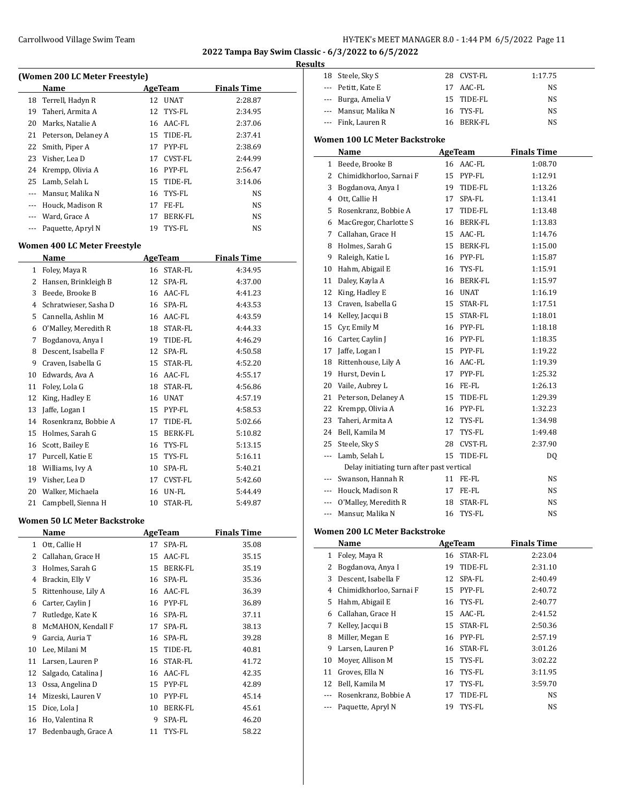### Carrollwood Village Swim Team **HY-TEK's MEET MANAGER 8.0 - 1:44 PM 6/5/2022** Page 11

**2022 Tampa Bay Swim Classic - 6/3/2022 to 6/5/2022**

#### **Results**

| (Women 200 LC Meter Freestyle) |                     |         |                |                    |  |  |  |
|--------------------------------|---------------------|---------|----------------|--------------------|--|--|--|
|                                | Name                | AgeTeam |                | <b>Finals Time</b> |  |  |  |
| 18                             | Terrell, Hadyn R    | 12      | <b>UNAT</b>    | 2:28.87            |  |  |  |
| 19                             | Taheri, Armita A    | 12      | TYS-FL         | 2:34.95            |  |  |  |
| 20                             | Marks, Natalie A    | 16      | AAC-FL         | 2:37.06            |  |  |  |
| 21                             | Peterson, Delaney A | 15      | TIDE-FL        | 2:37.41            |  |  |  |
| 22                             | Smith, Piper A      | 17      | PYP-FL         | 2:38.69            |  |  |  |
| 23                             | Visher, Lea D       | 17      | CVST-FL        | 2:44.99            |  |  |  |
| 24                             | Krempp, Olivia A    | 16      | PYP-FL         | 2:56.47            |  |  |  |
| 25                             | Lamb, Selah L       | 15      | TIDE-FL        | 3:14.06            |  |  |  |
| ---                            | Mansur, Malika N    | 16      | TYS-FL         | NS                 |  |  |  |
| ---                            | Houck, Madison R    | 17      | FE-FL          | <b>NS</b>          |  |  |  |
| $\cdots$                       | Ward, Grace A       | 17      | <b>BERK-FL</b> | NS                 |  |  |  |
| $\cdots$                       | Paquette, Apryl N   | 19      | TYS-FL         | NS                 |  |  |  |
| Women 400 LC Meter Freestyle   |                     |         |                |                    |  |  |  |
|                                | Name                |         | <b>AgeTeam</b> | <b>Finals Time</b> |  |  |  |
| 1                              | Foley, Maya R       | 16      | STAR-FL        | 4:34.95            |  |  |  |
| 2                              | Hansen Brinkleigh B |         | $12$ SPA-FI.   | 4.3700             |  |  |  |

| ┻  | ruley, Maya N         | ıυ | JIAN-LL     | 4.34.73 |
|----|-----------------------|----|-------------|---------|
| 2  | Hansen, Brinkleigh B  | 12 | SPA-FL      | 4:37.00 |
| 3  | Beede, Brooke B       | 16 | AAC-FL      | 4:41.23 |
| 4  | Schratwieser, Sasha D | 16 | SPA-FL      | 4:43.53 |
| 5  | Cannella, Ashlin M    | 16 | AAC-FL      | 4:43.59 |
| 6  | O'Malley, Meredith R  | 18 | STAR-FL     | 4:44.33 |
| 7  | Bogdanova, Anya I     | 19 | TIDE-FL     | 4:46.29 |
| 8  | Descent, Isabella F   | 12 | SPA-FL      | 4:50.58 |
| 9  | Craven, Isabella G    | 15 | STAR-FL     | 4:52.20 |
| 10 | Edwards, Ava A        | 16 | AAC-FL      | 4:55.17 |
| 11 | Foley, Lola G         | 18 | STAR-FL     | 4:56.86 |
| 12 | King, Hadley E        | 16 | <b>UNAT</b> | 4:57.19 |
| 13 | Jaffe, Logan I        | 15 | PYP-FL      | 4:58.53 |
| 14 | Rosenkranz, Bobbie A  | 17 | TIDE-FL     | 5:02.66 |
| 15 | Holmes, Sarah G       | 15 | BERK-FL     | 5:10.82 |
| 16 | Scott, Bailey E       | 16 | TYS-FL      | 5:13.15 |
| 17 | Purcell, Katie E      | 15 | TYS-FL      | 5:16.11 |
| 18 | Williams, Ivy A       | 10 | SPA-FL      | 5:40.21 |
| 19 | Visher, Lea D         | 17 | CVST-FL     | 5:42.60 |
| 20 | Walker, Michaela      | 16 | UN-FL       | 5:44.49 |
| 21 | Campbell, Sienna H    | 10 | STAR-FL     | 5:49.87 |

#### **Women 50 LC Meter Backstroke**

 $\overline{\phantom{0}}$ 

|    | Name                |    | AgeTeam        | <b>Finals Time</b> |
|----|---------------------|----|----------------|--------------------|
| 1  | Ott, Callie H       | 17 | SPA-FL         | 35.08              |
| 2  | Callahan, Grace H   | 15 | AAC-FL         | 35.15              |
| 3  | Holmes, Sarah G     | 15 | BERK-FL        | 35.19              |
| 4  | Brackin, Elly V     | 16 | SPA-FL         | 35.36              |
| 5  | Rittenhouse, Lily A | 16 | AAC-FL         | 36.39              |
| 6  | Carter, Caylin J    | 16 | PYP-FL         | 36.89              |
| 7  | Rutledge, Kate K    | 16 | SPA-FL         | 37.11              |
| 8  | McMAHON, Kendall F  | 17 | SPA-FL         | 38.13              |
| 9  | Garcia, Auria T     | 16 | SPA-FL         | 39.28              |
| 10 | Lee, Milani M       | 15 | TIDE-FL        | 40.81              |
| 11 | Larsen, Lauren P    | 16 | <b>STAR-FL</b> | 41.72              |
| 12 | Salgado, Catalina J | 16 | AAC-FL         | 42.35              |
| 13 | Ossa, Angelina D    | 15 | PYP-FL         | 42.89              |
| 14 | Mizeski, Lauren V   | 10 | PYP-FL         | 45.14              |
| 15 | Dice, Lola J        | 10 | BERK-FL        | 45.61              |
| 16 | Ho, Valentina R     | 9  | SPA-FL         | 46.20              |
| 17 | Bedenbaugh, Grace A | 11 | TYS-FL         | 58.22              |

| LЭ |                      |             |         |
|----|----------------------|-------------|---------|
|    | 18 Steele, Sky S     | 28 CVST-FL  | 1:17.75 |
|    | --- Petitt, Kate E   | 17 AAC-FL   | NS      |
|    | --- Burga, Amelia V  | 15 TIDE-FI. | NS      |
|    | --- Mansur, Malika N | 16 TYS-FL   | NS      |
|    | --- Fink, Lauren R   | 16 BERK-FL  | NS      |
|    |                      |             |         |

### **Women 100 LC Meter Backstroke**

|                | Name                                      |    | <b>AgeTeam</b> | <b>Finals Time</b> |
|----------------|-------------------------------------------|----|----------------|--------------------|
| 1              | Beede, Brooke B                           |    | 16 AAC-FL      | 1:08.70            |
| 2              | Chimidkhorloo, Sarnai F                   |    | 15 PYP-FL      | 1:12.91            |
| 3              | Bogdanova, Anya I                         | 19 | TIDE-FL        | 1:13.26            |
| 4              | Ott, Callie H                             | 17 | SPA-FL         | 1:13.41            |
| 5              | Rosenkranz, Bobbie A                      | 17 | TIDE-FL        | 1:13.48            |
| 6              | MacGregor, Charlotte S                    | 16 | <b>BERK-FL</b> | 1:13.83            |
| 7              | Callahan, Grace H                         | 15 | AAC-FL         | 1:14.76            |
| 8              | Holmes, Sarah G                           |    | 15 BERK-FL     | 1:15.00            |
| 9              | Raleigh, Katie L                          | 16 | PYP-FL         | 1:15.87            |
| 10             | Hahm, Abigail E                           | 16 | TYS-FL         | 1:15.91            |
| 11             | Daley, Kayla A                            | 16 | <b>BERK-FL</b> | 1:15.97            |
| 12             | King, Hadley E                            | 16 | <b>UNAT</b>    | 1:16.19            |
| 13             | Craven, Isabella G                        | 15 | STAR-FL        | 1:17.51            |
| 14             | Kelley, Jacqui B                          | 15 | STAR-FL        | 1:18.01            |
| 15             | Cyr, Emily M                              |    | 16 PYP-FL      | 1:18.18            |
| 16             | Carter, Caylin J                          |    | 16 PYP-FL      | 1:18.35            |
| 17             | Jaffe, Logan I                            | 15 | PYP-FL         | 1:19.22            |
| 18             | Rittenhouse, Lily A                       | 16 | AAC-FL         | 1:19.39            |
| 19             | Hurst, Devin L                            | 17 | PYP-FL         | 1:25.32            |
| 20             | Vaile, Aubrey L                           | 16 | FE-FL          | 1:26.13            |
| 21             | Peterson, Delaney A                       | 15 | TIDE-FL        | 1:29.39            |
| 22             | Krempp, Olivia A                          |    | 16 PYP-FL      | 1:32.23            |
| 23             | Taheri, Armita A                          | 12 | TYS-FL         | 1:34.98            |
| 24             | Bell, Kamila M                            | 17 | TYS-FL         | 1:49.48            |
| 25             | Steele, Sky S                             | 28 | <b>CVST-FL</b> | 2:37.90            |
| $\overline{a}$ | Lamb, Selah L                             | 15 | TIDE-FL        | D <sub>0</sub>     |
|                | Delay initiating turn after past vertical |    |                |                    |
| $\cdots$       | Swanson. Hannah R                         | 11 | FE-FL          | <b>NS</b>          |
| $\overline{a}$ | Houck, Madison R                          | 17 | FE-FL          | <b>NS</b>          |
| ---            | O'Malley, Meredith R                      | 18 | STAR-FL        | <b>NS</b>          |
| $\overline{a}$ | Mansur, Malika N                          | 16 | TYS-FL         | <b>NS</b>          |

### **Women 200 LC Meter Backstroke**

 $\overline{\phantom{a}}$ 

|    | Name                    | AgeTeam |            | <b>Finals Time</b> |  |
|----|-------------------------|---------|------------|--------------------|--|
| 1  | Foley, Maya R           |         | 16 STAR-FL | 2:23.04            |  |
| 2  | Bogdanova, Anya I       | 19      | TIDE-FL    | 2:31.10            |  |
| 3  | Descent, Isabella F     |         | 12 SPA-FL  | 2:40.49            |  |
| 4  | Chimidkhorloo, Sarnai F | 15      | PYP-FL     | 2:40.72            |  |
| 5. | Hahm, Abigail E         |         | 16 TYS-FL  | 2:40.77            |  |
| 6  | Callahan, Grace H       | 15      | AAC-FL     | 2:41.52            |  |
| 7  | Kelley, Jacqui B        |         | 15 STAR-FL | 2:50.36            |  |
| 8  | Miller, Megan E         | 16      | PYP-FL     | 2:57.19            |  |
| 9  | Larsen, Lauren P        |         | 16 STAR-FL | 3:01.26            |  |
| 10 | Moyer, Allison M        |         | 15 TYS-FL  | 3:02.22            |  |
| 11 | Groves, Ella N          | 16      | TYS-FL     | 3:11.95            |  |
| 12 | Bell, Kamila M          | 17      | TYS-FL     | 3:59.70            |  |
|    | Rosenkranz, Bobbie A    | 17      | TIDE-FL    | NS.                |  |
|    | Paquette, Apryl N       | 19      | TYS-FL     | <b>NS</b>          |  |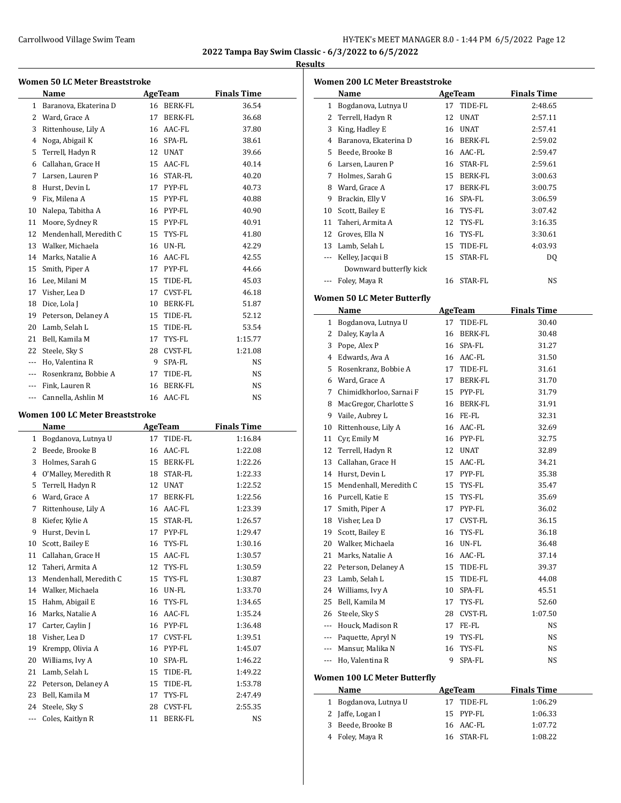#### **Results**

| <b>Women 50 LC Meter Breaststroke</b> |                                 |    |                |                    |  |  |
|---------------------------------------|---------------------------------|----|----------------|--------------------|--|--|
|                                       | Name                            |    | AgeTeam        | <b>Finals Time</b> |  |  |
| $\mathbf{1}$                          | Baranova, Ekaterina D           | 16 | <b>BERK-FL</b> | 36.54              |  |  |
| 2                                     | Ward, Grace A                   | 17 | <b>BERK-FL</b> | 36.68              |  |  |
| 3                                     | Rittenhouse, Lily A             | 16 | AAC-FL         | 37.80              |  |  |
| 4                                     | Noga, Abigail K                 | 16 | SPA-FL         | 38.61              |  |  |
| 5                                     | Terrell, Hadyn R                | 12 | <b>UNAT</b>    | 39.66              |  |  |
| 6                                     | Callahan, Grace H               | 15 | AAC-FL         | 40.14              |  |  |
| 7                                     | Larsen, Lauren P                | 16 | STAR-FL        | 40.20              |  |  |
| 8                                     | Hurst, Devin L                  | 17 | PYP-FL         | 40.73              |  |  |
| 9                                     | Fix, Milena A                   | 15 | PYP-FL         | 40.88              |  |  |
| 10                                    | Nalepa, Tabitha A               | 16 | PYP-FL         | 40.90              |  |  |
| 11                                    | Moore, Sydney R                 | 15 | PYP-FL         | 40.91              |  |  |
| 12                                    | Mendenhall. Meredith C          | 15 | TYS-FL         | 41.80              |  |  |
| 13                                    | Walker, Michaela                | 16 | UN-FL          | 42.29              |  |  |
| 14                                    | Marks, Natalie A                | 16 | AAC-FL         | 42.55              |  |  |
| 15                                    | Smith, Piper A                  | 17 | PYP-FL         | 44.66              |  |  |
| 16                                    | Lee, Milani M                   | 15 | TIDE-FL        | 45.03              |  |  |
| 17                                    | Visher, Lea D                   | 17 | CVST-FL        | 46.18              |  |  |
| 18                                    | Dice, Lola J                    | 10 | <b>BERK-FL</b> | 51.87              |  |  |
| 19                                    | Peterson, Delaney A             | 15 | TIDE-FL        | 52.12              |  |  |
| 20                                    | Lamb, Selah L                   | 15 | TIDE-FL        | 53.54              |  |  |
| 21                                    | Bell, Kamila M                  | 17 | TYS-FL         | 1:15.77            |  |  |
| 22                                    | Steele, Sky S                   | 28 | CVST-FL        | 1:21.08            |  |  |
| $- - -$                               | Ho, Valentina R                 | 9  | SPA-FL         | NS.                |  |  |
| ---                                   | Rosenkranz, Bobbie A            | 17 | TIDE-FL        | NS.                |  |  |
| ---                                   | Fink, Lauren R                  | 16 | BERK-FL        | NS                 |  |  |
| ---                                   | Cannella, Ashlin M              |    | 16 AAC-FL      | NS                 |  |  |
|                                       | Women 100 LC Meter Breaststroke |    |                |                    |  |  |

### **Women 100 LC Meter Breaststroke**

|              | Name                   | <b>AgeTeam</b> |                | <b>Finals Time</b> |
|--------------|------------------------|----------------|----------------|--------------------|
| $\mathbf{1}$ | Bogdanova, Lutnya U    | 17             | TIDE-FL        | 1:16.84            |
| 2            | Beede, Brooke B        | 16             | AAC-FL         | 1:22.08            |
| 3            | Holmes, Sarah G        | 15             | BERK-FL        | 1:22.26            |
| 4            | O'Malley, Meredith R   | 18             | STAR-FL        | 1:22.33            |
| 5            | Terrell, Hadyn R       | 12             | <b>UNAT</b>    | 1:22.52            |
| 6            | Ward, Grace A          | 17             | BERK-FL        | 1:22.56            |
| 7            | Rittenhouse, Lily A    | 16             | AAC-FL         | 1:23.39            |
| 8            | Kiefer, Kylie A        | 15             | STAR-FL        | 1:26.57            |
| 9            | Hurst, Devin L         | 17             | PYP-FL         | 1:29.47            |
| 10           | Scott, Bailey E        | 16             | TYS-FL         | 1:30.16            |
| 11           | Callahan, Grace H      | 15             | AAC-FL         | 1:30.57            |
| 12           | Taheri, Armita A       | 12             | TYS-FL         | 1:30.59            |
| 13           | Mendenhall, Meredith C | 15             | TYS-FL         | 1:30.87            |
| 14           | Walker, Michaela       | 16             | UN-FL          | 1:33.70            |
| 15           | Hahm, Abigail E        | 16             | TYS-FL         | 1:34.65            |
| 16           | Marks, Natalie A       | 16             | AAC-FL         | 1:35.24            |
| 17           | Carter, Caylin J       | 16             | PYP-FL         | 1:36.48            |
| 18           | Visher, Lea D          | 17             | CVST-FL        | 1:39.51            |
| 19           | Krempp, Olivia A       | 16             | PYP-FL         | 1:45.07            |
| 20           | Williams, Ivy A        | 10             | SPA-FL         | 1:46.22            |
| 21           | Lamb, Selah L          | 15             | TIDE-FL        | 1:49.22            |
| 22           | Peterson, Delaney A    | 15             | TIDE-FL        | 1:53.78            |
| 23           | Bell, Kamila M         | 17             | TYS-FL         | 2:47.49            |
| 24           | Steele, Sky S          | 28             | CVST-FL        | 2:55.35            |
| ---          | Coles, Kaitlyn R       | 11             | <b>BERK-FL</b> | NS                 |

|              | <b>Women 200 LC Meter Breaststroke</b><br>Name |    | <b>AgeTeam</b>        | <b>Finals Time</b> |
|--------------|------------------------------------------------|----|-----------------------|--------------------|
| $\mathbf{1}$ | Bogdanova, Lutnya U                            |    | 17 TIDE-FL            | 2:48.65            |
| 2            | Terrell, Hadyn R                               | 12 | <b>UNAT</b>           | 2:57.11            |
| 3            | King, Hadley E                                 |    | 16 UNAT               | 2:57.41            |
| 4            | Baranova, Ekaterina D                          |    | 16 BERK-FL            | 2:59.02            |
| 5            | Beede, Brooke B                                |    | 16 AAC-FL             | 2:59.47            |
|              | 6 Larsen, Lauren P                             |    | 16 STAR-FL            | 2:59.61            |
|              | 7 Holmes, Sarah G                              |    | 15 BERK-FL            | 3:00.63            |
| 8            | Ward, Grace A                                  |    | 17 BERK-FL            | 3:00.75            |
| 9            | Brackin, Elly V                                |    | 16 SPA-FL             | 3:06.59            |
| 10           | Scott, Bailey E                                |    | 16 TYS-FL             | 3:07.42            |
| 11           | Taheri, Armita A                               |    | 12 TYS-FL             | 3:16.35            |
|              | 12 Groves, Ella N                              |    | 16 TYS-FL             | 3:30.61            |
|              | 13 Lamb, Selah L                               |    | 15 TIDE-FL            | 4:03.93            |
|              | --- Kelley, Jacqui B                           | 15 | STAR-FL               | DQ                 |
|              | Downward butterfly kick                        |    |                       |                    |
|              | Foley, Maya R                                  |    | 16 STAR-FL            | NS                 |
|              |                                                |    |                       |                    |
|              | <b>Women 50 LC Meter Butterfly</b>             |    |                       |                    |
|              | Name                                           |    | <b>AgeTeam</b>        | <b>Finals Time</b> |
| 1            | Bogdanova, Lutnya U                            | 17 | TIDE-FL<br>16 BERK-FL | 30.40              |
| 2            | Daley, Kayla A                                 |    |                       | 30.48              |
| 3            | Pope, Alex P                                   |    | 16 SPA-FL             | 31.27              |
|              | 4 Edwards, Ava A                               |    | 16 AAC-FL             | 31.50              |
|              | 5 Rosenkranz, Bobbie A                         |    | 17 TIDE-FL            | 31.61              |
|              | 6 Ward, Grace A                                |    | 17 BERK-FL            | 31.70              |
| 7            | Chimidkhorloo, Sarnai F                        |    | 15 PYP-FL             | 31.79              |
| 8            | MacGregor, Charlotte S                         |    | 16 BERK-FL            | 31.91              |
| 9            | Vaile, Aubrey L                                |    | 16 FE-FL              | 32.31              |
| 10           | Rittenhouse, Lily A                            |    | 16 AAC-FL             | 32.69              |
| 11           | Cyr, Emily M                                   |    | 16 PYP-FL             | 32.75              |
| 12           | Terrell, Hadyn R                               |    | 12 UNAT               | 32.89              |
| 13           | Callahan, Grace H                              |    | 15 AAC-FL             | 34.21              |
|              | 14 Hurst, Devin L                              |    | 17 PYP-FL             | 35.38              |
| 15           | Mendenhall, Meredith C                         |    | 15 TYS-FL             | 35.47              |
|              | 16 Purcell, Katie E                            |    | 15 TYS-FL             | 35.69              |
| 17           | Smith, Piper A                                 | 17 | PYP-FL                | 36.02              |
| 18           | Visher, Lea D                                  | 17 | CVST-FL               | 36.15              |
| 19           | Scott, Bailey E                                | 16 | TYS-FL                | 36.18              |
| 20           | Walker, Michaela                               | 16 | UN-FL                 | 36.48              |
| 21           | Marks, Natalie A                               | 16 | AAC-FL                | 37.14              |
| 22           | Peterson, Delaney A                            | 15 | TIDE-FL               | 39.37              |
| 23           | Lamb, Selah L                                  | 15 | TIDE-FL               | 44.08              |
| 24           | Williams, Ivy A                                | 10 | SPA-FL                | 45.51              |
| 25           | Bell, Kamila M                                 | 17 | TYS-FL                | 52.60              |
| 26           | Steele, Sky S                                  | 28 | CVST-FL               | 1:07.50            |
| $---$        | Houck, Madison R                               | 17 | FE-FL                 | NS                 |
|              | --- Paquette, Apryl N                          | 19 | TYS-FL                | NS                 |
| ---          | Mansur, Malika N                               | 16 | TYS-FL                | NS                 |
| ---          | Ho, Valentina R                                | 9  | SPA-FL                | NS                 |
|              | <b>Women 100 LC Meter Butterfly</b>            |    |                       |                    |
|              | Name                                           |    | <b>AgeTeam</b>        | <b>Finals Time</b> |
| 1            | Bogdanova, Lutnya U                            | 17 | TIDE-FL               | 1:06.29            |
| 2            | Jaffe, Logan I                                 | 15 | PYP-FL                | 1:06.33            |
| 3            | Beede, Brooke B                                | 16 | AAC-FL                | 1:07.72            |
|              |                                                |    |                       |                    |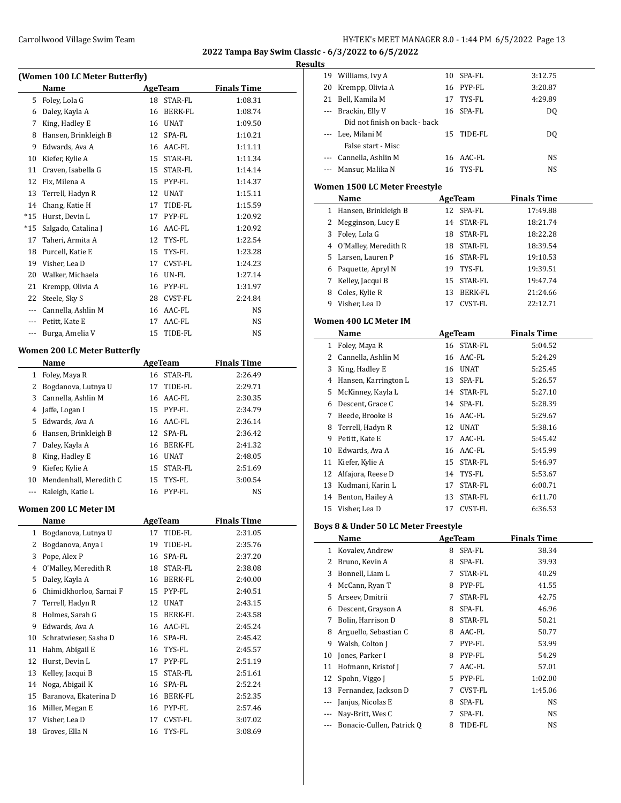Williams, Ivy A 10 SPA-FL 3:12.75

**2022 Tampa Bay Swim Classic - 6/3/2022 to 6/5/2022**

#### **Results**

| (Women 100 LC Meter Butterfly) |                              |         |                |                    |  |  |
|--------------------------------|------------------------------|---------|----------------|--------------------|--|--|
|                                | Name                         |         | AgeTeam        | <b>Finals Time</b> |  |  |
| 5                              | Foley, Lola G                |         | 18 STAR-FL     | 1:08.31            |  |  |
| 6                              | Daley, Kayla A               |         | 16 BERK-FL     | 1:08.74            |  |  |
|                                | 7 King, Hadley E             |         | 16 UNAT        | 1:09.50            |  |  |
| 8                              | Hansen, Brinkleigh B         |         | 12 SPA-FL      | 1:10.21            |  |  |
| 9                              | Edwards, Ava A               |         | 16 AAC-FL      | 1:11.11            |  |  |
| 10                             | Kiefer, Kylie A              |         | 15 STAR-FL     | 1:11.34            |  |  |
| 11                             | Craven, Isabella G           |         | 15 STAR-FL     | 1:14.14            |  |  |
| 12                             | Fix, Milena A                |         | 15 PYP-FL      | 1:14.37            |  |  |
| 13                             | Terrell, Hadyn R             |         | 12 UNAT        | 1:15.11            |  |  |
| 14                             | Chang, Katie H               |         | 17 TIDE-FL     | 1:15.59            |  |  |
| *15                            | Hurst, Devin L               |         | 17 PYP-FL      | 1:20.92            |  |  |
| *15                            | Salgado, Catalina J          |         | 16 AAC-FL      | 1:20.92            |  |  |
| 17                             | Taheri, Armita A             |         | 12 TYS-FL      | 1:22.54            |  |  |
| 18                             | Purcell, Katie E             | 15      | TYS-FL         | 1:23.28            |  |  |
|                                | 19 Visher, Lea D             |         | 17 CVST-FL     | 1:24.23            |  |  |
| 20                             | Walker, Michaela             |         | 16 UN-FL       | 1:27.14            |  |  |
| 21                             | Krempp, Olivia A             |         | 16 PYP-FL      | 1:31.97            |  |  |
| 22                             | Steele, Sky S                |         | 28 CVST-FL     | 2:24.84            |  |  |
| $\cdots$                       | Cannella, Ashlin M           |         | 16 AAC-FL      | NS                 |  |  |
|                                | --- Petitt, Kate E           | 17      | AAC-FL         | NS                 |  |  |
| ---                            | Burga, Amelia V              | 15      | TIDE-FL        | NS                 |  |  |
|                                | Women 200 LC Meter Butterfly |         |                |                    |  |  |
|                                | Name                         |         | <b>AgeTeam</b> | <b>Finals Time</b> |  |  |
| 1                              | Foley, Maya R                |         | 16 STAR-FL     | 2:26.49            |  |  |
| 2                              | Bogdanova, Lutnya U          |         | 17 TIDE-FL     | 2:29.71            |  |  |
| 3                              | Cannella, Ashlin M           |         | 16 AAC-FL      | 2:30.35            |  |  |
|                                | 4 Jaffe, Logan I             |         | 15 PYP-FL      | 2:34.79            |  |  |
| 5                              | Edwards, Ava A               |         | 16 AAC-FL      | 2:36.14            |  |  |
| 6                              | Hansen, Brinkleigh B         |         | 12 SPA-FL      | 2:36.42            |  |  |
| 7                              | Daley, Kayla A               |         | 16 BERK-FL     | 2:41.32            |  |  |
| 8                              | King, Hadley E               |         | 16 UNAT        | 2:48.05            |  |  |
| 9                              | Kiefer, Kylie A              |         | 15 STAR-FL     | 2:51.69            |  |  |
| 10                             | Mendenhall, Meredith C       |         | 15 TYS-FL      | 3:00.54            |  |  |
| ---                            | Raleigh, Katie L             |         | 16 PYP-FL      | NS                 |  |  |
|                                | Women 200 LC Meter IM        |         |                |                    |  |  |
|                                | Name                         | AgeTeam |                | <b>Finals Time</b> |  |  |
| 1                              | Bogdanova, Lutnya U          | 17      | TIDE-FL        | 2:31.05            |  |  |
| 2                              | Bogdanova, Anya I            | 19      | TIDE-FL        | 2:35.76            |  |  |
| 3                              | Pope, Alex P                 | 16      | SPA-FL         | 2:37.20            |  |  |
| 4                              | O'Malley, Meredith R         | 18      | STAR-FL        | 2:38.08            |  |  |
| 5                              | Daley, Kayla A               | 16      | BERK-FL        | 2:40.00            |  |  |
| 6                              | Chimidkhorloo, Sarnai F      | 15      | PYP-FL         | 2:40.51            |  |  |
| 7                              | Terrell, Hadyn R             | 12      | <b>UNAT</b>    | 2:43.15            |  |  |
| 8                              | Holmes, Sarah G              | 15      | BERK-FL        | 2:43.58            |  |  |
| 9                              | Edwards, Ava A               | 16      | AAC-FL         | 2:45.24            |  |  |
| 10                             | Schratwieser, Sasha D        | 16      | SPA-FL         | 2:45.42            |  |  |
| 11                             | Hahm, Abigail E              | 16      | TYS-FL         | 2:45.57            |  |  |
| 12                             | Hurst, Devin L               | 17      | PYP-FL         | 2:51.19            |  |  |
| 13                             | Kelley, Jacqui B             | 15      | STAR-FL        | 2:51.61            |  |  |
| 14                             | Noga, Abigail K              | 16      | SPA-FL         | 2:52.24            |  |  |
| 15                             | Baranova, Ekaterina D        | 16      | BERK-FL        | 2:52.35            |  |  |
| 16                             | Miller, Megan E              | 16      | PYP-FL         | 2:57.46            |  |  |
| 17                             | Visher, Lea D                | 17      | CVST-FL        | 3:07.02            |  |  |
| 18                             | Groves, Ella N               | 16      | TYS-FL         | 3:08.69            |  |  |

|              | 20 Krempp, Olivia A                  |         | 16 PYP-FL                                      | 3:20.87            |  |
|--------------|--------------------------------------|---------|------------------------------------------------|--------------------|--|
|              | 21 Bell, Kamila M                    | 17      | TYS-FL                                         | 4:29.89            |  |
| $---$        | Brackin, Elly V                      | 16      | SPA-FL                                         | DQ                 |  |
|              | Did not finish on back - back        |         |                                                |                    |  |
|              | --- Lee, Milani M                    | 15      | TIDE-FL                                        | DQ                 |  |
|              | False start - Misc                   |         |                                                |                    |  |
|              | --- Cannella, Ashlin M               |         | 16 AAC-FL                                      | NS                 |  |
| ---          | Mansur, Malika N                     | 16      | TYS-FL                                         | NS                 |  |
|              |                                      |         |                                                |                    |  |
|              | Women 1500 LC Meter Freestyle        |         |                                                |                    |  |
|              | Name                                 |         | <b>AgeTeam</b>                                 | <b>Finals Time</b> |  |
|              | 1 Hansen, Brinkleigh B               |         | 12 SPA-FL                                      | 17:49.88           |  |
|              | 2 Megginson, Lucy E                  |         | 14 STAR-FL                                     | 18:21.74           |  |
|              | 3 Foley, Lola G                      |         | 18 STAR-FL                                     | 18:22.28           |  |
|              | 4 O'Malley, Meredith R               |         | 18 STAR-FL                                     | 18:39.54           |  |
|              | 5 Larsen, Lauren P                   |         | 16 STAR-FL                                     | 19:10.53           |  |
|              | 6 Paquette, Apryl N                  |         | 19 TYS-FL                                      | 19:39.51           |  |
| 7            | Kelley, Jacqui B                     |         | 15 STAR-FL                                     | 19:47.74           |  |
|              | 8 Coles, Kylie R                     |         | 13 BERK-FL                                     | 21:24.66           |  |
| 9            | Visher, Lea D                        |         | 17 CVST-FL                                     | 22:12.71           |  |
|              |                                      |         |                                                |                    |  |
|              | Women 400 LC Meter IM                |         |                                                |                    |  |
|              | Name                                 |         | <b>AgeTeam</b>                                 | <b>Finals Time</b> |  |
| $\mathbf{1}$ | Foley, Maya R                        |         | 16 STAR-FL                                     | 5:04.52            |  |
|              | 2 Cannella, Ashlin M                 |         | 16 AAC-FL                                      | 5:24.29            |  |
|              | 3 King, Hadley E                     |         | 16 UNAT                                        | 5:25.45            |  |
|              | 4 Hansen, Karrington L               |         | 13 SPA-FL                                      | 5:26.57            |  |
|              | 5 McKinney, Kayla L                  |         | 14 STAR-FL                                     | 5:27.10            |  |
|              | 6 Descent, Grace C                   |         | 14 SPA-FL                                      | 5:28.39            |  |
| 7            | Beede, Brooke B                      |         | 16 AAC-FL                                      | 5:29.67            |  |
| 8            | Terrell, Hadyn R                     |         | 12 UNAT                                        | 5:38.16            |  |
| 9            | Petitt, Kate E                       |         | 17 AAC-FL                                      | 5:45.42            |  |
|              | 10 Edwards, Ava A                    |         | 16 AAC-FL                                      | 5:45.99            |  |
|              | 11 Kiefer, Kylie A                   |         | 15 STAR-FL                                     | 5:46.97            |  |
|              | 12 Alfajora, Reese D                 |         | 14 TYS-FL                                      | 5:53.67            |  |
|              | 13 Kudmani, Karin L                  |         | 17 STAR-FL                                     | 6:00.71            |  |
| 14           | Benton, Hailey A                     |         | 13 STAR-FL                                     | 6:11.70            |  |
| 15           | Visher, Lea D                        | 17      | CVST-FL                                        | 6:36.53            |  |
|              |                                      |         |                                                |                    |  |
|              | Boys 8 & Under 50 LC Meter Freestyle |         |                                                |                    |  |
|              | <b>Name</b>                          | AgeTeam |                                                | <b>Finals Time</b> |  |
| $\mathbf{1}$ | Kovalev, Andrew                      |         | 8 SPA-FL                                       | 38.34              |  |
| 2            | Bruno, Kevin A                       | 8       | SPA-FL                                         | 39.93              |  |
| 3            | Bonnell, Liam L                      | 7       | STAR-FL                                        | 40.29              |  |
| 4            | McCann, Ryan T                       |         | 8 PYP-FL                                       | 41.55              |  |
| 5            | Arseev, Dmitrii                      | 7       | STAR-FL                                        | 42.75              |  |
| 6            | Descent, Grayson A                   | 8       | SPA-FL                                         | 46.96              |  |
| 7            | Bolin, Harrison D                    | 8       | STAR-FL                                        | 50.21              |  |
| 8            | Arguello, Sebastian C                | 8       | AAC-FL                                         | 50.77              |  |
| 9            | Walsh, Colton J                      | 7       | PYP-FL                                         | 53.99              |  |
| 10           | Jones, Parker I                      | 8       | PYP-FL                                         | 54.29              |  |
| 11           | Hofmann, Kristof J                   | 7       | AAC-FL                                         | 57.01              |  |
| 12           | Spohn, Viggo J                       |         | 5 PYP-FL                                       | 1:02.00            |  |
| 13           | Fernandez, Jackson D                 | 7       | CVST-FL                                        | 1:45.06            |  |
| ---          | Janjus, Nicolas E                    | 8       | $\ensuremath{\mathsf{SPA}\text{-}\mathsf{FL}}$ | NS                 |  |
| ---          | Nay-Britt, Wes C                     | 7       | SPA-FL                                         | NS                 |  |
|              | Bonacic-Cullen, Patrick Q            | 8       | TIDE-FL                                        | NS                 |  |
|              |                                      |         |                                                |                    |  |
|              |                                      |         |                                                |                    |  |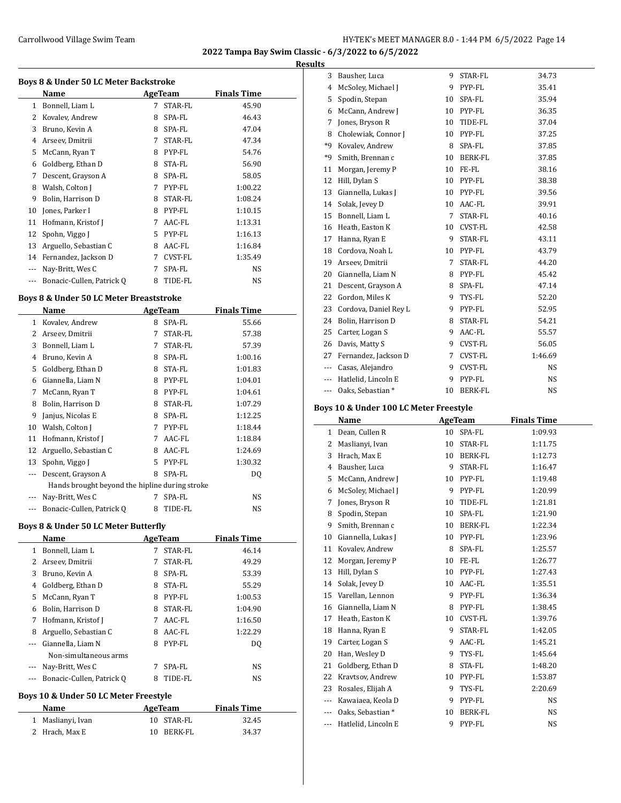**Results**

| <b>Boys 8 &amp; Under 50 LC Meter Backstroke</b><br>Name<br><b>Finals Time</b><br>AgeTeam |                           |    |         |         |  |  |  |
|-------------------------------------------------------------------------------------------|---------------------------|----|---------|---------|--|--|--|
| $\mathbf{1}$                                                                              |                           | 7  | STAR-FL |         |  |  |  |
|                                                                                           | Bonnell, Liam L           |    |         | 45.90   |  |  |  |
| 2                                                                                         | Kovalev, Andrew           | 8  | SPA-FL  | 46.43   |  |  |  |
| 3                                                                                         | Bruno, Kevin A            | 8  | SPA-FL  | 47.04   |  |  |  |
| 4                                                                                         | Arseev, Dmitrii           | 7  | STAR-FL | 47.34   |  |  |  |
| 5                                                                                         | McCann, Ryan T            | 8  | PYP-FL  | 54.76   |  |  |  |
| 6                                                                                         | Goldberg, Ethan D         | 8  | STA-FL  | 56.90   |  |  |  |
| 7                                                                                         | Descent, Grayson A        | 8  | SPA-FL  | 58.05   |  |  |  |
| 8                                                                                         | Walsh, Colton J           | 7  | PYP-FL  | 1:00.22 |  |  |  |
| 9                                                                                         | Bolin, Harrison D         | 8  | STAR-FL | 1:08.24 |  |  |  |
| 10                                                                                        | Jones, Parker I           | 8  | PYP-FL  | 1:10.15 |  |  |  |
| 11                                                                                        | Hofmann, Kristof J        | 7  | AAC-FL  | 1:13.31 |  |  |  |
| 12                                                                                        | Spohn, Viggo J            | 5. | PYP-FL  | 1:16.13 |  |  |  |
| 13                                                                                        | Arguello, Sebastian C     | 8  | AAC-FL  | 1:16.84 |  |  |  |
| 14                                                                                        | Fernandez, Jackson D      | 7  | CVST-FL | 1:35.49 |  |  |  |
|                                                                                           | Nay-Britt, Wes C          | 7  | SPA-FL  | NS.     |  |  |  |
|                                                                                           | Bonacic-Cullen, Patrick Q | 8  | TIDE-FL | NS      |  |  |  |
|                                                                                           |                           |    |         |         |  |  |  |

### **Boys 8 & Under 50 LC Meter Breaststroke**

|                                                | Name                      |    | AgeTeam        | <b>Finals Time</b> |  |  |
|------------------------------------------------|---------------------------|----|----------------|--------------------|--|--|
| 1                                              | Kovalev, Andrew           | 8  | SPA-FL         | 55.66              |  |  |
| 2                                              | Arseev, Dmitrii           | 7  | <b>STAR-FL</b> | 57.38              |  |  |
| 3                                              | Bonnell, Liam L           | 7  | <b>STAR-FL</b> | 57.39              |  |  |
| 4                                              | Bruno, Kevin A            | 8  | SPA-FL         | 1:00.16            |  |  |
| 5                                              | Goldberg, Ethan D         | 8  | STA-FL         | 1:01.83            |  |  |
| 6                                              | Giannella, Liam N         | 8  | PYP-FL         | 1:04.01            |  |  |
| 7                                              | McCann, Ryan T            | 8  | PYP-FL         | 1:04.61            |  |  |
| 8                                              | Bolin, Harrison D         | 8  | STAR-FL        | 1:07.29            |  |  |
| 9                                              | Janjus, Nicolas E         | 8  | SPA-FL         | 1:12.25            |  |  |
| 10                                             | Walsh, Colton J           | 7  | PYP-FL         | 1:18.44            |  |  |
| 11                                             | Hofmann, Kristof J        | 7  | AAC-FL         | 1:18.84            |  |  |
| 12                                             | Arguello, Sebastian C     | 8  | AAC-FL         | 1:24.69            |  |  |
| 13                                             | Spohn, Viggo J            | 5. | PYP-FL         | 1:30.32            |  |  |
|                                                | Descent, Grayson A        | 8  | SPA-FL         | DQ                 |  |  |
| Hands brought beyond the hipline during stroke |                           |    |                |                    |  |  |
|                                                | Nay-Britt, Wes C          | 7  | SPA-FL         | NS                 |  |  |
|                                                | Bonacic-Cullen, Patrick Q | 8  | TIDE-FL        | NS                 |  |  |
|                                                |                           |    |                |                    |  |  |

### **Boys 8 & Under 50 LC Meter Butterfly**

|    | Name                      |   | AgeTeam | <b>Finals Time</b> |  |
|----|---------------------------|---|---------|--------------------|--|
| 1  | Bonnell, Liam L           | 7 | STAR-FL | 46.14              |  |
| 2  | Arseev, Dmitrii           | 7 | STAR-FL | 49.29              |  |
| 3  | Bruno, Kevin A            | 8 | SPA-FL  | 53.39              |  |
| 4  | Goldberg, Ethan D         | 8 | STA-FL  | 55.29              |  |
| 5. | McCann, Ryan T            | 8 | PYP-FL  | 1:00.53            |  |
| 6  | Bolin, Harrison D         | 8 | STAR-FL | 1:04.90            |  |
| 7  | Hofmann, Kristof J        | 7 | AAC-FL  | 1:16.50            |  |
| 8  | Arguello, Sebastian C     | 8 | AAC-FL  | 1:22.29            |  |
|    | Giannella, Liam N         | 8 | PYP-FL  | DO.                |  |
|    | Non-simultaneous arms     |   |         |                    |  |
|    | Nay-Britt, Wes C          |   | SPA-FL  | NS                 |  |
|    | Bonacic-Cullen, Patrick Q | 8 | TIDE-FL | NS                 |  |
|    |                           |   |         |                    |  |

#### **Boys 10 & Under 50 LC Meter Freestyle**

| Name              | AgeTeam    | <b>Finals Time</b> |
|-------------------|------------|--------------------|
| 1 Maslianyi, Ivan | 10 STAR-FL | 32.45              |
| 2 Hrach, Max E    | 10 BERK-FL | 34.37              |

| 3              | Bausher, Luca         | 9  | STAR-FL        | 34.73     |
|----------------|-----------------------|----|----------------|-----------|
| $\overline{4}$ | McSoley, Michael J    | 9  | PYP-FL         | 35.41     |
| 5              | Spodin, Stepan        | 10 | SPA-FL         | 35.94     |
| 6              | McCann, Andrew J      | 10 | PYP-FL         | 36.35     |
| 7              | Jones, Bryson R       | 10 | TIDE-FL        | 37.04     |
| 8              | Cholewiak, Connor J   | 10 | PYP-FL         | 37.25     |
| *9             | Kovalev, Andrew       | 8  | SPA-FL         | 37.85     |
| *9             | Smith, Brennan c      | 10 | BERK-FL        | 37.85     |
| 11             | Morgan, Jeremy P      | 10 | FE-FL          | 38.16     |
| 12             | Hill, Dylan S         | 10 | PYP-FL         | 38.38     |
| 13             | Giannella, Lukas J    | 10 | PYP-FL         | 39.56     |
| 14             | Solak, Jevey D        | 10 | AAC-FL         | 39.91     |
| 15             | Bonnell, Liam L       | 7  | STAR-FL        | 40.16     |
| 16             | Heath, Easton K       | 10 | CVST-FL        | 42.58     |
| 17             | Hanna, Ryan E         | 9  | STAR-FL        | 43.11     |
| 18             | Cordova, Noah L       | 10 | PYP-FL         | 43.79     |
| 19             | Arseev, Dmitrii       | 7  | STAR-FL        | 44.20     |
| 20             | Giannella, Liam N     | 8  | PYP-FL         | 45.42     |
| 21             | Descent, Grayson A    | 8  | SPA-FL         | 47.14     |
| 22             | Gordon, Miles K       | 9  | TYS-FL         | 52.20     |
| 23             | Cordova, Daniel Rey L | 9  | PYP-FL         | 52.95     |
| 24             | Bolin, Harrison D     | 8  | STAR-FL        | 54.21     |
| 25             | Carter, Logan S       | 9  | AAC-FL         | 55.57     |
| 26             | Davis, Matty S        | 9  | CVST-FL        | 56.05     |
| 27             | Fernandez, Jackson D  | 7  | CVST-FL        | 1:46.69   |
| $---$          | Casas, Alejandro      | 9  | <b>CVST-FL</b> | <b>NS</b> |
| $- - -$        | Hatlelid, Lincoln E   | 9  | PYP-FL         | NS        |
| ---            | Oaks, Sebastian*      | 10 | <b>BERK-FL</b> | <b>NS</b> |

### **Boys 10 & Under 100 LC Meter Freestyle**

|     | Name                | <b>AgeTeam</b> |                | <b>Finals Time</b> |
|-----|---------------------|----------------|----------------|--------------------|
| 1   | Dean, Cullen R      | 10             | SPA-FL         | 1:09.93            |
| 2   | Maslianyi, Ivan     | 10             | STAR-FL        | 1:11.75            |
| 3   | Hrach, Max E        | 10             | BERK-FL        | 1:12.73            |
| 4   | Bausher, Luca       | 9              | STAR-FL        | 1:16.47            |
| 5   | McCann, Andrew J    | 10             | PYP-FL         | 1:19.48            |
| 6   | McSoley, Michael J  | 9              | PYP-FL         | 1:20.99            |
| 7   | Jones, Bryson R     | 10             | TIDE-FL        | 1:21.81            |
| 8   | Spodin, Stepan      | 10             | SPA-FL         | 1:21.90            |
| 9   | Smith, Brennan c    | 10             | BERK-FL        | 1:22.34            |
| 10  | Giannella, Lukas J  | 10             | PYP-FL         | 1:23.96            |
| 11  | Kovalev, Andrew     | 8              | SPA-FL         | 1:25.57            |
| 12  | Morgan, Jeremy P    | 10             | FE-FL          | 1:26.77            |
| 13  | Hill, Dylan S       | 10             | PYP-FL         | 1:27.43            |
| 14  | Solak, Jevey D      | 10             | AAC-FL         | 1:35.51            |
| 15  | Varellan, Lennon    | 9              | PYP-FL         | 1:36.34            |
| 16  | Giannella, Liam N   | 8              | PYP-FL         | 1:38.45            |
| 17  | Heath, Easton K     | 10             | <b>CVST-FL</b> | 1:39.76            |
| 18  | Hanna, Ryan E       | 9              | STAR-FL        | 1:42.05            |
| 19  | Carter, Logan S     | 9              | AAC-FL         | 1:45.21            |
| 20  | Han, Wesley D       | 9              | TYS-FL         | 1:45.64            |
| 21  | Goldberg, Ethan D   | 8              | STA-FL         | 1:48.20            |
| 22  | Kravtsov, Andrew    | 10             | PYP-FL         | 1:53.87            |
| 23  | Rosales, Elijah A   | 9              | TYS-FL         | 2:20.69            |
| --- | Kawaiaea, Keola D   | 9              | PYP-FL         | NS.                |
|     | Oaks, Sebastian*    | 10             | BERK-FL        | <b>NS</b>          |
| --- | Hatlelid, Lincoln E | 9              | PYP-FL         | <b>NS</b>          |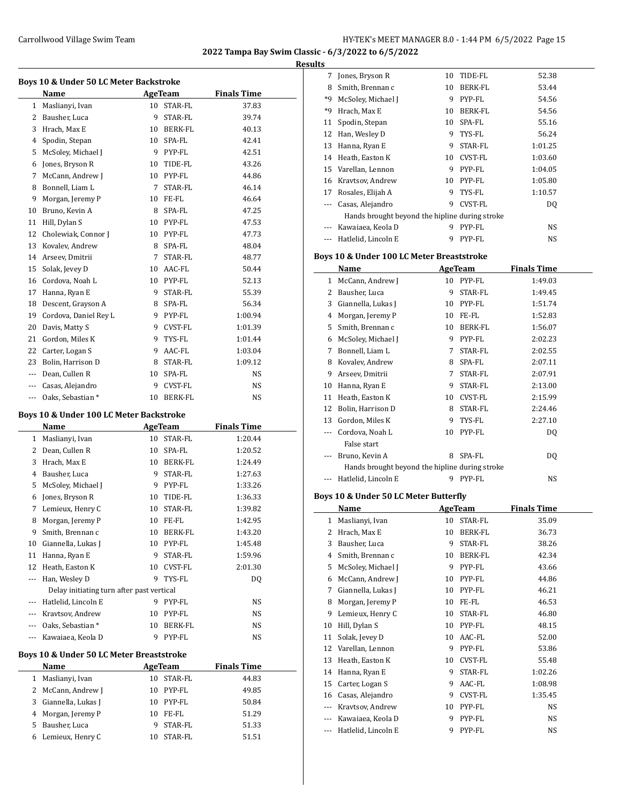**Results**

| Boys 10 & Under 50 LC Meter Backstroke |                       |                 |                |                    |  |  |
|----------------------------------------|-----------------------|-----------------|----------------|--------------------|--|--|
|                                        | <b>Name</b>           |                 | <b>AgeTeam</b> | <b>Finals Time</b> |  |  |
| $\mathbf{1}$                           | Maslianyi, Ivan       | 10 <sup>1</sup> | STAR-FL        | 37.83              |  |  |
| 2                                      | Bausher, Luca         | 9               | STAR-FL        | 39.74              |  |  |
| 3                                      | Hrach, Max E          | 10              | <b>BERK-FL</b> | 40.13              |  |  |
| 4                                      | Spodin, Stepan        | 10              | SPA-FL         | 42.41              |  |  |
| 5                                      | McSoley, Michael J    | 9               | PYP-FL         | 42.51              |  |  |
| 6                                      | Jones, Bryson R       | 10              | TIDE-FL        | 43.26              |  |  |
| 7                                      | McCann, Andrew J      |                 | 10 PYP-FL      | 44.86              |  |  |
| 8                                      | Bonnell, Liam L       | 7               | STAR-FL        | 46.14              |  |  |
| 9                                      | Morgan, Jeremy P      | 10              | FE-FL          | 46.64              |  |  |
| 10                                     | Bruno, Kevin A        | 8               | SPA-FL         | 47.25              |  |  |
| 11                                     | Hill, Dylan S         | 10              | PYP-FL         | 47.53              |  |  |
| 12                                     | Cholewiak, Connor J   | 10              | PYP-FL         | 47.73              |  |  |
| 13                                     | Kovalev, Andrew       | 8               | SPA-FL         | 48.04              |  |  |
| 14                                     | Arseev, Dmitrii       | 7               | STAR-FL        | 48.77              |  |  |
| 15                                     | Solak, Jevey D        | 10              | AAC-FL         | 50.44              |  |  |
| 16                                     | Cordova, Noah L       | 10              | PYP-FL         | 52.13              |  |  |
| 17                                     | Hanna, Ryan E         | 9               | STAR-FL        | 55.39              |  |  |
| 18                                     | Descent, Grayson A    | 8               | SPA-FL         | 56.34              |  |  |
| 19                                     | Cordova, Daniel Rey L | 9               | PYP-FL         | 1:00.94            |  |  |
| 20                                     | Davis, Matty S        | 9               | CVST-FL        | 1:01.39            |  |  |
| 21                                     | Gordon, Miles K       | 9               | TYS-FL         | 1:01.44            |  |  |
| 22                                     | Carter, Logan S       | 9               | AAC-FL         | 1:03.04            |  |  |
| 23                                     | Bolin. Harrison D     | 8               | STAR-FL        | 1:09.12            |  |  |
| $\cdots$                               | Dean, Cullen R        | 10              | SPA-FL         | NS.                |  |  |
| $---$                                  | Casas, Alejandro      | 9               | CVST-FL        | <b>NS</b>          |  |  |
| $- - -$                                | Oaks, Sebastian *     | 10              | <b>BERK-FL</b> | NS                 |  |  |
|                                        |                       |                 |                |                    |  |  |

### **Boys 10 & Under 100 LC Meter Backstroke**

|       | Name                                      | <b>AgeTeam</b> |                | <b>Finals Time</b> |  |
|-------|-------------------------------------------|----------------|----------------|--------------------|--|
| 1     | Maslianyi, Ivan                           | 10             | <b>STAR-FL</b> | 1:20.44            |  |
| 2     | Dean. Cullen R                            | 10             | SPA-FL         | 1:20.52            |  |
| 3     | Hrach, Max E                              | 10             | <b>BERK-FL</b> | 1:24.49            |  |
| 4     | Bausher, Luca                             | 9              | STAR-FL        | 1:27.63            |  |
| 5     | McSoley, Michael J                        | 9              | PYP-FL         | 1:33.26            |  |
| 6     | Jones, Bryson R                           | 10             | TIDE-FL        | 1:36.33            |  |
| 7     | Lemieux, Henry C                          | 10             | <b>STAR-FL</b> | 1:39.82            |  |
| 8     | Morgan, Jeremy P                          | 10             | FE-FL          | 1:42.95            |  |
| 9     | Smith, Brennan c                          | 10             | <b>BERK-FL</b> | 1:43.20            |  |
| 10    | Giannella, Lukas J                        | 10             | PYP-FL         | 1:45.48            |  |
| 11    | Hanna, Ryan E                             | 9              | STAR-FL        | 1:59.96            |  |
| 12    | Heath, Easton K                           | 10             | <b>CVST-FL</b> | 2:01.30            |  |
|       | Han, Wesley D                             | 9              | TYS-FL         | DQ                 |  |
|       | Delay initiating turn after past vertical |                |                |                    |  |
|       | Hatlelid, Lincoln E                       | 9              | PYP-FL         | NS.                |  |
| $---$ | Kravtsov, Andrew                          | 10             | PYP-FL         | <b>NS</b>          |  |
| $---$ | Oaks, Sebastian *                         | 10             | <b>BERK-FL</b> | NS                 |  |
| ---   | Kawaiaea, Keola D                         | 9              | PYP-FL         | NS                 |  |
|       | Boys 10 & Under 50 LC Meter Breaststroke  |                |                |                    |  |
|       |                                           |                |                |                    |  |
|       | Name                                      |                | <b>AgeTeam</b> | <b>Finals Time</b> |  |
| 1     | Maslianyi, Ivan                           | 10             | STAR-FL        | 44.83              |  |
| 2     | McCann, Andrew J                          | 10             | PYP-FL         | 49.85              |  |
| 3     | Giannella, Lukas J                        | 10             | PYP-FL         | 50.84              |  |
| 4     | Morgan, Jeremy P                          | 10             | FE-FL          | 51.29              |  |
| 5     | Bausher, Luca                             | 9              | STAR-FL        | 51.33              |  |
| 6     | Lemieux, Henry C                          | 10             | STAR-FL        | 51.51              |  |

| 7                                              | Jones, Bryson R     | 10 | TIDE-FL        | 52.38   |  |  |
|------------------------------------------------|---------------------|----|----------------|---------|--|--|
|                                                |                     |    |                |         |  |  |
| 8                                              | Smith, Brennan c    | 10 | BERK-FL        | 53.44   |  |  |
| *9                                             | McSoley, Michael J  | 9  | PYP-FL         | 54.56   |  |  |
| *9                                             | Hrach, Max E        | 10 | BERK-FL        | 54.56   |  |  |
| 11                                             | Spodin, Stepan      | 10 | SPA-FL         | 55.16   |  |  |
| 12                                             | Han, Wesley D       | 9  | TYS-FL         | 56.24   |  |  |
| 13                                             | Hanna, Ryan E       | 9  | STAR-FL        | 1:01.25 |  |  |
| 14                                             | Heath, Easton K     | 10 | <b>CVST-FL</b> | 1:03.60 |  |  |
| 15                                             | Varellan, Lennon    | 9  | PYP-FL         | 1:04.05 |  |  |
| 16                                             | Kravtsov, Andrew    | 10 | PYP-FL         | 1:05.80 |  |  |
| 17                                             | Rosales, Elijah A   | 9  | TYS-FL         | 1:10.57 |  |  |
| $- - -$                                        | Casas, Alejandro    | 9  | CVST-FL        | DQ      |  |  |
| Hands brought beyond the hipline during stroke |                     |    |                |         |  |  |
| $- - -$                                        | Kawaiaea, Keola D   | 9  | PYP-FL         | NS.     |  |  |
| $\cdots$                                       | Hatlelid, Lincoln E | 9  | PYP-FL         | NS      |  |  |

### **Boys 10 & Under 100 LC Meter Breaststroke**

|       | Name                                           |    | AgeTeam | <b>Finals Time</b> |
|-------|------------------------------------------------|----|---------|--------------------|
| 1     | McCann, Andrew J                               | 10 | PYP-FL  | 1:49.03            |
| 2     | Bausher, Luca                                  | 9  | STAR-FL | 1:49.45            |
| 3     | Giannella, Lukas J                             | 10 | PYP-FL  | 1:51.74            |
| 4     | Morgan, Jeremy P                               | 10 | FE-FL   | 1:52.83            |
| 5     | Smith, Brennan c                               | 10 | BERK-FL | 1:56.07            |
| 6     | McSoley, Michael J                             | 9  | PYP-FL  | 2:02.23            |
| 7     | Bonnell, Liam L                                | 7  | STAR-FL | 2:02.55            |
| 8     | Kovalev, Andrew                                | 8  | SPA-FL  | 2:07.11            |
| 9     | Arseev, Dmitrii                                | 7  | STAR-FL | 2:07.91            |
| 10    | Hanna, Ryan E                                  | 9  | STAR-FL | 2:13.00            |
| 11    | Heath, Easton K                                | 10 | CVST-FL | 2:15.99            |
| 12    | Bolin, Harrison D                              | 8  | STAR-FL | 2:24.46            |
| 13    | Gordon, Miles K                                | 9  | TYS-FL  | 2:27.10            |
| ---   | Cordova, Noah L                                | 10 | PYP-FL  | DQ                 |
|       | False start                                    |    |         |                    |
| $---$ | Bruno, Kevin A                                 | 8  | SPA-FL  | DQ                 |
|       | Hands brought beyond the hipline during stroke |    |         |                    |
|       | Hatlelid, Lincoln E                            | 9  | PYP-FL  | NS                 |

### **Boys 10 & Under 50 LC Meter Butterfly**

|     | Name                | AgeTeam |                | <b>Finals Time</b> |  |
|-----|---------------------|---------|----------------|--------------------|--|
| 1   | Maslianyi, Ivan     | 10      | STAR-FL        | 35.09              |  |
| 2   | Hrach, Max E        | 10      | BERK-FL        | 36.73              |  |
| 3   | Bausher, Luca       | 9       | STAR-FL        | 38.26              |  |
| 4   | Smith, Brennan c    | 10      | <b>BERK-FL</b> | 42.34              |  |
| 5   | McSoley, Michael J  | 9       | PYP-FL         | 43.66              |  |
| 6   | McCann, Andrew J    | 10      | PYP-FL         | 44.86              |  |
| 7   | Giannella, Lukas J  | 10      | PYP-FL         | 46.21              |  |
| 8   | Morgan, Jeremy P    | 10      | FE-FL          | 46.53              |  |
| 9   | Lemieux, Henry C    | 10      | STAR-FL        | 46.80              |  |
| 10  | Hill, Dylan S       | 10      | PYP-FL         | 48.15              |  |
| 11  | Solak, Jevey D      | 10      | AAC-FL         | 52.00              |  |
| 12  | Varellan, Lennon    | 9       | PYP-FL         | 53.86              |  |
| 13  | Heath, Easton K     | 10      | CVST-FL        | 55.48              |  |
| 14  | Hanna, Ryan E       | 9       | STAR-FL        | 1:02.26            |  |
| 15  | Carter, Logan S     | 9       | AAC-FL         | 1:08.98            |  |
| 16  | Casas, Alejandro    | 9       | CVST-FL        | 1:35.45            |  |
| --- | Kravtsov, Andrew    | 10      | PYP-FL         | NS.                |  |
| --- | Kawaiaea, Keola D   | 9       | PYP-FL         | NS                 |  |
| --- | Hatlelid, Lincoln E | 9       | PYP-FL         | NS                 |  |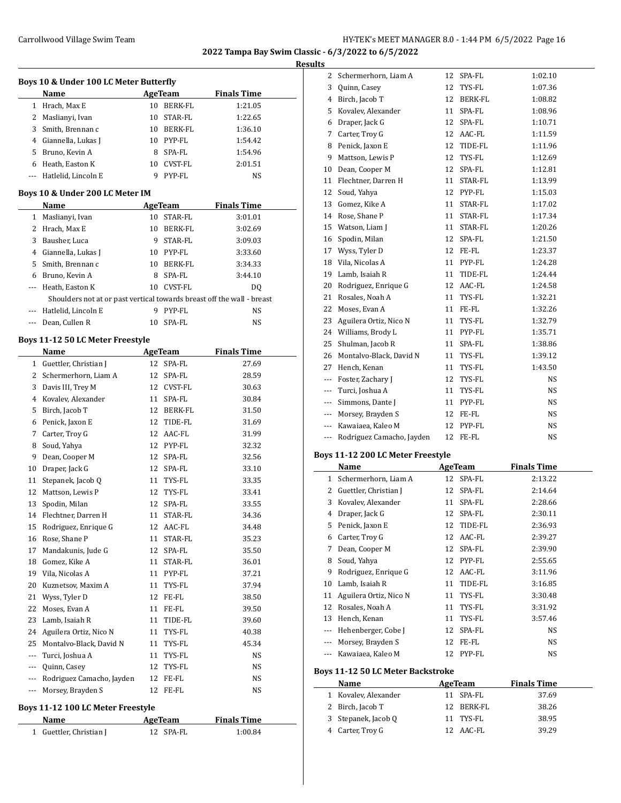**Results**

| Boys 10 & Under 100 LC Meter Butterfly |                                                                                               |    |            |                    |  |  |
|----------------------------------------|-----------------------------------------------------------------------------------------------|----|------------|--------------------|--|--|
|                                        | <b>Name</b>                                                                                   |    | AgeTeam    | <b>Finals Time</b> |  |  |
|                                        | 1 Hrach, Max E                                                                                |    | 10 BERK-FL | 1:21.05            |  |  |
|                                        | 2 Maslianyi, Ivan                                                                             |    | 10 STAR-FL | 1:22.65            |  |  |
|                                        | 3 Smith, Brennan c                                                                            |    | 10 BERK-FL | 1:36.10            |  |  |
|                                        | 4 Giannella, Lukas J                                                                          |    | 10 PYP-FL  | 1:54.42            |  |  |
|                                        | 5 Bruno, Kevin A                                                                              |    | 8 SPA-FL   | 1:54.96            |  |  |
|                                        | 6 Heath, Easton K                                                                             |    | 10 CVST-FL | 2:01.51            |  |  |
|                                        | --- Hatlelid, Lincoln E                                                                       |    | 9 PYP-FL   | NS                 |  |  |
|                                        | Boys 10 & Under 200 LC Meter IM                                                               |    |            |                    |  |  |
|                                        | Name                                                                                          |    | AgeTeam    | <b>Finals Time</b> |  |  |
|                                        | 1 Maslianyi, Ivan                                                                             |    | 10 STAR-FL | 3:01.01            |  |  |
|                                        | 2 Hrach, Max E                                                                                |    | 10 BERK-FL | 3:02.69            |  |  |
|                                        | 3 Bausher, Luca                                                                               |    | 9 STAR-FL  | 3:09.03            |  |  |
|                                        | 4 Giannella, Lukas J                                                                          |    | 10 PYP-FL  | 3:33.60            |  |  |
|                                        | 5 Smith, Brennan c                                                                            |    | 10 BERK-FL | 3:34.33            |  |  |
|                                        |                                                                                               |    | 8 SPA-FL   | 3:44.10            |  |  |
|                                        | 6 Bruno, Kevin A                                                                              |    | 10 CVST-FL |                    |  |  |
|                                        | --- Heath, Easton K<br>Shoulders not at or past vertical towards breast off the wall - breast |    |            | DO.                |  |  |
|                                        | --- Hatlelid, Lincoln E                                                                       |    | 9 PYP-FL   | NS                 |  |  |
|                                        |                                                                                               |    | SPA-FL     |                    |  |  |
|                                        | --- Dean, Cullen R                                                                            | 10 |            | NS                 |  |  |
|                                        | Boys 11-12 50 LC Meter Freestyle                                                              |    |            |                    |  |  |
|                                        | Name                                                                                          |    | AgeTeam    | <b>Finals Time</b> |  |  |
|                                        | 1 Guettler, Christian J                                                                       |    | 12 SPA-FL  | 27.69              |  |  |
|                                        | 2 Schermerhorn, Liam A                                                                        |    | 12 SPA-FL  | 28.59              |  |  |
|                                        | 3 Davis III, Trey M                                                                           |    | 12 CVST-FL | 30.63              |  |  |
|                                        | 4 Kovalev, Alexander                                                                          |    | 11 SPA-FL  | 30.84              |  |  |
|                                        | 5 Birch, Jacob T                                                                              |    | 12 BERK-FL | 31.50              |  |  |
|                                        | 6 Penick, Jaxon E                                                                             |    | 12 TIDE-FL | 31.69              |  |  |
|                                        | 7 Carter, Troy G                                                                              |    | 12 AAC-FL  | 31.99              |  |  |
|                                        | 8 Soud, Yahya                                                                                 |    | 12 PYP-FL  | 32.32              |  |  |
|                                        | 9 Dean, Cooper M                                                                              |    | 12 SPA-FL  | 32.56              |  |  |
|                                        | 10 Draper, Jack G                                                                             |    | 12 SPA-FL  | 33.10              |  |  |
|                                        | 11 Stepanek, Jacob Q                                                                          |    | 11 TYS-FL  | 33.35              |  |  |
|                                        | 12 Mattson, Lewis P                                                                           |    | 12 TYS-FL  | 33.41              |  |  |
| 13                                     | Spodin, Milan                                                                                 |    | 12 SPA-FL  | 33.55              |  |  |
|                                        | 14 Flechtner, Darren H                                                                        |    | 11 STAR-FL | 34.36              |  |  |
| 15                                     | Rodriguez, Enrique G                                                                          | 12 | AAC-FL     | 34.48              |  |  |
| 16                                     | Rose, Shane P                                                                                 | 11 | STAR-FL    | 35.23              |  |  |
| 17                                     | Mandakunis, Jude G                                                                            | 12 | SPA-FL     | 35.50              |  |  |
| 18                                     | Gomez, Kike A                                                                                 | 11 | STAR-FL    | 36.01              |  |  |
| 19                                     | Vila, Nicolas A                                                                               | 11 | PYP-FL     | 37.21              |  |  |
| 20                                     | Kuznetsov, Maxim A                                                                            | 11 | TYS-FL     | 37.94              |  |  |
| 21                                     | Wyss, Tyler D                                                                                 |    | FE-FL      | 38.50              |  |  |
|                                        | Moses, Evan A                                                                                 | 12 |            |                    |  |  |
| 22                                     |                                                                                               | 11 | FE-FL      | 39.50              |  |  |
| 23                                     | Lamb, Isaiah R                                                                                | 11 | TIDE-FL    | 39.60              |  |  |
| 24                                     | Aguilera Ortiz, Nico N                                                                        | 11 | TYS-FL     | 40.38              |  |  |
| 25                                     | Montalvo-Black, David N                                                                       |    | 11 TYS-FL  | 45.34              |  |  |
| ---                                    | Turci, Joshua A                                                                               | 11 | TYS-FL     | NS                 |  |  |
| ---                                    | Quinn, Casey                                                                                  | 12 | TYS-FL     | NS                 |  |  |
| ---                                    | Rodriguez Camacho, Jayden                                                                     | 12 | FE-FL      | NS                 |  |  |
| ---                                    | Morsey, Brayden S                                                                             | 12 | FE-FL      | NS                 |  |  |

### **Boys 11-12 100 LC Meter Freestyle**

| Name                    | AgeTeam   | <b>Finals Time</b> |  |
|-------------------------|-----------|--------------------|--|
| 1 Guettler, Christian J | 12 SPA-FL | 1:00.84            |  |

| 2   | Schermerhorn, Liam A      | 12 | SPA-FL         | 1:02.10 |
|-----|---------------------------|----|----------------|---------|
| 3   | Quinn, Casey              | 12 | TYS-FL         | 1:07.36 |
| 4   | Birch, Jacob T            | 12 | <b>BERK-FL</b> | 1:08.82 |
| 5   | Kovalev, Alexander        | 11 | SPA-FL         | 1:08.96 |
| 6   | Draper, Jack G            | 12 | SPA-FL         | 1:10.71 |
| 7   | Carter, Troy G            | 12 | AAC-FL         | 1:11.59 |
| 8   | Penick, Jaxon E           | 12 | TIDE-FL        | 1:11.96 |
| 9   | Mattson, Lewis P          | 12 | TYS-FL         | 1:12.69 |
| 10  | Dean, Cooper M            | 12 | SPA-FL         | 1:12.81 |
| 11  | Flechtner, Darren H       | 11 | STAR-FL        | 1:13.99 |
| 12  | Soud, Yahya               | 12 | PYP-FL         | 1:15.03 |
| 13  | Gomez, Kike A             | 11 | STAR-FL        | 1:17.02 |
| 14  | Rose, Shane P             | 11 | STAR-FL        | 1:17.34 |
| 15  | Watson, Liam J            | 11 | STAR-FL        | 1:20.26 |
| 16  | Spodin, Milan             | 12 | SPA-FL         | 1:21.50 |
| 17  | Wyss, Tyler D             | 12 | FE-FL          | 1:23.37 |
| 18  | Vila, Nicolas A           | 11 | PYP-FL         | 1:24.28 |
| 19  | Lamb, Isaiah R            | 11 | TIDE-FL        | 1:24.44 |
| 20  | Rodriguez, Enrique G      | 12 | AAC-FL         | 1:24.58 |
| 21  | Rosales, Noah A           | 11 | TYS-FL         | 1:32.21 |
| 22  | Moses, Evan A             | 11 | FE-FL          | 1:32.26 |
| 23  | Aguilera Ortiz, Nico N    | 11 | TYS-FL         | 1:32.79 |
| 24  | Williams, Brody L         | 11 | PYP-FL         | 1:35.71 |
| 25  | Shulman, Jacob R          | 11 | SPA-FL         | 1:38.86 |
| 26  | Montalvo-Black, David N   | 11 | TYS-FL         | 1:39.12 |
| 27  | Hench, Kenan              | 11 | TYS-FL         | 1:43.50 |
| --- | Foster, Zachary J         | 12 | TYS-FL         | NS      |
| --- | Turci, Joshua A           | 11 | TYS-FL         | NS      |
| --- | Simmons, Dante J          | 11 | PYP-FL         | NS      |
| --- | Morsey, Brayden S         | 12 | FE-FL          | NS      |
| --- | Kawaiaea, Kaleo M         | 12 | PYP-FL         | NS      |
| --- | Rodriguez Camacho, Jayden | 12 | FE-FL          | NS      |

#### **Boys 11-12 200 LC Meter Freestyle**

|                                          | Name                   |    | <b>AgeTeam</b> | <b>Finals Time</b> |  |  |  |
|------------------------------------------|------------------------|----|----------------|--------------------|--|--|--|
| 1                                        | Schermerhorn, Liam A   |    | 12 SPA-FL      | 2:13.22            |  |  |  |
| 2                                        | Guettler, Christian J  | 12 | SPA-FL         | 2:14.64            |  |  |  |
| 3                                        | Kovalev, Alexander     | 11 | SPA-FL         | 2:28.66            |  |  |  |
| 4                                        | Draper, Jack G         | 12 | SPA-FL         | 2:30.11            |  |  |  |
| 5                                        | Penick, Jaxon E        | 12 | TIDE-FL        | 2:36.93            |  |  |  |
| 6                                        | Carter, Troy G         | 12 | AAC-FL         | 2:39.27            |  |  |  |
| 7                                        | Dean, Cooper M         | 12 | SPA-FL         | 2:39.90            |  |  |  |
| 8                                        | Soud, Yahya            | 12 | PYP-FL         | 2:55.65            |  |  |  |
| 9                                        | Rodriguez, Enrique G   | 12 | AAC-FL         | 3:11.96            |  |  |  |
| 10                                       | Lamb, Isaiah R         | 11 | TIDE-FL        | 3:16.85            |  |  |  |
| 11                                       | Aguilera Ortiz, Nico N | 11 | TYS-FL         | 3:30.48            |  |  |  |
| 12                                       | Rosales, Noah A        | 11 | TYS-FL         | 3:31.92            |  |  |  |
| 13                                       | Hench, Kenan           | 11 | TYS-FL         | 3:57.46            |  |  |  |
| ---                                      | Hehenberger, Cobe J    | 12 | SPA-FL         | NS                 |  |  |  |
| ---                                      | Morsey, Brayden S      | 12 | FE-FL          | NS                 |  |  |  |
| ---                                      | Kawaiaea, Kaleo M      | 12 | PYP-FL         | NS                 |  |  |  |
| <b>Boys 11-12 50 LC Meter Backstroke</b> |                        |    |                |                    |  |  |  |

| Name                 | AgeTeam    | <b>Finals Time</b> |  |
|----------------------|------------|--------------------|--|
| 1 Kovalev, Alexander | 11 SPA-FL  | 37.69              |  |
| 2 Birch, Jacob T     | 12 BERK-FL | 38.26              |  |
| 3 Stepanek, Jacob O  | 11 TYS-FL  | 38.95              |  |
| 4 Carter, Troy G     | 12 AAC-FL  | 39.29              |  |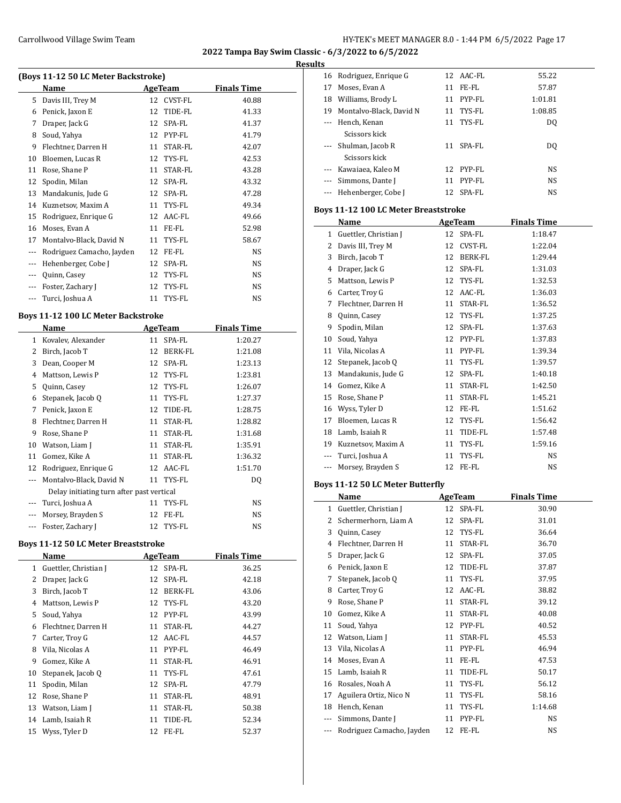# **Results**<br>**Example 16** Redrig

| (Boys 11-12 50 LC Meter Backstroke) |                           |    |                |                    |  |  |  |
|-------------------------------------|---------------------------|----|----------------|--------------------|--|--|--|
|                                     | Name                      |    | AgeTeam        | <b>Finals Time</b> |  |  |  |
| 5                                   | Davis III, Trey M         | 12 | CVST-FL        | 40.88              |  |  |  |
| 6                                   | Penick, Jaxon E           | 12 | TIDE-FL        | 41.33              |  |  |  |
| 7                                   | Draper, Jack G            | 12 | SPA-FL         | 41.37              |  |  |  |
| 8                                   | Soud, Yahya               | 12 | PYP-FL         | 41.79              |  |  |  |
| 9                                   | Flechtner, Darren H       | 11 | <b>STAR-FL</b> | 42.07              |  |  |  |
| 10                                  | Bloemen, Lucas R          | 12 | TYS-FL         | 42.53              |  |  |  |
| 11                                  | Rose, Shane P             | 11 | STAR-FL        | 43.28              |  |  |  |
| 12                                  | Spodin, Milan             | 12 | SPA-FL         | 43.32              |  |  |  |
| 13                                  | Mandakunis, Jude G        | 12 | SPA-FL         | 47.28              |  |  |  |
| 14                                  | Kuznetsov, Maxim A        | 11 | TYS-FL         | 49.34              |  |  |  |
| 15                                  | Rodriguez, Enrique G      | 12 | AAC-FL         | 49.66              |  |  |  |
| 16                                  | Moses, Evan A             | 11 | FE-FL          | 52.98              |  |  |  |
| 17                                  | Montalvo-Black, David N   | 11 | TYS-FL         | 58.67              |  |  |  |
|                                     | Rodriguez Camacho, Jayden | 12 | FE-FL          | NS.                |  |  |  |
| $---$                               | Hehenberger, Cobe J       | 12 | SPA-FL         | <b>NS</b>          |  |  |  |
| $---$                               | Quinn, Casey              | 12 | TYS-FL         | NS                 |  |  |  |
| ---                                 | Foster, Zachary J         | 12 | TYS-FL         | NS                 |  |  |  |
|                                     | Turci, Joshua A           | 11 | TYS-FL         | NS                 |  |  |  |

#### **Boys 11-12 100 LC Meter Backstroke**

 $\overline{a}$ 

 $\overline{a}$ 

|    | Name                                      | AgeTeam |           | <b>Finals Time</b> |  |  |  |
|----|-------------------------------------------|---------|-----------|--------------------|--|--|--|
| 1  | Kovalev, Alexander                        | 11      | SPA-FL    | 1:20.27            |  |  |  |
| 2  | Birch, Jacob T                            | 12      | BERK-FL   | 1:21.08            |  |  |  |
| 3  | Dean, Cooper M                            | 12      | SPA-FL    | 1:23.13            |  |  |  |
| 4  | Mattson, Lewis P                          | 12      | TYS-FL    | 1:23.81            |  |  |  |
| 5  | Quinn, Casey                              | 12      | TYS-FL    | 1:26.07            |  |  |  |
| 6  | Stepanek, Jacob Q                         | 11      | TYS-FL    | 1:27.37            |  |  |  |
| 7  | Penick, Jaxon E                           | 12      | TIDE-FL   | 1:28.75            |  |  |  |
| 8  | Flechtner, Darren H                       | 11      | STAR-FL   | 1:28.82            |  |  |  |
| 9  | Rose, Shane P                             | 11      | STAR-FL   | 1:31.68            |  |  |  |
| 10 | Watson, Liam J                            | 11      | STAR-FL   | 1:35.91            |  |  |  |
| 11 | Gomez, Kike A                             | 11      | STAR-FL   | 1:36.32            |  |  |  |
| 12 | Rodriguez, Enrique G                      | 12      | AAC-FL    | 1:51.70            |  |  |  |
|    | Montalvo-Black, David N                   | 11      | TYS-FL    | DQ                 |  |  |  |
|    | Delay initiating turn after past vertical |         |           |                    |  |  |  |
|    | Turci, Joshua A                           | 11      | TYS-FL    | NS                 |  |  |  |
|    | Morsey, Brayden S                         | 12      | FE-FL     | NS.                |  |  |  |
|    | Foster, Zachary J                         |         | 12 TYS-FL | NS.                |  |  |  |

#### **Boys 11-12 50 LC Meter Breaststroke**

|    | Name                  |    | AgeTeam   | <b>Finals Time</b> |
|----|-----------------------|----|-----------|--------------------|
| 1  | Guettler, Christian J |    | 12 SPA-FL | 36.25              |
| 2  | Draper, Jack G        | 12 | SPA-FL    | 42.18              |
| 3  | Birch, Jacob T        | 12 | BERK-FL   | 43.06              |
| 4  | Mattson, Lewis P      |    | 12 TYS-FL | 43.20              |
| 5  | Soud, Yahya           |    | 12 PYP-FL | 43.99              |
| 6  | Flechtner, Darren H   | 11 | STAR-FL   | 44.27              |
| 7  | Carter, Troy G        |    | 12 AAC-FL | 44.57              |
| 8  | Vila, Nicolas A       | 11 | PYP-FL    | 46.49              |
| 9  | Gomez, Kike A         | 11 | STAR-FL   | 46.91              |
| 10 | Stepanek, Jacob Q     | 11 | TYS-FL    | 47.61              |
| 11 | Spodin, Milan         |    | 12 SPA-FL | 47.79              |
| 12 | Rose, Shane P         | 11 | STAR-FL   | 48.91              |
| 13 | Watson, Liam J        | 11 | STAR-FL   | 50.38              |
|    | 14 Lamb, Isaiah R     | 11 | TIDE-FL   | 52.34              |
|    | 15 Wyss, Tyler D      |    | 12 FE-FL  | 52.37              |

|              | 16 Rodriguez, Enrique G                       | 12       | AAC-FL          | 55.22              |  |
|--------------|-----------------------------------------------|----------|-----------------|--------------------|--|
|              | 17 Moses, Evan A                              | 11       | FE-FL           | 57.87              |  |
|              | 18 Williams, Brody L                          | 11       | PYP-FL          | 1:01.81            |  |
|              | 19 Montalvo-Black, David N                    | 11       | TYS-FL          | 1:08.85            |  |
|              | --- Hench, Kenan                              | 11       | TYS-FL          | DQ                 |  |
|              | Scissors kick                                 |          |                 |                    |  |
|              | --- Shulman, Jacob R                          | 11       | SPA-FL          | DQ                 |  |
|              | Scissors kick                                 |          |                 |                    |  |
|              | --- Kawaiaea, Kaleo M                         |          | 12 PYP-FL       | NS                 |  |
|              | --- Simmons, Dante J                          | 11       | PYP-FL          | NS                 |  |
|              | --- Hehenberger, Cobe J                       |          | 12 SPA-FL       | NS                 |  |
|              |                                               |          |                 |                    |  |
|              | Boys 11-12 100 LC Meter Breaststroke          |          |                 |                    |  |
|              | Name                                          |          | AgeTeam         | <b>Finals Time</b> |  |
|              | 1 Guettler, Christian J                       | 12       | SPA-FL          | 1:18.47            |  |
|              | 2 Davis III, Trey M                           | 12       | CVST-FL         | 1:22.04            |  |
|              | 3 Birch, Jacob T                              | 12       | BERK-FL         | 1:29.44            |  |
|              | 4 Draper, Jack G                              |          | 12 SPA-FL       | 1:31.03            |  |
|              | 5 Mattson, Lewis P                            |          | 12 TYS-FL       | 1:32.53            |  |
|              | 6 Carter, Troy G                              |          | 12 AAC-FL       | 1:36.03            |  |
|              | 7 Flechtner, Darren H                         | 11       | STAR-FL         | 1:36.52            |  |
|              | 8 Quinn, Casey                                | 12       | TYS-FL          | 1:37.25            |  |
|              | 9 Spodin, Milan                               | 12       | SPA-FL          | 1:37.63            |  |
|              | 10 Soud, Yahya                                |          | 12 PYP-FL       | 1:37.83            |  |
|              | 11 Vila, Nicolas A                            |          | 11 PYP-FL       | 1:39.34            |  |
|              | 12 Stepanek, Jacob Q                          | 11       | TYS-FL          | 1:39.57            |  |
|              | 13 Mandakunis, Jude G                         | 12       | SPA-FL          | 1:40.18            |  |
|              | 14 Gomez, Kike A                              | 11       | STAR-FL         | 1:42.50            |  |
|              | 15 Rose, Shane P                              | 11       | STAR-FL         | 1:45.21            |  |
|              | 16 Wyss, Tyler D                              |          | 12 FE-FL        | 1:51.62            |  |
|              | 17 Bloemen, Lucas R                           |          | 12 TYS-FL       | 1:56.42            |  |
|              | 18 Lamb, Isaiah R                             | 11       | TIDE-FL         | 1:57.48            |  |
|              |                                               |          |                 |                    |  |
|              | 19 Kuznetsov, Maxim A                         | 11       | TYS-FL          | 1:59.16            |  |
|              | --- Turci, Joshua A                           | 11       | TYS-FL          | NS                 |  |
|              | --- Morsey, Brayden S                         |          | 12 FE-FL        | NS                 |  |
|              | Boys 11-12 50 LC Meter Butterfly              |          |                 |                    |  |
|              | Name                                          |          | AgeTeam         | <b>Finals Time</b> |  |
|              | 1 Guettler, Christian J                       |          | 12 SPA-FL       | 30.90              |  |
|              | 2 Schermerhorn. Liam A                        |          | 12 SPA-FL       | 31.01              |  |
| 3            | Quinn, Casey                                  | 12       | TYS-FL          | 36.64              |  |
|              | 4 Flechtner, Darren H                         | 11       | STAR-FL         | 36.70              |  |
|              | 5 Draper, Jack G                              | 12       | SPA-FL          | 37.05              |  |
|              | 6 Penick, Jaxon E                             | 12       | TIDE-FL         | 37.87              |  |
| 7            | Stepanek, Jacob Q                             | 11       | TYS-FL          | 37.95              |  |
|              | 8 Carter, Troy G                              | 12       | AAC-FL          | 38.82              |  |
|              | 9 Rose, Shane P                               | 11       | STAR-FL         | 39.12              |  |
|              | 10 Gomez, Kike A                              | 11       | STAR-FL         | 40.08              |  |
|              | Soud, Yahya                                   |          |                 |                    |  |
| 11           |                                               | 12       | PYP-FL          | 40.52              |  |
|              | 12 Watson, Liam J                             | 11       | STAR-FL         | 45.53              |  |
|              | 13 Vila, Nicolas A                            | 11       | PYP-FL          | 46.94              |  |
|              | 14 Moses, Evan A                              | 11       | FE-FL           | 47.53              |  |
|              | 15 Lamb, Isaiah R                             | 11       | TIDE-FL         | 50.17              |  |
|              | 16 Rosales, Noah A                            | 11       | TYS-FL          | 56.12              |  |
| 17           | Aguilera Ortiz, Nico N                        | 11       | TYS-FL          | 58.16              |  |
|              |                                               |          |                 |                    |  |
|              | 18 Hench, Kenan                               | 11       | TYS-FL          | 1:14.68            |  |
| $---$<br>--- | Simmons, Dante J<br>Rodriguez Camacho, Jayden | 11<br>12 | PYP-FL<br>FE-FL | NS<br>NS           |  |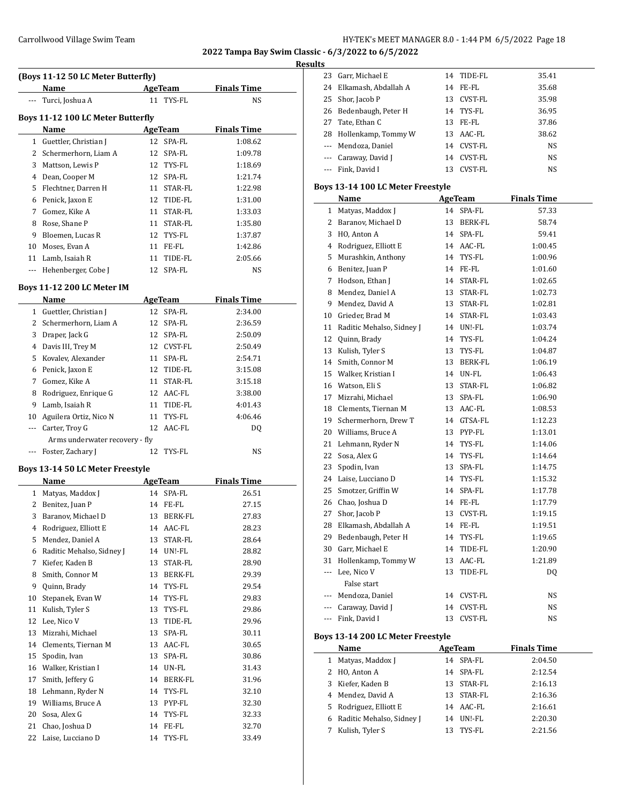### Carrollwood Village Swim Team **HY-TEK's MEET MANAGER 8.0 - 1:44 PM 6/5/2022** Page 18

**2022 Tampa Bay Swim Classic - 6/3/2022 to 6/5/2022**

#### **Results**

|                                   | (Boys 11-12 50 LC Meter Butterfly)<br>Name |  | AgeTeam        | <b>Finals Time</b> |  |  |
|-----------------------------------|--------------------------------------------|--|----------------|--------------------|--|--|
|                                   | Turci, Joshua A                            |  | 11 TYS-FL      | <b>NS</b>          |  |  |
|                                   |                                            |  |                |                    |  |  |
| Boys 11-12 100 LC Meter Butterfly |                                            |  |                |                    |  |  |
|                                   | Name                                       |  | AgeTeam        | <b>Finals Time</b> |  |  |
|                                   | 1 Guettler, Christian J                    |  | 12 SPA-FL      | 1:08.62            |  |  |
|                                   | 2 Schermerhorn, Liam A                     |  | 12 SPA-FL      | 1:09.78            |  |  |
|                                   | 3 Mattson, Lewis P                         |  | 12 TYS-FL      | 1:18.69            |  |  |
|                                   | 4 Dean, Cooper M                           |  | 12 SPA-FL      | 1:21.74            |  |  |
|                                   | 5 Flechtner, Darren H                      |  | 11 STAR-FL     | 1:22.98            |  |  |
|                                   | 6 Penick, Jaxon E                          |  | 12 TIDE-FL     | 1:31.00            |  |  |
|                                   | 7 Gomez, Kike A                            |  | 11 STAR-FL     | 1:33.03            |  |  |
|                                   | 8 Rose, Shane P                            |  | 11 STAR-FL     | 1:35.80            |  |  |
|                                   | 9 Bloemen, Lucas R                         |  | 12 TYS-FL      | 1:37.87            |  |  |
|                                   | 10 Moses, Evan A                           |  | 11 FE-FL       | 1:42.86            |  |  |
|                                   | 11 Lamb, Isaiah R                          |  | 11 TIDE-FL     | 2:05.66            |  |  |
|                                   | --- Hehenberger, Cobe J                    |  | 12 SPA-FL      | NS                 |  |  |
|                                   | <b>Boys 11-12 200 LC Meter IM</b>          |  |                |                    |  |  |
|                                   | Name                                       |  | AgeTeam        | <b>Finals Time</b> |  |  |
|                                   | 1 Guettler, Christian J                    |  | 12 SPA-FL      | 2:34.00            |  |  |
|                                   | 2 Schermerhorn, Liam A                     |  | 12 SPA-FL      | 2:36.59            |  |  |
|                                   | 3 Draper, Jack G                           |  | 12 SPA-FL      | 2:50.09            |  |  |
|                                   | 4 Davis III, Trey M                        |  | 12 CVST-FL     | 2:50.49            |  |  |
|                                   | 5 Kovalev, Alexander                       |  | 11 SPA-FL      | 2:54.71            |  |  |
|                                   | 6 Penick, Jaxon E                          |  | 12 TIDE-FL     | 3:15.08            |  |  |
|                                   | 7 Gomez, Kike A                            |  | 11 STAR-FL     | 3:15.18            |  |  |
|                                   | 8 Rodriguez, Enrique G                     |  | 12 AAC-FL      | 3:38.00            |  |  |
|                                   | 9 Lamb, Isaiah R                           |  | 11 TIDE-FL     | 4:01.43            |  |  |
|                                   | 10 Aguilera Ortiz, Nico N                  |  | 11 TYS-FL      | 4:06.46            |  |  |
|                                   | --- Carter, Troy G                         |  | 12 AAC-FL      | DQ                 |  |  |
|                                   | Arms underwater recovery - fly             |  |                |                    |  |  |
|                                   | --- Foster, Zachary J                      |  | 12 TYS-FL      | <b>NS</b>          |  |  |
|                                   | Boys 13-14 50 LC Meter Freestyle           |  |                |                    |  |  |
|                                   | Name                                       |  | <u>AgeTeam</u> | <b>Finals Time</b> |  |  |
|                                   | 1 Matyas, Maddox J                         |  | 14 SPA-FL      | 26.51              |  |  |
|                                   | 2 Benitez, Juan P                          |  | 14 FE-FL       | 27.15              |  |  |
|                                   | 3 Baranov, Michael D                       |  | 13 BERK-FL     | 27.83              |  |  |
|                                   | 4 Rodriguez, Elliott E                     |  | 14 AAC-FL      | 28.23              |  |  |
|                                   | 5 Mendez, Daniel A                         |  | 13 STAR-FL     | 28.64              |  |  |
|                                   | 6 Raditic Mehalso, Sidney J                |  | 14 UN!-FL      | 28.82              |  |  |
|                                   |                                            |  |                |                    |  |  |

|    | Koungacz, Lillou L        |    | 770-1 P        | ں ے ں ے |
|----|---------------------------|----|----------------|---------|
| 5  | Mendez, Daniel A          | 13 | STAR-FL        | 28.64   |
| 6  | Raditic Mehalso, Sidney J | 14 | UN!-FL         | 28.82   |
| 7  | Kiefer, Kaden B           | 13 | STAR-FL        | 28.90   |
| 8  | Smith, Connor M           | 13 | <b>BERK-FL</b> | 29.39   |
| 9  | Quinn, Brady              | 14 | TYS-FL         | 29.54   |
| 10 | Stepanek, Evan W          | 14 | TYS-FL         | 29.83   |
| 11 | Kulish, Tyler S           | 13 | TYS-FL         | 29.86   |
| 12 | Lee, Nico V               | 13 | TIDE-FL        | 29.96   |
| 13 | Mizrahi, Michael          | 13 | SPA-FL         | 30.11   |
| 14 | Clements, Tiernan M       | 13 | AAC-FL         | 30.65   |
| 15 | Spodin, Ivan              | 13 | SPA-FL         | 30.86   |
| 16 | Walker, Kristian I        | 14 | UN-FL          | 31.43   |
| 17 | Smith, Jeffery G          | 14 | BERK-FL        | 31.96   |
| 18 | Lehmann, Ryder N          | 14 | TYS-FL         | 32.10   |
| 19 | Williams, Bruce A         | 13 | PYP-FL         | 32.30   |
| 20 | Sosa, Alex G              | 14 | TYS-FL         | 32.33   |
| 21 | Chao, Joshua D            | 14 | FE-FL          | 32.70   |
|    | 22 Laise, Lucciano D      |    | 14 TYS-FL      | 33.49   |

| 23 Garr, Michael E      |    | 14 TIDE-FL | 35.41     |
|-------------------------|----|------------|-----------|
| 24 Elkamash, Abdallah A |    | 14 FE-FL   | 35.68     |
| 25 Shor, Jacob P        | 13 | CVST-FL    | 35.98     |
| 26 Bedenbaugh, Peter H  |    | 14 TYS-FL  | 36.95     |
| 27 Tate, Ethan C        | 13 | FE-FL      | 37.86     |
| 28 Hollenkamp, Tommy W  |    | 13 AAC-FL  | 38.62     |
| --- Mendoza, Daniel     | 14 | CVST-FL    | NS.       |
| --- Caraway, David J    | 14 | CVST-FL    | NS.       |
| --- Fink, David I       | 13 | CVST-FL    | <b>NS</b> |

#### **Boys 13-14 100 LC Meter Freestyle**

|                          | Name                              | <b>AgeTeam</b> |                | <b>Finals Time</b> |  |
|--------------------------|-----------------------------------|----------------|----------------|--------------------|--|
| 1                        | Matyas, Maddox J                  |                | 14 SPA-FL      | 57.33              |  |
| $\mathbf{2}$             | Baranov, Michael D                |                | 13 BERK-FL     | 58.74              |  |
|                          | 3 HO, Anton A                     |                | 14 SPA-FL      | 59.41              |  |
|                          | 4 Rodriguez, Elliott E            |                | 14 AAC-FL      | 1:00.45            |  |
|                          | 5 Murashkin, Anthony              |                | 14 TYS-FL      | 1:00.96            |  |
|                          | 6 Benitez, Juan P                 |                | 14 FE-FL       | 1:01.60            |  |
| 7                        | Hodson, Ethan J                   |                | 14 STAR-FL     | 1:02.65            |  |
| 8                        | Mendez, Daniel A                  |                | 13 STAR-FL     | 1:02.73            |  |
| 9                        | Mendez, David A                   |                | 13 STAR-FL     | 1:02.81            |  |
|                          | 10 Grieder, Brad M                |                | 14 STAR-FL     | 1:03.43            |  |
| 11                       | Raditic Mehalso, Sidney J         |                | 14 UN!-FL      | 1:03.74            |  |
| 12                       | Quinn, Brady                      |                | 14 TYS-FL      | 1:04.24            |  |
| 13                       | Kulish, Tyler S                   |                | 13 TYS-FL      | 1:04.87            |  |
|                          | 14 Smith, Connor M                |                | 13 BERK-FL     | 1:06.19            |  |
|                          | 15 Walker, Kristian I             |                | 14 UN-FL       | 1:06.43            |  |
|                          | 16 Watson, Eli S                  |                | 13 STAR-FL     | 1:06.82            |  |
|                          | 17 Mizrahi, Michael               |                | 13 SPA-FL      | 1:06.90            |  |
|                          | 18 Clements, Tiernan M            |                | 13 AAC-FL      | 1:08.53            |  |
| 19                       | Schermerhorn, Drew T              |                | 14 GTSA-FL     | 1:12.23            |  |
|                          | 20 Williams, Bruce A              |                | 13 PYP-FL      | 1:13.01            |  |
|                          | 21 Lehmann, Ryder N               |                | 14 TYS-FL      | 1:14.06            |  |
| 22                       | Sosa, Alex G                      |                | 14 TYS-FL      | 1:14.64            |  |
| 23                       | Spodin, Ivan                      |                | 13 SPA-FL      | 1:14.75            |  |
|                          | 24 Laise, Lucciano D              |                | 14 TYS-FL      | 1:15.32            |  |
| 25                       | Smotzer, Griffin W                |                | 14 SPA-FL      | 1:17.78            |  |
|                          | 26 Chao, Joshua D                 |                | 14 FE-FL       | 1:17.79            |  |
| 27                       | Shor, Jacob P                     |                | 13 CVST-FL     | 1:19.15            |  |
|                          | 28 Elkamash, Abdallah A           |                | 14 FE-FL       | 1:19.51            |  |
|                          | 29 Bedenbaugh, Peter H            |                | 14 TYS-FL      | 1:19.65            |  |
| 30                       | Garr, Michael E                   |                | 14 TIDE-FL     | 1:20.90            |  |
| 31                       | Hollenkamp, Tommy W               |                | 13 AAC-FL      | 1:21.89            |  |
| ---                      | Lee, Nico V<br>False start        | 13             | TIDE-FL        | DQ                 |  |
|                          | --- Mendoza, Daniel               |                | 14 CVST-FL     | NS                 |  |
|                          | --- Caraway, David J              |                | 14 CVST-FL     | NS                 |  |
| $\overline{\phantom{a}}$ | Fink, David I                     |                | 13 CVST-FL     | NS                 |  |
|                          | Boys 13-14 200 LC Meter Freestyle |                |                |                    |  |
|                          | <b>Name</b>                       |                | <b>AgeTeam</b> | <b>Finals Time</b> |  |
| 1                        | Matyas, Maddox J                  | 14             | SPA-FL         | 2:04.50            |  |
| 2                        | HO, Anton A                       | 14             | SPA-FL         | 2:12.54            |  |
| 3                        | Kiefer, Kaden B                   | 13             | STAR-FL        | 2:16.13            |  |
| 4                        | Mendez, David A                   | 13             | STAR-FL        | 2:16.36            |  |
| 5                        | Rodriguez, Elliott E              | 14             | AAC-FL         | 2:16.61            |  |
| 6                        | Raditic Mehalso, Sidney J         | 14             | UN!-FL         | 2:20.30            |  |
| 7                        | Kulish, Tyler S                   | 13             | TYS-FL         | 2:21.56            |  |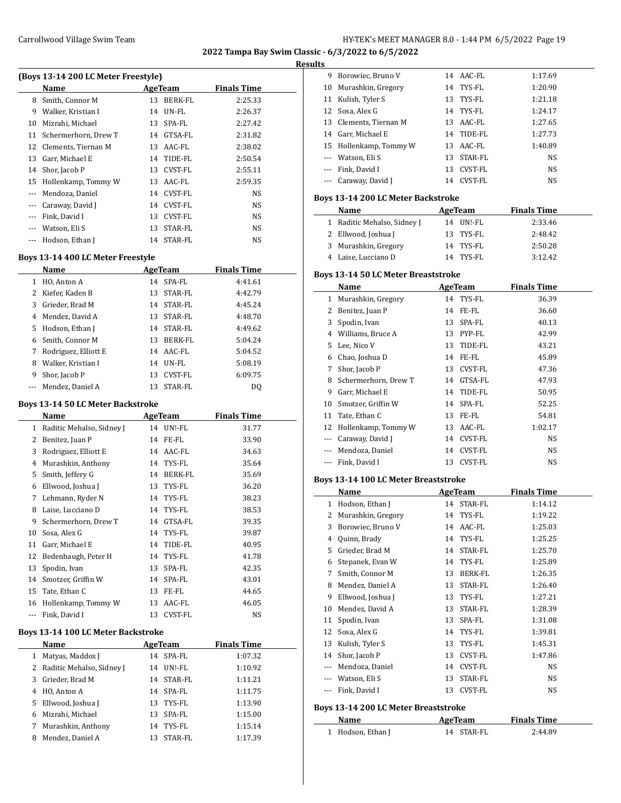**Results**

|       | (Boys 13-14 200 LC Meter Freestyle) |               |                    |  |
|-------|-------------------------------------|---------------|--------------------|--|
|       | Name                                | AgeTeam       | <b>Finals Time</b> |  |
| 8     | Smith, Connor M                     | BERK-FL<br>13 | 2:25.33            |  |
| 9     | Walker, Kristian I                  | UN-FL<br>14   | 2:26.37            |  |
| 10    | Mizrahi, Michael                    | SPA-FL<br>13  | 2:27.42            |  |
| 11    | Schermerhorn, Drew T                | GTSA-FL<br>14 | 2:31.82            |  |
| 12    | Clements, Tiernan M                 | AAC-FL<br>13  | 2:38.02            |  |
| 13    | Garr, Michael E                     | TIDE-FL<br>14 | 2:50.54            |  |
| 14    | Shor, Jacob P                       | CVST-FL<br>13 | 2:55.11            |  |
| 15    | Hollenkamp, Tommy W                 | AAC-FL<br>13  | 2:59.35            |  |
|       | Mendoza, Daniel                     | CVST-FL<br>14 | NS                 |  |
|       | Caraway, David J                    | CVST-FL<br>14 | NS                 |  |
| $---$ | Fink, David I                       | CVST-FL<br>13 | NS                 |  |
|       | Watson, Eli S                       | STAR-FL<br>13 | NS                 |  |
|       | Hodson, Ethan J                     | STAR-FL<br>14 | NS                 |  |

### **Boys 13-14 400 LC Meter Freestyle**

 $\overline{a}$ 

|   | Name                 | AgeTeam |                | <b>Finals Time</b> |  |
|---|----------------------|---------|----------------|--------------------|--|
|   | HO, Anton A          |         | 14 SPA-FL      | 4:41.61            |  |
| 2 | Kiefer, Kaden B      | 13      | STAR-FL        | 4:42.79            |  |
| 3 | Grieder, Brad M      | 14      | STAR-FL        | 4:45.24            |  |
| 4 | Mendez, David A      | 13      | STAR-FL        | 4:48.70            |  |
| 5 | Hodson, Ethan J      |         | 14 STAR-FL     | 4:49.62            |  |
| 6 | Smith, Connor M      | 13      | BERK-FL        | 5:04.24            |  |
| 7 | Rodriguez, Elliott E |         | 14 AAC-FL      | 5:04.52            |  |
| 8 | Walker, Kristian I   | 14      | UN-FL          | 5:08.19            |  |
| 9 | Shor, Jacob P        | 13      | <b>CVST-FL</b> | 6:09.75            |  |
|   | Mendez, Daniel A     | 13.     | STAR-FL        | D0                 |  |

#### **Boys 13-14 50 LC Meter Backstroke**

|    | Name                      | AgeTeam |                | <b>Finals Time</b> |
|----|---------------------------|---------|----------------|--------------------|
| 1  | Raditic Mehalso, Sidney J | 14      | UN!-FL         | 31.77              |
| 2  | Benitez, Juan P           | 14      | FE-FL          | 33.90              |
| 3  | Rodriguez, Elliott E      | 14      | AAC-FL         | 34.63              |
| 4  | Murashkin, Anthony        | 14      | TYS-FL         | 35.64              |
| 5  | Smith, Jeffery G          | 14      | BERK-FL        | 35.69              |
| 6  | Ellwood, Joshua J         | 13      | TYS-FL         | 36.20              |
| 7  | Lehmann, Ryder N          | 14      | TYS-FL         | 38.23              |
| 8  | Laise, Lucciano D         |         | 14 TYS-FL      | 38.53              |
| 9  | Schermerhorn, Drew T      | 14      | GTSA-FL        | 39.35              |
| 10 | Sosa, Alex G              | 14      | TYS-FL         | 39.87              |
| 11 | Garr, Michael E           | 14      | TIDE-FL        | 40.95              |
| 12 | Bedenbaugh, Peter H       | 14      | TYS-FL         | 41.78              |
| 13 | Spodin, Ivan              | 13      | SPA-FL         | 42.35              |
| 14 | Smotzer, Griffin W        | 14      | SPA-FL         | 43.01              |
| 15 | Tate, Ethan C             | 13      | FE-FL          | 44.65              |
| 16 | Hollenkamp, Tommy W       | 13      | AAC-FL         | 46.05              |
|    | Fink, David I             | 13      | <b>CVST-FL</b> | NS                 |

#### **Boys 13-14 100 LC Meter Backstroke**

|   | Name                        | AgeTeam         | <b>Finals Time</b> |  |
|---|-----------------------------|-----------------|--------------------|--|
| 1 | Matyas, Maddox J            | 14 SPA-FL       | 1:07.32            |  |
|   | 2 Raditic Mehalso, Sidney J | $UNI-FI.$<br>14 | 1:10.92            |  |
|   | 3 Grieder, Brad M           | 14              | STAR-FL<br>1:11.21 |  |
| 4 | HO, Anton A                 | SPA-FL<br>14    | 1:11.75            |  |
|   | 5 Ellwood, Joshua J         | TYS-FL<br>13    | 1:13.90            |  |
| 6 | Mizrahi, Michael            | SPA-FL<br>13    | 1:15.00            |  |
| 7 | Murashkin, Anthony          | 14 TYS-FL       | 1:15.14            |  |
| 8 | Mendez, Daniel A            | 13              | STAR-FL<br>1:17.39 |  |

| 9            | Borowiec, Bruno V                                   | AAC-FL<br>14           | 1:17.69            |  |
|--------------|-----------------------------------------------------|------------------------|--------------------|--|
| 10           | Murashkin, Gregory                                  | 14 TYS-FL              | 1:20.90            |  |
| 11           | Kulish, Tyler S                                     | 13 TYS-FL              | 1:21.18            |  |
| 12           | Sosa, Alex G                                        | 14 TYS-FL              | 1:24.17            |  |
| 13           | Clements, Tiernan M                                 | 13 AAC-FL              | 1:27.65            |  |
|              | 14 Garr, Michael E                                  | 14 TIDE-FL             | 1:27.73            |  |
|              | 15 Hollenkamp, Tommy W                              | 13 AAC-FL              | 1:40.89            |  |
| ---          | Watson, Eli S                                       | 13 STAR-FL             | NS                 |  |
| ---          | Fink, David I                                       | 13 CVST-FL             | NS                 |  |
| ---          | Caraway, David J                                    | 14 CVST-FL             | NS                 |  |
|              |                                                     |                        |                    |  |
|              | Boys 13-14 200 LC Meter Backstroke                  |                        |                    |  |
|              | Name                                                | AgeTeam                | <b>Finals Time</b> |  |
| 1            | Raditic Mehalso, Sidney J                           | 14 UN!-FL              | 2:33.46            |  |
|              | 2 Ellwood, Joshua J                                 | 13 TYS-FL              | 2:48.42            |  |
| 3            | Murashkin, Gregory                                  | 14 TYS-FL              | 2:50.28            |  |
|              | 4 Laise, Lucciano D                                 | 14 TYS-FL              | 3:12.42            |  |
|              | <b>Boys 13-14 50 LC Meter Breaststroke</b>          |                        |                    |  |
|              | Name                                                | <b>AgeTeam</b>         | <b>Finals Time</b> |  |
| $\mathbf{1}$ | Murashkin, Gregory                                  | 14<br>TYS-FL           | 36.39              |  |
| 2            | Benitez, Juan P                                     | 14 FE-FL               | 36.60              |  |
| 3            | Spodin, Ivan                                        | 13 SPA-FL              | 40.13              |  |
|              | 4 Williams, Bruce A                                 | 13 PYP-FL              | 42.99              |  |
| 5            | Lee, Nico V                                         | 13<br>TIDE-FL          | 43.21              |  |
|              | 6 Chao, Joshua D                                    | 14 FE-FL               | 45.89              |  |
| 7            | Shor, Jacob P                                       | 13 CVST-FL             | 47.36              |  |
| 8            | Schermerhorn, Drew T                                | 14 GTSA-FL             | 47.93              |  |
| 9            | Garr, Michael E                                     | 14 TIDE-FL             | 50.95              |  |
| 10           | Smotzer, Griffin W                                  | 14 SPA-FL              | 52.25              |  |
| 11           | Tate, Ethan C                                       | 13 FE-FL               | 54.81              |  |
| 12           | Hollenkamp, Tommy W                                 | 13 AAC-FL              | 1:02.17            |  |
| ---          | Caraway, David J                                    | 14 CVST-FL             | NS                 |  |
| ---          | Mendoza, Daniel                                     | 14 CVST-FL             | NS                 |  |
| ---          | Fink, David I                                       | 13<br>CVST-FL          | NS                 |  |
|              |                                                     |                        |                    |  |
|              | <b>Boys 13-14 100 LC Meter Breaststroke</b><br>Name | AgeTeam                |                    |  |
| 1            |                                                     | 14 STAR-FL             | <b>Finals Time</b> |  |
|              | Hodson, Ethan J                                     |                        | 1:14.12            |  |
| 2            | Murashkin, Gregory                                  | 14 TYS-FL<br>14 AAC-FL | 1:19.22<br>1:25.03 |  |
|              | 3 Borowiec, Bruno V                                 | 14 TYS-FL              |                    |  |
| 4            | Quinn, Brady                                        |                        | 1:25.25            |  |
| 5            | Grieder, Brad M                                     | 14<br>STAR-FL          | 1:25.70            |  |
| 6            | Stepanek, Evan W                                    | 14 TYS-FL              | 1:25.89            |  |
| 7            | Smith, Connor M                                     | 13<br>BERK-FL          | 1:26.35            |  |
| 8            | Mendez, Daniel A                                    | STAR-FL<br>13          | 1:26.40            |  |
| 9            | Ellwood, Joshua J                                   | 13<br>TYS-FL           | 1:27.21            |  |
| 10           | Mendez, David A                                     | 13<br>STAR-FL          | 1:28.39            |  |
| 11           | Spodin, Ivan                                        | 13<br>SPA-FL           | 1:31.08            |  |
| 12           | Sosa, Alex G                                        | 14<br>TYS-FL           | 1:39.81            |  |
| 13           | Kulish, Tyler S                                     | 13<br>TYS-FL           | 1:45.31            |  |
| 14           | Shor, Jacob P                                       | 13<br>CVST-FL          | 1:47.86            |  |
| ---          | Mendoza, Daniel                                     | 14<br>CVST-FL          | NS                 |  |
|              | --- Watson, Eli S                                   | 13<br>STAR-FL          | NS                 |  |
| ---          | Fink, David I                                       | 13<br>CVST-FL          | NS                 |  |
|              |                                                     |                        |                    |  |
|              | Boys 13-14 200 LC Meter Breaststroke                |                        |                    |  |

1 Hodson, Ethan J 14 STAR-FL 2:44.89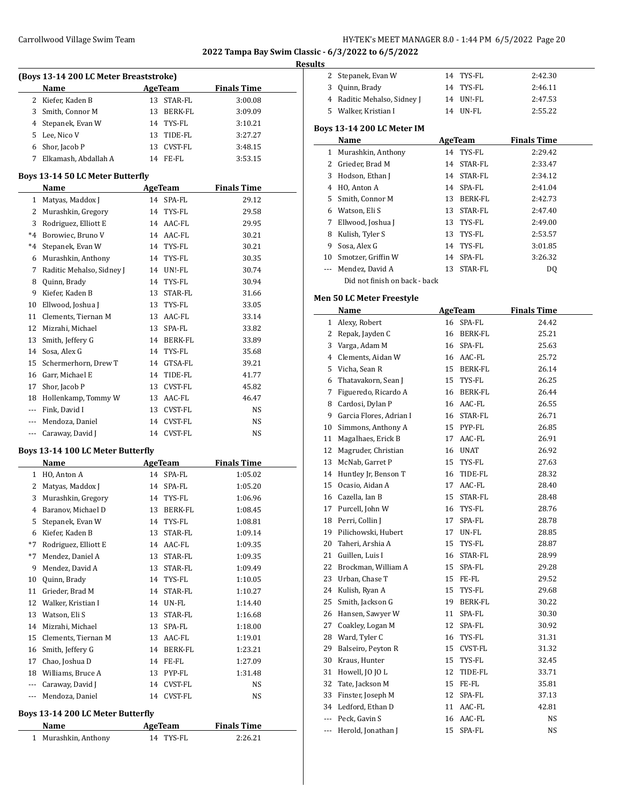### **Results**

| wca<br>(Boys 13-14 200 LC Meter Breaststroke) |                                             |          |                |                    |  |  |
|-----------------------------------------------|---------------------------------------------|----------|----------------|--------------------|--|--|
|                                               | Name                                        |          | <b>AgeTeam</b> | <b>Finals Time</b> |  |  |
|                                               | 2 Kiefer, Kaden B                           | 13       | STAR-FL        | 3:00.08            |  |  |
|                                               | 3 Smith, Connor M                           | 13       | BERK-FL        | 3:09.09            |  |  |
|                                               | 4 Stepanek, Evan W                          | 14       | TYS-FL         | 3:10.21            |  |  |
|                                               | 5 Lee, Nico V                               | 13       | TIDE-FL        | 3:27.27            |  |  |
|                                               | 6 Shor, Jacob P                             | 13       | CVST-FL        | 3:48.15            |  |  |
|                                               | 7 Elkamash, Abdallah A                      |          | 14 FE-FL       | 3:53.15            |  |  |
|                                               |                                             |          |                |                    |  |  |
|                                               | Boys 13-14 50 LC Meter Butterfly<br>Name    |          | AgeTeam        | <b>Finals Time</b> |  |  |
|                                               | 1 Matyas, Maddox J                          |          | 14 SPA-FL      | 29.12              |  |  |
|                                               | 2 Murashkin, Gregory                        | 14       | TYS-FL         | 29.58              |  |  |
| 3                                             | Rodriguez, Elliott E                        |          | 14 AAC-FL      | 29.95              |  |  |
|                                               | *4 Borowiec, Bruno V                        |          | 14 AAC-FL      | 30.21              |  |  |
|                                               | *4 Stepanek, Evan W                         |          | 14 TYS-FL      | 30.21              |  |  |
|                                               |                                             |          |                |                    |  |  |
|                                               | 6 Murashkin, Anthony                        | 14       | TYS-FL         | 30.35              |  |  |
|                                               | 7 Raditic Mehalso, Sidney J                 |          | 14 UN!-FL      | 30.74              |  |  |
|                                               | 8 Quinn, Brady                              | 14       | TYS-FL         | 30.94              |  |  |
|                                               | 9 Kiefer, Kaden B                           | 13       | STAR-FL        | 31.66              |  |  |
|                                               | 10 Ellwood, Joshua J                        |          | 13 TYS-FL      | 33.05              |  |  |
|                                               | 11 Clements, Tiernan M                      |          | 13 AAC-FL      | 33.14              |  |  |
|                                               | 12 Mizrahi, Michael                         | 13       | SPA-FL         | 33.82              |  |  |
|                                               | 13 Smith, Jeffery G                         |          | 14 BERK-FL     | 33.89              |  |  |
|                                               | 14 Sosa, Alex G                             | 14       | TYS-FL         | 35.68              |  |  |
| 15                                            | Schermerhorn, Drew T                        | 14       | GTSA-FL        | 39.21              |  |  |
|                                               | 16 Garr, Michael E                          |          | 14 TIDE-FL     | 41.77              |  |  |
|                                               | 17 Shor, Jacob P                            | 13       | CVST-FL        | 45.82              |  |  |
|                                               | 18 Hollenkamp, Tommy W                      |          | 13 AAC-FL      | 46.47              |  |  |
|                                               | --- Fink, David I                           | 13       | CVST-FL        | NS                 |  |  |
|                                               | --- Mendoza, Daniel                         | 14       | CVST-FL        | NS                 |  |  |
|                                               | --- Caraway, David J                        |          | 14 CVST-FL     | NS                 |  |  |
|                                               | Boys 13-14 100 LC Meter Butterfly           |          |                |                    |  |  |
|                                               | Name                                        |          | <b>AgeTeam</b> | <b>Finals Time</b> |  |  |
|                                               | 1 HO, Anton A                               | 14       | SPA-FL         | 1:05.02            |  |  |
|                                               | 2 Matyas, Maddox J                          | 14       | SPA-FL         | 1:05.20            |  |  |
| 3                                             | Murashkin, Gregory                          |          | 14 TYS-FL      | 1:06.96            |  |  |
|                                               | 4 Baranov, Michael D                        |          | 13 BERK-FL     | 1:08.45            |  |  |
|                                               | 5 Stepanek, Evan W                          |          | 14 TYS-FL      | 1:08.81            |  |  |
|                                               | 6 Kiefer, Kaden B                           | 13       | STAR-FL        | 1:09.14            |  |  |
| *7                                            | Rodriguez, Elliott E                        | 14       | AAC-FL         | 1:09.35            |  |  |
| *7                                            | Mendez, Daniel A                            | 13       | STAR-FL        | 1:09.35            |  |  |
|                                               | 9 Mendez, David A                           | 13       | STAR-FL        | 1:09.49            |  |  |
| 10                                            | Quinn, Brady                                | 14       | TYS-FL         | 1:10.05            |  |  |
| 11                                            | Grieder, Brad M                             | 14       | STAR-FL        | 1:10.27            |  |  |
|                                               | 12 Walker, Kristian I                       | 14       | UN-FL          | 1:14.40            |  |  |
|                                               | 13 Watson, Eli S                            | 13       | STAR-FL        | 1:16.68            |  |  |
|                                               | 14 Mizrahi, Michael                         | 13       | SPA-FL         | 1:18.00            |  |  |
|                                               | 15 Clements, Tiernan M                      | 13       | AAC-FL         | 1:19.01            |  |  |
| 16                                            | Smith, Jeffery G                            | 14       | BERK-FL        | 1:23.21            |  |  |
| 17                                            | Chao, Joshua D                              | 14       | FE-FL          | 1:27.09            |  |  |
|                                               | 18 Williams, Bruce A                        | 13       | PYP-FL         |                    |  |  |
|                                               |                                             |          |                | 1:31.48<br>NS      |  |  |
|                                               | --- Caraway, David J<br>--- Mendoza, Daniel | 14<br>14 | CVST-FL        |                    |  |  |
|                                               |                                             |          | CVST-FL        | NS                 |  |  |
|                                               | Boys 13-14 200 LC Meter Butterfly           |          |                |                    |  |  |
|                                               | Name                                        |          | <b>AgeTeam</b> | <b>Finals Time</b> |  |  |

| Name                 | <b>Age ream</b> |         |  |
|----------------------|-----------------|---------|--|
| 1 Murashkin, Anthony | 14 TYS-FL       | 2:26.21 |  |

| 2  | Stepanek, Evan W           |         | 14 TYS-FL  | 2:42.30            |
|----|----------------------------|---------|------------|--------------------|
| 3  | Quinn, Brady               |         | 14 TYS-FL  | 2:46.11            |
| 4  | Raditic Mehalso, Sidney J  | 14      | UN!-FL     | 2:47.53            |
| 5. | Walker, Kristian I         | 14      | UN-FL      | 2:55.22            |
|    | Boys 13-14 200 LC Meter IM |         |            |                    |
|    | Name                       | AgeTeam |            | <b>Finals Time</b> |
| 1  | Murashkin, Anthony         |         | 14 TYS-FL  | 2:29.42            |
| 2  | Grieder, Brad M            | 14      | STAR-FL    | 2:33.47            |
| 3  | Hodson, Ethan J            |         | 14 STAR-FL | 2:34.12            |
| 4  | HO, Anton A                | 14      | SPA-FL     | 2:41.04            |
| 5  | Smith, Connor M            | 13      | BERK-FL    | 2:42.73            |
| 6  | Watson, Eli S              | 13      | STAR-FL    | 2:47.40            |
| 7  | Ellwood, Joshua J          | 13      | TYS-FL     | 2:49.00            |
| 8  | Kulish, Tyler S            | 13      | TYS-FL     | 2:53.57            |
| 9  | Sosa, Alex G               | 14      | TYS-FL     | 3:01.85            |
| 10 | Smotzer, Griffin W         |         | 14 SPA-FL  | 3:26.32            |

--- Mendez, David A 13 STAR-FL DQ

### **Men 50 LC Meter Freestyle**

Did not finish on back - back

|              | Name                    |    | <b>AgeTeam</b> | <b>Finals Time</b> |
|--------------|-------------------------|----|----------------|--------------------|
| $\mathbf{1}$ | Alexy, Robert           | 16 | SPA-FL         | 24.42              |
| 2            | Repak, Jayden C         |    | 16 BERK-FL     | 25.21              |
| 3            | Varga, Adam M           |    | 16 SPA-FL      | 25.63              |
| 4            | Clements, Aidan W       |    | 16 AAC-FL      | 25.72              |
| 5            | Vicha, Sean R           |    | 15 BERK-FL     | 26.14              |
| 6            | Thatavakorn, Sean J     |    | 15 TYS-FL      | 26.25              |
| 7            | Figueredo, Ricardo A    |    | 16 BERK-FL     | 26.44              |
| 8            | Cardosi, Dylan P        |    | 16 AAC-FL      | 26.55              |
| 9            | Garcia Flores, Adrian I |    | 16 STAR-FL     | 26.71              |
| 10           | Simmons, Anthony A      |    | 15 PYP-FL      | 26.85              |
| 11           | Magalhaes, Erick B      | 17 | AAC-FL         | 26.91              |
| 12           | Magruder, Christian     |    | 16 UNAT        | 26.92              |
| 13           | McNab, Garret P         | 15 | TYS-FL         | 27.63              |
| 14           | Huntley Jr, Benson T    | 16 | TIDE-FL        | 28.32              |
| 15           | Ocasio, Aidan A         | 17 | AAC-FL         | 28.40              |
| 16           | Cazella, Ian B          | 15 | STAR-FL        | 28.48              |
| 17           | Purcell, John W         | 16 | TYS-FL         | 28.76              |
| 18           | Perri, Collin J         | 17 | SPA-FL         | 28.78              |
| 19           | Pilichowski, Hubert     | 17 | UN-FL          | 28.85              |
| 20           | Taheri, Arshia A        | 15 | TYS-FL         | 28.87              |
| 21           | Guillen, Luis I         | 16 | STAR-FL        | 28.99              |
| 22           | Brockman, William A     | 15 | SPA-FL         | 29.28              |
| 23           | Urban, Chase T          |    | 15 FE-FL       | 29.52              |
| 24           | Kulish, Ryan A          | 15 | TYS-FL         | 29.68              |
| 25           | Smith, Jackson G        | 19 | BERK-FL        | 30.22              |
| 26           | Hansen, Sawyer W        | 11 | SPA-FL         | 30.30              |
| 27           | Coakley, Logan M        | 12 | SPA-FL         | 30.92              |
| 28           | Ward, Tyler C           | 16 | TYS-FL         | 31.31              |
| 29           | Balseiro, Peyton R      | 15 | CVST-FL        | 31.32              |
| 30           | Kraus, Hunter           |    | 15 TYS-FL      | 32.45              |
| 31           | Howell, JO JO L         | 12 | TIDE-FL        | 33.71              |
| 32           | Tate, Jackson M         |    | 15 FE-FL       | 35.81              |
| 33           | Finster, Joseph M       | 12 | SPA-FL         | 37.13              |
|              | 34 Ledford, Ethan D     |    | 11 AAC-FL      | 42.81              |
| ---          | Peck, Gavin S           |    | 16 AAC-FL      | NS                 |
| ---          | Herold, Jonathan J      | 15 | SPA-FL         | NS                 |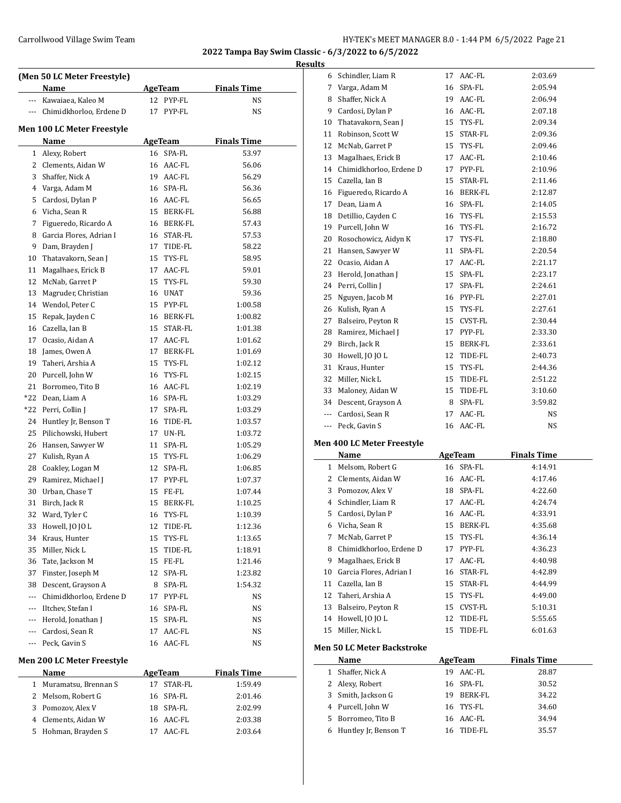**Results**

|                | (Men 50 LC Meter Freestyle) |                             |                    |
|----------------|-----------------------------|-----------------------------|--------------------|
|                | Name                        | <b>AgeTeam</b>              | <b>Finals Time</b> |
|                | --- Kawaiaea, Kaleo M       | 12 PYP-FL                   | NS                 |
|                | --- Chimidkhorloo, Erdene D | 17<br>PYP-FL                | NS                 |
|                |                             |                             |                    |
|                | Men 100 LC Meter Freestyle  |                             | <b>Finals Time</b> |
| $\mathbf{1}$   | Name<br>Alexy, Robert       | <b>AgeTeam</b><br>16 SPA-FL | 53.97              |
|                | 2 Clements, Aidan W         | 16 AAC-FL                   | 56.06              |
| 3              | Shaffer, Nick A             | 19 AAC-FL                   | 56.29              |
| 4              | Varga, Adam M               | 16 SPA-FL                   | 56.36              |
| 5              | Cardosi, Dylan P            | 16 AAC-FL                   | 56.65              |
|                | 6 Vicha, Sean R             | 15 BERK-FL                  | 56.88              |
| 7              | Figueredo, Ricardo A        | 16 BERK-FL                  | 57.43              |
| 8              | Garcia Flores, Adrian I     | 16 STAR-FL                  | 57.53              |
| 9              | Dam, Brayden J              | 17 TIDE-FL                  | 58.22              |
| 10             | Thatavakorn, Sean J         | 15 TYS-FL                   | 58.95              |
| 11             | Magalhaes, Erick B          | 17 AAC-FL                   | 59.01              |
| 12             | McNab, Garret P             | TYS-FL<br>15                | 59.30              |
| 13             | Magruder, Christian         | 16 UNAT                     | 59.36              |
|                | 14 Wendol, Peter C          | 15 PYP-FL                   | 1:00.58            |
| 15             | Repak, Jayden C             | 16 BERK-FL                  | 1:00.82            |
|                | 16 Cazella, Ian B           | 15 STAR-FL                  | 1:01.38            |
|                | 17 Ocasio, Aidan A          | $AAC-FL$<br>17              | 1:01.62            |
|                | 18 James, Owen A            | 17 BERK-FL                  | 1:01.69            |
|                | 19 Taheri, Arshia A         | 15<br>TYS-FL                | 1:02.12            |
| 20             | Purcell, John W             | 16 TYS-FL                   | 1:02.15            |
| 21             | Borromeo, Tito B            | 16 AAC-FL                   | 1:02.19            |
| *22            | Dean, Liam A                | 16 SPA-FL                   | 1:03.29            |
| *22            | Perri, Collin J             | 17<br>SPA-FL                | 1:03.29            |
| 24             | Huntley Jr, Benson T        | 16 TIDE-FL                  | 1:03.57            |
| 25             | Pilichowski, Hubert         | 17 UN-FL                    | 1:03.72            |
|                | 26 Hansen, Sawyer W         | 11<br>SPA-FL                | 1:05.29            |
| 27             | Kulish, Ryan A              | 15 TYS-FL                   | 1:06.29            |
| 28             | Coakley, Logan M            | 12 SPA-FL                   | 1:06.85            |
|                | 29 Ramirez, Michael J       | 17 PYP-FL                   | 1:07.37            |
|                | 30 Urban, Chase T           | 15 FE-FL                    | 1:07.44            |
| 31             | Birch, Jack R               | 15<br>BERK-FL               | 1:10.25            |
| 32             | Ward, Tyler C               | 16<br>TYS-FL                | 1:10.39            |
| 33             | Howell, JO JO L             | 12<br>TIDE-FL               | 1:12.36            |
| 34             | Kraus, Hunter               | 15<br>TYS-FL                | 1:13.65            |
| 35             | Miller, Nick L              | 15<br>TIDE-FL               | 1:18.91            |
| 36             | Tate, Jackson M             | 15<br>FE-FL                 | 1:21.46            |
| 37             | Finster, Joseph M           | 12<br>SPA-FL                | 1:23.82            |
| 38             | Descent, Grayson A          | 8<br>SPA-FL                 | 1:54.32            |
| $\sim$ $\sim$  | Chimidkhorloo, Erdene D     | PYP-FL<br>17                | NS                 |
| $\cdots$       | Iltchev, Stefan I           | SPA-FL<br>16                | NS                 |
|                | --- Herold, Jonathan J      | 15<br>SPA-FL                | NS                 |
|                | --- Cardosi, Sean R         | AAC-FL<br>17                | NS                 |
| ---            | Peck, Gavin S               | AAC-FL<br>16                | NS                 |
|                | Men 200 LC Meter Freestyle  |                             |                    |
|                | Name                        | <b>AgeTeam</b>              | <b>Finals Time</b> |
| 1              | Muramatsu, Brennan S        | 17<br>STAR-FL               | 1:59.49            |
| $\overline{2}$ | Melsom, Robert G            | 16<br>SPA-FL                | 2:01.46            |
| 3              | Pomozov, Alex V             | 18<br>SPA-FL                | 2:02.99            |
|                | 4 Clements, Aidan W         | 16<br>AAC-FL                | 2:03.38            |
| 5              | Hohman, Brayden S           | 17 AAC-FL                   | 2:03.64            |

| ults |                                   |    |            |                    |  |
|------|-----------------------------------|----|------------|--------------------|--|
| 6    | Schindler, Liam R                 | 17 | AAC-FL     | 2:03.69            |  |
| 7    | Varga, Adam M                     |    | 16 SPA-FL  | 2:05.94            |  |
|      | 8 Shaffer, Nick A                 |    | 19 AAC-FL  | 2:06.94            |  |
|      | 9 Cardosi, Dylan P                |    | 16 AAC-FL  | 2:07.18            |  |
|      | 10 Thatavakorn, Sean J            |    | 15 TYS-FL  | 2:09.34            |  |
|      | 11 Robinson, Scott W              |    | 15 STAR-FL | 2:09.36            |  |
|      | 12 McNab, Garret P                |    | 15 TYS-FL  | 2:09.46            |  |
|      | 13 Magalhaes, Erick B             |    | 17 AAC-FL  | 2:10.46            |  |
|      | 14 Chimidkhorloo, Erdene D        |    | 17 PYP-FL  | 2:10.96            |  |
|      | 15 Cazella, Ian B                 | 15 | STAR-FL    | 2:11.46            |  |
|      | 16 Figueredo, Ricardo A           |    | 16 BERK-FL | 2:12.87            |  |
|      | 17 Dean, Liam A                   |    | 16 SPA-FL  | 2:14.05            |  |
|      | 18 Detillio, Cayden C             |    | 16 TYS-FL  | 2:15.53            |  |
|      | 19 Purcell, John W                |    | 16 TYS-FL  | 2:16.72            |  |
|      | 20 Rosochowicz, Aidyn K           |    | 17 TYS-FL  | 2:18.80            |  |
|      | 21 Hansen, Sawyer W               | 11 | SPA-FL     | 2:20.54            |  |
|      | 22 Ocasio, Aidan A                |    | 17 AAC-FL  | 2:21.17            |  |
|      | 23 Herold, Jonathan J             |    | 15 SPA-FL  | 2:23.17            |  |
|      | 24 Perri, Collin J                | 17 | SPA-FL     | 2:24.61            |  |
|      | 25 Nguyen, Jacob M                |    | 16 PYP-FL  | 2:27.01            |  |
|      | 26 Kulish, Ryan A                 |    | 15 TYS-FL  | 2:27.61            |  |
|      | 27 Balseiro, Peyton R             |    | 15 CVST-FL | 2:30.44            |  |
|      | 28 Ramirez, Michael J             |    | 17 PYP-FL  | 2:33.30            |  |
|      | 29 Birch, Jack R                  |    | 15 BERK-FL | 2:33.61            |  |
|      | 30 Howell, JO JO L                |    | 12 TIDE-FL | 2:40.73            |  |
|      | 31 Kraus, Hunter                  |    | 15 TYS-FL  | 2:44.36            |  |
|      | 32 Miller, Nick L                 |    | 15 TIDE-FL | 2:51.22            |  |
|      | 33 Maloney, Aidan W               |    | 15 TIDE-FL | 3:10.60            |  |
|      | 34 Descent, Grayson A             |    | 8 SPA-FL   | 3:59.82            |  |
|      | --- Cardosi, Sean R               |    | 17 AAC-FL  | NS                 |  |
|      | --- Peck, Gavin S                 |    | 16 AAC-FL  | NS                 |  |
|      | <b>Men 400 LC Meter Freestyle</b> |    |            |                    |  |
|      | Name                              |    | AgeTeam    | <b>Finals Time</b> |  |
|      | 1 Melsom, Robert G                |    | 16 SPA-FL  | 4:14.91            |  |
|      | 2 Clements, Aidan W               |    | 16 AAC-FL  | 4:17.46            |  |
|      | 3 Pomozov, Alex V                 |    | 18 SPA-FL  | 4:22.60            |  |
|      | 4 Schindler, Liam R               |    | 17 AAC-FL  | 4:24.74            |  |
|      | 5 Cardosi, Dylan P                |    | 16 AAC-FL  | 4:33.91            |  |
|      | 6 Vicha, Sean R                   |    | 15 BERK-FL | 4:35.68            |  |
| 7    | McNab, Garret P                   |    | 15 TYS-FL  | 4:36.14            |  |
| 8    | Chimidkhorloo, Erdene D           |    | 17 PYP-FL  | 4:36.23            |  |
| 9    | Magalhaes, Erick B                |    | 17 AAC-FL  | 4:40.98            |  |
| 10   | Garcia Flores, Adrian I           | 16 | STAR-FL    | 4:42.89            |  |
| 11   | Cazella, Ian B                    | 15 | STAR-FL    | 4:44.99            |  |

### **Men 50 LC Meter Backstroke**

 $\overline{a}$ 

|   | Name                 | AgeTeam |           | <b>Finals Time</b> |
|---|----------------------|---------|-----------|--------------------|
| 1 | Shaffer, Nick A      | 19      | AAC-FL    | 28.87              |
|   | 2 Alexy, Robert      |         | 16 SPA-FL | 30.52              |
|   | 3 Smith, Jackson G   | 19      | BERK-FL   | 34.22              |
|   | 4 Purcell, John W    |         | 16 TYS-FL | 34.60              |
|   | 5 Borromeo, Tito B   |         | 16 AAC-FL | 34.94              |
|   | Huntley Jr, Benson T | 16.     | TIDE-FL   | 35.57              |

 Taheri, Arshia A 15 TYS-FL 4:49.00 13 Balseiro, Peyton R 15 CVST-FL 5:10.31 14 Howell, JO JO L 12 TIDE-FL 5:55.65 Miller, Nick L 15 TIDE-FL 6:01.63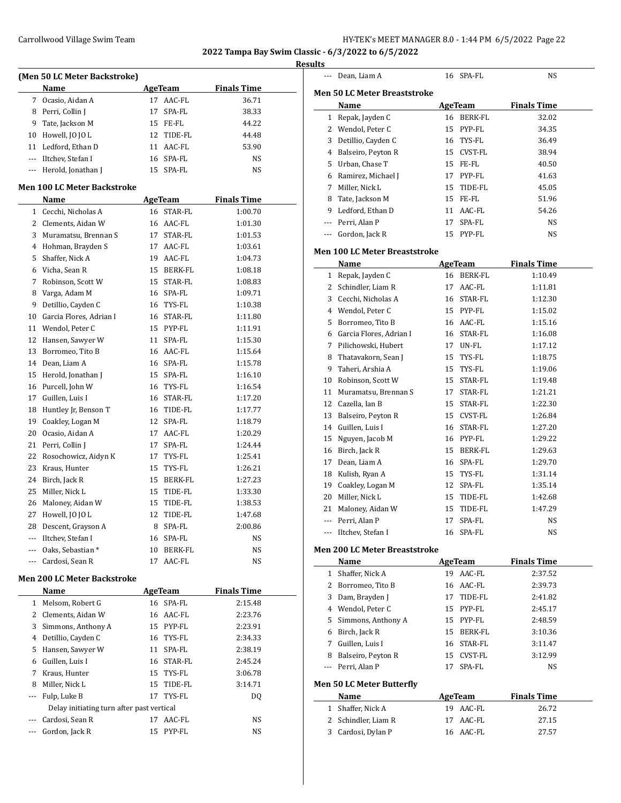$\overline{a}$ 

**2022 Tampa Bay Swim Classic - 6/3/2022 to 6/5/2022**

|                                    | (Men 50 LC Meter Backstroke)       |    |                |                    |  |  |
|------------------------------------|------------------------------------|----|----------------|--------------------|--|--|
|                                    | Name                               |    | <b>AgeTeam</b> | <b>Finals Time</b> |  |  |
|                                    | 7 Ocasio, Aidan A                  |    | 17 AAC-FL      | 36.71              |  |  |
|                                    | 8 Perri, Collin J                  |    | 17 SPA-FL      | 38.33              |  |  |
|                                    | 9 Tate, Jackson M                  |    | 15 FE-FL       | 44.22              |  |  |
|                                    | 10 Howell, JO JO L                 |    | 12 TIDE-FL     | 44.48              |  |  |
|                                    | 11 Ledford, Ethan D                |    | 11 AAC-FL      | 53.90              |  |  |
|                                    | --- Iltchev, Stefan I              |    | 16 SPA-FL      | NS                 |  |  |
|                                    | --- Herold, Jonathan J             | 15 | SPA-FL         | <b>NS</b>          |  |  |
|                                    | <b>Men 100 LC Meter Backstroke</b> |    |                |                    |  |  |
|                                    | Name                               |    | <b>AgeTeam</b> | <b>Finals Time</b> |  |  |
|                                    | 1 Cecchi, Nicholas A               |    | 16 STAR-FL     | 1:00.70            |  |  |
|                                    | 2 Clements, Aidan W                |    | 16 AAC-FL      | 1:01.30            |  |  |
|                                    | 3 Muramatsu, Brennan S             |    | 17 STAR-FL     | 1:01.53            |  |  |
|                                    | 4 Hohman, Brayden S                |    | 17 AAC-FL      | 1:03.61            |  |  |
| 5                                  | Shaffer, Nick A                    |    | 19 AAC-FL      | 1:04.73            |  |  |
|                                    | 6 Vicha, Sean R                    |    | 15 BERK-FL     | 1:08.18            |  |  |
| 7                                  | Robinson, Scott W                  |    | 15 STAR-FL     | 1:08.83            |  |  |
| 8                                  | Varga, Adam M                      |    | 16 SPA-FL      | 1:09.71            |  |  |
| 9                                  | Detillio, Cayden C                 |    | 16 TYS-FL      | 1:10.38            |  |  |
|                                    | 10 Garcia Flores, Adrian I         |    | 16 STAR-FL     | 1:11.80            |  |  |
| 11                                 | Wendol, Peter C                    |    | 15 PYP-FL      | 1:11.91            |  |  |
| 12                                 | Hansen, Sawyer W                   | 11 | SPA-FL         | 1:15.30            |  |  |
| 13                                 | Borromeo, Tito B                   |    | 16 AAC-FL      | 1:15.64            |  |  |
| 14                                 | Dean, Liam A                       |    | 16 SPA-FL      | 1:15.78            |  |  |
| 15                                 | Herold, Jonathan J                 |    | 15 SPA-FL      | 1:16.10            |  |  |
| 16                                 | Purcell, John W                    |    | 16 TYS-FL      | 1:16.54            |  |  |
| 17                                 | Guillen, Luis I                    |    | 16 STAR-FL     | 1:17.20            |  |  |
| 18                                 | Huntley Jr, Benson T               | 16 | TIDE-FL        | 1:17.77            |  |  |
| 19                                 | Coakley, Logan M                   |    | 12 SPA-FL      | 1:18.79            |  |  |
| 20                                 | Ocasio, Aidan A                    |    | 17 AAC-FL      | 1:20.29            |  |  |
| 21                                 | Perri, Collin J                    |    | 17 SPA-FL      | 1:24.44            |  |  |
| 22                                 | Rosochowicz, Aidyn K               |    | 17 TYS-FL      | 1:25.41            |  |  |
| 23                                 | Kraus, Hunter                      | 15 | TYS-FL         | 1:26.21            |  |  |
| 24                                 | Birch, Jack R                      | 15 | BERK-FL        | 1:27.23            |  |  |
| 25                                 | Miller, Nick L                     | 15 | TIDE-FL        | 1:33.30            |  |  |
| 26                                 | Maloney, Aidan W                   | 15 | TIDE-FL        | 1:38.53            |  |  |
| 27                                 | Howell, JO JO L                    | 12 | TIDE-FL        | 1:47.68            |  |  |
|                                    | 28 Descent, Grayson A              |    | 8 SPA-FL       | 2:00.86            |  |  |
|                                    | --- Iltchev, Stefan I              |    | 16 SPA-FL      | NS                 |  |  |
|                                    | --- Oaks, Sebastian *              |    | 10 BERK-FL     | NS                 |  |  |
|                                    | --- Cardosi, Sean R                | 17 | AAC-FL         | NS                 |  |  |
| <b>Men 200 LC Meter Backstroke</b> |                                    |    |                |                    |  |  |

|    | Name                                      |    | AgeTeam    | <b>Finals Time</b> |  |  |
|----|-------------------------------------------|----|------------|--------------------|--|--|
| 1. | Melsom, Robert G                          |    | 16 SPA-FL  | 2:15.48            |  |  |
| 2  | Clements, Aidan W                         |    | 16 AAC-FL  | 2:23.76            |  |  |
| 3  | Simmons, Anthony A                        |    | 15 PYP-FL  | 2:23.91            |  |  |
| 4  | Detillio, Cayden C                        |    | 16 TYS-FL  | 2:34.33            |  |  |
| 5  | Hansen, Sawyer W                          | 11 | SPA-FL     | 2:38.19            |  |  |
| 6  | Guillen, Luis I                           |    | 16 STAR-FL | 2:45.24            |  |  |
| 7  | Kraus, Hunter                             |    | 15 TYS-FL  | 3:06.78            |  |  |
| 8  | Miller, Nick L                            |    | 15 TIDE-FL | 3:14.71            |  |  |
|    | Fulp, Luke B                              | 17 | TYS-FL     | D <sub>0</sub>     |  |  |
|    | Delay initiating turn after past vertical |    |            |                    |  |  |
|    | Cardosi, Sean R                           | 17 | AAC-FL     | NS                 |  |  |
|    | Gordon, Jack R                            |    | 15 PYP-FL  | <b>NS</b>          |  |  |

|    | --- Dean, Liam A                         | 16 SPA-FL                 | NS                 |
|----|------------------------------------------|---------------------------|--------------------|
|    | <b>Men 50 LC Meter Breaststroke</b>      |                           |                    |
|    | Name                                     | AgeTeam                   | <b>Finals Time</b> |
|    | 1 Repak, Jayden C                        | 16 BERK-FL                | 32.02              |
|    | 2 Wendol, Peter C                        | 15 PYP-FL                 | 34.35              |
|    | 3 Detillio, Cayden C                     | 16 TYS-FL                 | 36.49              |
|    | 4 Balseiro, Peyton R                     | 15 CVST-FL                | 38.94              |
|    | 5 Urban, Chase T                         | 15 FE-FL                  | 40.50              |
|    | 6 Ramirez, Michael J                     | PYP-FL<br>17              | 41.63              |
|    | 7 Miller, Nick L                         | TIDE-FL<br>15             | 45.05              |
| 8  | Tate, Jackson M                          | 15 FE-FL                  | 51.96              |
|    | 9 Ledford, Ethan D                       | 11 AAC-FL                 | 54.26              |
|    | --- Perri, Alan P                        | SPA-FL<br>17              | NS                 |
|    | --- Gordon, Jack R                       | 15 PYP-FL                 | NS                 |
|    | <b>Men 100 LC Meter Breaststroke</b>     |                           |                    |
|    | Name                                     | AgeTeam                   | <b>Finals Time</b> |
|    | 1 Repak, Jayden C                        | 16 BERK-FL                | 1:10.49            |
|    | 2 Schindler, Liam R                      | 17 AAC-FL                 | 1:11.81            |
|    | 3 Cecchi, Nicholas A                     | 16 STAR-FL                | 1:12.30            |
|    | 4 Wendol, Peter C                        | 15 PYP-FL                 | 1:15.02            |
|    | 5 Borromeo, Tito B                       | 16 AAC-FL                 | 1:15.16            |
|    | 6 Garcia Flores, Adrian I                | 16 STAR-FL                | 1:16.08            |
|    | 7 Pilichowski, Hubert                    | 17 UN-FL                  | 1:17.12            |
| 8  | Thatavakorn, Sean J                      | TYS-FL<br>15              | 1:18.75            |
|    | 9 Taheri, Arshia A                       | 15 TYS-FL                 | 1:19.06            |
| 10 | Robinson, Scott W                        | 15 STAR-FL                | 1:19.48            |
|    | 11 Muramatsu, Brennan S                  | STAR-FL<br>17             | 1:21.21            |
|    | 12 Cazella, Ian B                        | 15<br>STAR-FL             | 1:22.30            |
|    | 13 Balseiro, Peyton R                    | 15 CVST-FL                | 1:26.84            |
|    | 14 Guillen, Luis I                       | 16 STAR-FL                | 1:27.20            |
|    | 15 Nguyen, Jacob M                       | 16 PYP-FL                 | 1:29.22            |
|    | 16 Birch, Jack R                         | BERK-FL<br>15             | 1:29.63            |
|    | 17 Dean, Liam A                          | SPA-FL<br>16              | 1:29.70            |
|    | 18 Kulish, Ryan A                        | TYS-FL<br>15              | 1:31.14            |
|    | 19 Coakley, Logan M                      | SPA-FL<br>12              | 1:35.14            |
| 20 | Miller, Nick L                           | 15<br>TIDE-FL             | 1:42.68            |
| 21 | Maloney, Aidan W                         | 15<br>TIDE-FL             | 1:47.29            |
|    | --- Perri, Alan P                        | 17<br>SPA-FL              | NS                 |
|    | --- Iltchev, Stefan I                    | SPA-FL<br>16              | NS                 |
|    | <b>Men 200 LC Meter Breaststroke</b>     |                           |                    |
|    | Name                                     | AgeTeam                   | <b>Finals Time</b> |
|    | 1 Shaffer, Nick A                        | 19 AAC-FL                 | 2:37.52            |
|    | 2 Borromeo, Tito B                       | 16 AAC-FL                 | 2:39.73            |
|    | 3 Dam, Brayden J                         | TIDE-FL<br>17             | 2:41.82            |
|    | 4 Wendol, Peter C                        | 15 PYP-FL                 | 2:45.17            |
|    | 5 Simmons, Anthony A                     | 15 PYP-FL                 | 2:48.59            |
|    | 6 Birch, Jack R                          | BERK-FL<br>15             | 3:10.36            |
|    | 7 Guillen, Luis I                        | STAR-FL<br>16             | 3:11.47            |
|    | 8 Balseiro, Peyton R                     | CVST-FL<br>15             | 3:12.99            |
|    | --- Perri, Alan P                        | SPA-FL<br>17              | NS                 |
|    |                                          |                           |                    |
|    | <b>Men 50 LC Meter Butterfly</b>         |                           | <b>Finals Time</b> |
|    |                                          |                           |                    |
|    | Name                                     | <b>AgeTeam</b>            |                    |
|    | 1 Shaffer, Nick A<br>2 Schindler, Liam R | 19 AAC-FL<br>AAC-FL<br>17 | 26.72<br>27.15     |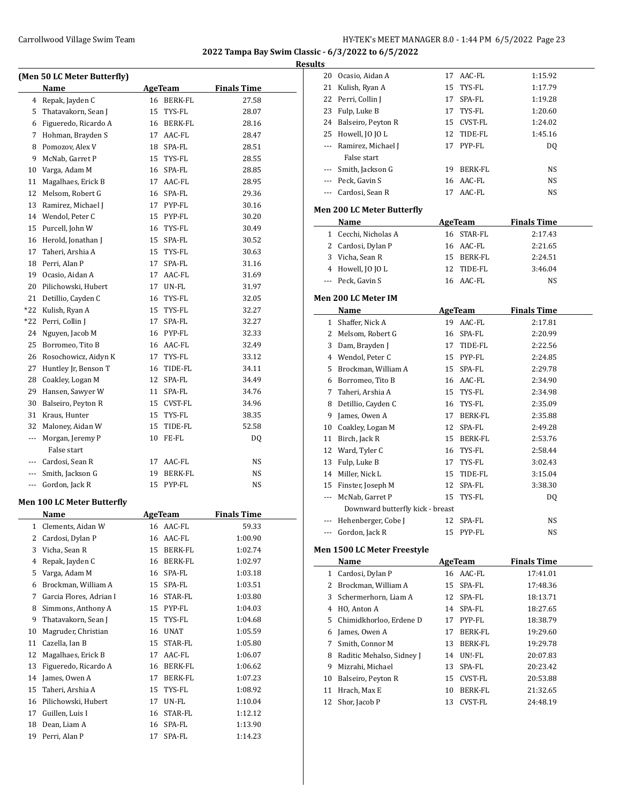| <b>Results</b> |  |
|----------------|--|
|                |  |

|       | (Men 50 LC Meter Butterfly)       |                |                                                 |                    |  |
|-------|-----------------------------------|----------------|-------------------------------------------------|--------------------|--|
|       | Name                              |                | <b>AgeTeam</b>                                  | <b>Finals Time</b> |  |
|       | 4 Repak, Jayden C                 |                | 16 BERK-FL                                      | 27.58              |  |
| 5     | Thatavakorn, Sean J               |                | 15 TYS-FL                                       | 28.07              |  |
| 6     | Figueredo, Ricardo A              |                | 16 BERK-FL                                      | 28.16              |  |
| 7     | Hohman, Brayden S                 |                | 17 AAC-FL                                       | 28.47              |  |
| 8     | Pomozov, Alex V                   |                | 18 SPA-FL                                       | 28.51              |  |
| 9     | McNab, Garret P                   |                | 15 TYS-FL                                       | 28.55              |  |
| 10    | Varga, Adam M                     |                | 16 SPA-FL                                       | 28.85              |  |
| 11    | Magalhaes, Erick B                |                | 17 AAC-FL                                       | 28.95              |  |
| 12    | Melsom, Robert G                  |                | 16 SPA-FL                                       | 29.36              |  |
| 13    | Ramirez, Michael J                |                | 17 PYP-FL                                       | 30.16              |  |
| 14    | Wendol, Peter C                   |                | 15 PYP-FL                                       | 30.20              |  |
| 15    | Purcell, John W                   |                | 16 TYS-FL                                       | 30.49              |  |
| 16    | Herold, Jonathan J                |                | 15 SPA-FL                                       | 30.52              |  |
| 17    | Taheri, Arshia A                  |                | 15 TYS-FL                                       | 30.63              |  |
| 18    | Perri, Alan P                     |                | 17 SPA-FL                                       | 31.16              |  |
| 19    | Ocasio, Aidan A                   |                | 17 AAC-FL                                       | 31.69              |  |
| 20    | Pilichowski, Hubert               |                | 17 UN-FL                                        | 31.97              |  |
| 21    | Detillio, Cayden C                |                | 16 TYS-FL                                       | 32.05              |  |
| $*22$ | Kulish, Ryan A                    |                | 15 TYS-FL                                       | 32.27              |  |
| *22   | Perri, Collin J                   |                | 17 SPA-FL                                       | 32.27              |  |
| 24    | Nguyen, Jacob M                   |                | 16 PYP-FL                                       | 32.33              |  |
| 25    | Borromeo, Tito B                  |                | 16 AAC-FL                                       | 32.49              |  |
| 26    | Rosochowicz, Aidyn K              |                | 17 TYS-FL                                       | 33.12              |  |
| 27    | Huntley Jr, Benson T              |                | 16 TIDE-FL                                      | 34.11              |  |
| 28    | Coakley, Logan M                  |                | 12 SPA-FL                                       | 34.49              |  |
| 29    | Hansen, Sawyer W                  |                | 11 SPA-FL                                       | 34.76              |  |
| 30    | Balseiro, Peyton R                |                | 15 CVST-FL                                      | 34.96              |  |
| 31    | Kraus, Hunter                     |                | 15 TYS-FL                                       | 38.35              |  |
| 32    | Maloney, Aidan W                  |                | 15 TIDE-FL                                      | 52.58              |  |
| ---   | Morgan, Jeremy P                  |                | 10 FE-FL                                        | DQ                 |  |
|       | False start                       |                |                                                 |                    |  |
|       | --- Cardosi, Sean R               | 17             | AAC-FL                                          | NS                 |  |
|       | --- Smith, Jackson G              | 19             | BERK-FL                                         | NS                 |  |
|       | --- Gordon, Jack R                |                | 15 PYP-FL                                       | NS                 |  |
|       |                                   |                |                                                 |                    |  |
|       | <b>Men 100 LC Meter Butterfly</b> |                |                                                 |                    |  |
|       | Name                              | <b>AgeTeam</b> |                                                 | <b>Finals Time</b> |  |
| 1     | Clements, Aidan W                 |                | 16 AAC-FL                                       | 59.33              |  |
| 2     | Cardosi, Dylan P                  | 16             | AAC-FL                                          | 1:00.90            |  |
| 3     | Vicha, Sean R                     | 15             | BERK-FL                                         | 1:02.74            |  |
| 4     | Repak, Jayden C                   | 16             | BERK-FL                                         | 1:02.97            |  |
| 5     | Varga, Adam M                     | 16             | SPA-FL                                          | 1:03.18            |  |
| 6     | Brockman, William A               | 15             | SPA-FL                                          | 1:03.51            |  |
| 7     | Garcia Flores, Adrian I           | 16             | $\ensuremath{\mathsf{STAR}\text{-}\mathsf{FL}}$ | 1:03.80            |  |
| 8     | Simmons, Anthony A                | 15             | PYP-FL                                          | 1:04.03            |  |
| 9     | Thatavakorn, Sean J               | 15             | TYS-FL                                          | 1:04.68            |  |
| 10    | Magruder, Christian               | 16             | <b>UNAT</b>                                     | 1:05.59            |  |
| 11    | Cazella, Ian B                    | 15             | STAR-FL                                         | 1:05.80            |  |
| 12    | Magalhaes, Erick B                | 17             | AAC-FL                                          | 1:06.07            |  |
| 13    | Figueredo, Ricardo A              |                | 16 BERK-FL                                      | 1:06.62            |  |
| 14    | James, Owen A                     | 17             | BERK-FL                                         | 1:07.23            |  |
| 15    | Taheri, Arshia A                  | 15             | TYS-FL                                          | 1:08.92            |  |
| 16    | Pilichowski, Hubert               | 17             | UN-FL                                           | 1:10.04            |  |
| 17    | Guillen, Luis I                   | 16             | STAR-FL                                         | 1:12.12            |  |
| 18    | Dean, Liam A                      | 16             | SPA-FL                                          | 1:13.90            |  |
| 19    | Perri, Alan P                     | 17             | SPA-FL                                          | 1:14.23            |  |

| 20  | Ocasio, Aidan A                   | 17 | AAC-FL         | 1:15.92            |  |
|-----|-----------------------------------|----|----------------|--------------------|--|
| 21  | Kulish, Ryan A                    |    | 15 TYS-FL      | 1:17.79            |  |
| 22  | Perri, Collin J                   |    | 17 SPA-FL      | 1:19.28            |  |
| 23  | Fulp, Luke B                      |    | 17 TYS-FL      | 1:20.60            |  |
|     | 24 Balseiro, Peyton R             |    | 15 CVST-FL     | 1:24.02            |  |
|     | 25 Howell, JO JO L                |    | 12 TIDE-FL     | 1:45.16            |  |
| --- | Ramirez, Michael J                |    | 17 PYP-FL      | DQ                 |  |
|     | False start                       |    |                |                    |  |
|     | --- Smith, Jackson G              |    | 19 BERK-FL     | NS                 |  |
|     | --- Peck, Gavin S                 |    | 16 AAC-FL      | NS                 |  |
|     | --- Cardosi, Sean R               | 17 | AAC-FL         | NS                 |  |
|     |                                   |    |                |                    |  |
|     | <b>Men 200 LC Meter Butterfly</b> |    |                |                    |  |
|     | Name                              |    | AgeTeam        | <b>Finals Time</b> |  |
|     | 1 Cecchi, Nicholas A              |    | 16 STAR-FL     | 2:17.43            |  |
|     | 2 Cardosi, Dylan P                |    | 16 AAC-FL      | 2:21.65            |  |
|     | 3 Vicha, Sean R                   |    | 15 BERK-FL     | 2:24.51            |  |
|     | 4 Howell, JO JO L                 |    | 12 TIDE-FL     | 3:46.04            |  |
| --- | Peck, Gavin S                     |    | 16 AAC-FL      | NS                 |  |
|     | <b>Men 200 LC Meter IM</b>        |    |                |                    |  |
|     | <b>Name</b>                       |    | <b>AgeTeam</b> | <b>Finals Time</b> |  |
|     | 1 Shaffer, Nick A                 | 19 | AAC-FL         | 2:17.81            |  |
|     | 2 Melsom, Robert G                |    | 16 SPA-FL      | 2:20.99            |  |
| 3   | Dam, Brayden J                    |    | 17 TIDE-FL     | 2:22.56            |  |
|     | 4 Wendol, Peter C                 |    | 15 PYP-FL      | 2:24.85            |  |
|     | 5 Brockman, William A             |    | 15 SPA-FL      | 2:29.78            |  |
|     | 6 Borromeo, Tito B                |    | 16 AAC-FL      | 2:34.90            |  |
|     | 7 Taheri, Arshia A                |    | 15 TYS-FL      | 2:34.98            |  |
| 8   | Detillio, Cayden C                |    | 16 TYS-FL      | 2:35.09            |  |
| 9   | James, Owen A                     |    | 17 BERK-FL     | 2:35.88            |  |
| 10  | Coakley, Logan M                  |    | 12 SPA-FL      | 2:49.28            |  |
| 11  | Birch, Jack R                     |    | 15 BERK-FL     | 2:53.76            |  |
|     | 12 Ward, Tyler C                  |    | 16 TYS-FL      | 2:58.44            |  |
| 13  |                                   |    |                |                    |  |
|     | Fulp, Luke B<br>14 Miller, Nick L |    | 17 TYS-FL      | 3:02.43            |  |
|     | 15 Finster, Joseph M              |    | 15 TIDE-FL     | 3:15.04            |  |
|     |                                   |    | 12 SPA-FL      | 3:38.30            |  |
| --- | McNab, Garret P                   |    | 15 TYS-FL      | DQ                 |  |
|     | Downward butterfly kick - breast  |    |                |                    |  |
|     | Hehenberger, Cobe J               | 12 | SPA-FL         | NS                 |  |
|     | --- Gordon, Jack R                |    | 15 PYP-FL      | NS                 |  |
|     | Men 1500 LC Meter Freestyle       |    |                |                    |  |
|     | Name                              |    | AgeTeam        | <b>Finals Time</b> |  |
|     | 1 Cardosi, Dylan P                |    | 16 AAC-FL      | 17:41.01           |  |
|     | 2 Brockman, William A             |    | 15 SPA-FL      | 17:48.36           |  |
|     | 3 Schermerhorn, Liam A            |    | 12 SPA-FL      | 18:13.71           |  |
|     | 4 HO, Anton A                     |    | 14 SPA-FL      | 18:27.65           |  |
|     | 5 Chimidkhorloo, Erdene D         |    | 17 PYP-FL      | 18:38.79           |  |
|     | 6 James, Owen A                   | 17 | BERK-FL        | 19:29.60           |  |
| 7   | Smith, Connor M                   | 13 | BERK-FL        | 19:29.78           |  |
| 8   | Raditic Mehalso, Sidney J         |    | 14 UN!-FL      | 20:07.83           |  |
| 9   | Mizrahi, Michael                  | 13 | SPA-FL         | 20:23.42           |  |
| 10  | Balseiro, Peyton R                |    | 15 CVST-FL     | 20:53.88           |  |
| 11  | Hrach, Max E                      | 10 | BERK-FL        | 21:32.65           |  |
| 12  | Shor, Jacob P                     | 13 | CVST-FL        | 24:48.19           |  |
|     |                                   |    |                |                    |  |